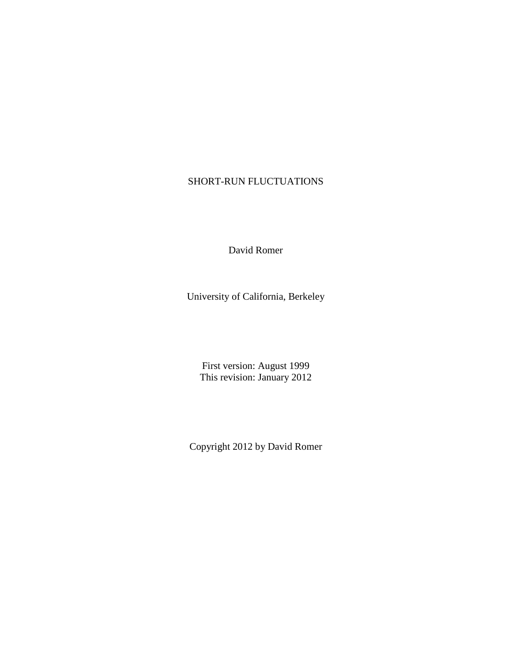# SHORT-RUN FLUCTUATIONS

David Romer

University of California, Berkeley

First version: August 1999 This revision: January 2012

Copyright 2012 by David Romer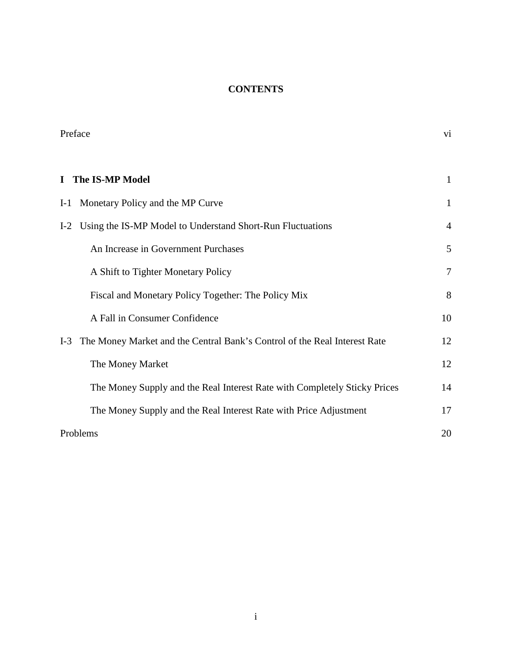# **CONTENTS**

| Preface                                                                            | vi              |
|------------------------------------------------------------------------------------|-----------------|
| <b>The IS-MP Model</b><br>$\mathbf I$                                              | 1               |
| Monetary Policy and the MP Curve<br>$I-1$                                          | 1               |
| Using the IS-MP Model to Understand Short-Run Fluctuations<br>$I-2$                | $\overline{4}$  |
| An Increase in Government Purchases                                                | 5               |
| A Shift to Tighter Monetary Policy                                                 | $7\phantom{.0}$ |
| Fiscal and Monetary Policy Together: The Policy Mix                                | 8               |
| A Fall in Consumer Confidence                                                      | 10              |
| The Money Market and the Central Bank's Control of the Real Interest Rate<br>$I-3$ | 12              |
| The Money Market                                                                   | 12              |
| The Money Supply and the Real Interest Rate with Completely Sticky Prices          | 14              |
| The Money Supply and the Real Interest Rate with Price Adjustment                  | 17              |
| Problems                                                                           | 20              |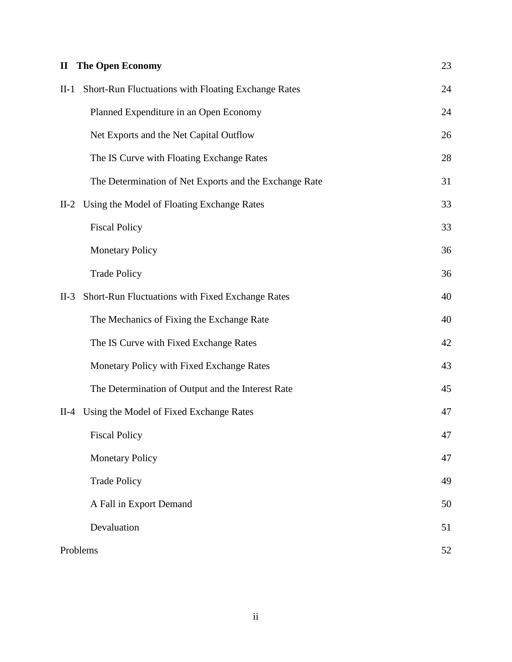| $\mathbf{I}$ | <b>The Open Economy</b>                                | 23 |
|--------------|--------------------------------------------------------|----|
| $II-1$       | Short-Run Fluctuations with Floating Exchange Rates    | 24 |
|              | Planned Expenditure in an Open Economy                 | 24 |
|              | Net Exports and the Net Capital Outflow                | 26 |
|              | The IS Curve with Floating Exchange Rates              | 28 |
|              | The Determination of Net Exports and the Exchange Rate | 31 |
| $II-2$       | Using the Model of Floating Exchange Rates             | 33 |
|              | <b>Fiscal Policy</b>                                   | 33 |
|              | <b>Monetary Policy</b>                                 | 36 |
|              | <b>Trade Policy</b>                                    | 36 |
| $II-3$       | Short-Run Fluctuations with Fixed Exchange Rates       | 40 |
|              | The Mechanics of Fixing the Exchange Rate              | 40 |
|              | The IS Curve with Fixed Exchange Rates                 | 42 |
|              | Monetary Policy with Fixed Exchange Rates              | 43 |
|              | The Determination of Output and the Interest Rate      | 45 |
| $II-4$       | Using the Model of Fixed Exchange Rates                | 47 |
|              | <b>Fiscal Policy</b>                                   | 47 |
|              | <b>Monetary Policy</b>                                 | 47 |
|              | <b>Trade Policy</b>                                    | 49 |
|              | A Fall in Export Demand                                | 50 |
|              | Devaluation                                            | 51 |
|              | Problems                                               | 52 |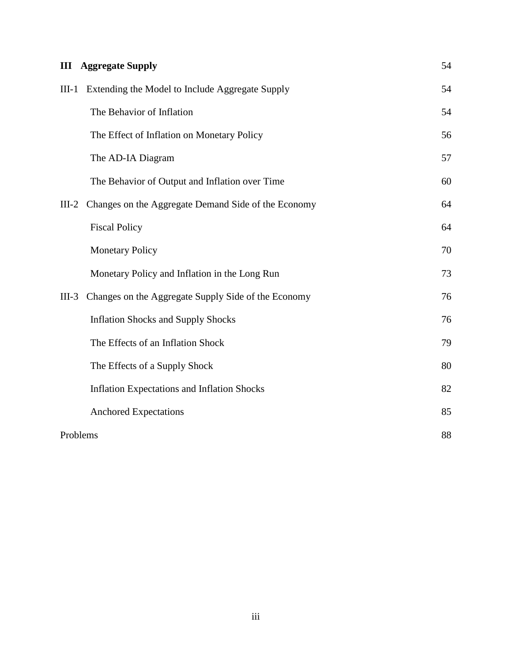| Ш       | <b>Aggregate Supply</b>                             | 54 |
|---------|-----------------------------------------------------|----|
| $III-1$ | Extending the Model to Include Aggregate Supply     | 54 |
|         | The Behavior of Inflation                           | 54 |
|         | The Effect of Inflation on Monetary Policy          | 56 |
|         | The AD-IA Diagram                                   | 57 |
|         | The Behavior of Output and Inflation over Time      | 60 |
| $III-2$ | Changes on the Aggregate Demand Side of the Economy | 64 |
|         | <b>Fiscal Policy</b>                                | 64 |
|         | <b>Monetary Policy</b>                              | 70 |
|         | Monetary Policy and Inflation in the Long Run       | 73 |
| $III-3$ | Changes on the Aggregate Supply Side of the Economy | 76 |
|         | <b>Inflation Shocks and Supply Shocks</b>           | 76 |
|         | The Effects of an Inflation Shock                   | 79 |
|         | The Effects of a Supply Shock                       | 80 |
|         | <b>Inflation Expectations and Inflation Shocks</b>  | 82 |
|         | <b>Anchored Expectations</b>                        | 85 |
|         | Problems                                            | 88 |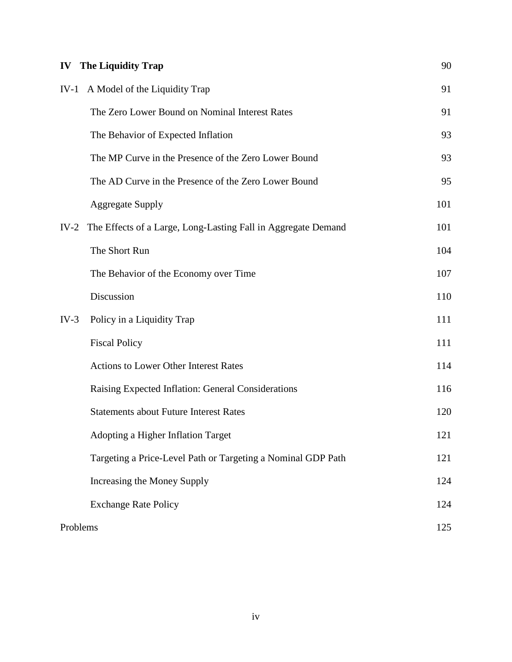|          | <b>IV</b> The Liquidity Trap                                  | 90  |
|----------|---------------------------------------------------------------|-----|
| $IV-1$   | A Model of the Liquidity Trap                                 | 91  |
|          | The Zero Lower Bound on Nominal Interest Rates                | 91  |
|          | The Behavior of Expected Inflation                            | 93  |
|          | The MP Curve in the Presence of the Zero Lower Bound          | 93  |
|          | The AD Curve in the Presence of the Zero Lower Bound          | 95  |
|          | <b>Aggregate Supply</b>                                       | 101 |
| $IV-2$   | The Effects of a Large, Long-Lasting Fall in Aggregate Demand | 101 |
|          | The Short Run                                                 | 104 |
|          | The Behavior of the Economy over Time                         | 107 |
|          | Discussion                                                    | 110 |
| $IV-3$   | Policy in a Liquidity Trap                                    | 111 |
|          | <b>Fiscal Policy</b>                                          | 111 |
|          | <b>Actions to Lower Other Interest Rates</b>                  | 114 |
|          | Raising Expected Inflation: General Considerations            | 116 |
|          | <b>Statements about Future Interest Rates</b>                 | 120 |
|          | Adopting a Higher Inflation Target                            | 121 |
|          | Targeting a Price-Level Path or Targeting a Nominal GDP Path  | 121 |
|          | Increasing the Money Supply                                   | 124 |
|          | <b>Exchange Rate Policy</b>                                   | 124 |
| Problems |                                                               | 125 |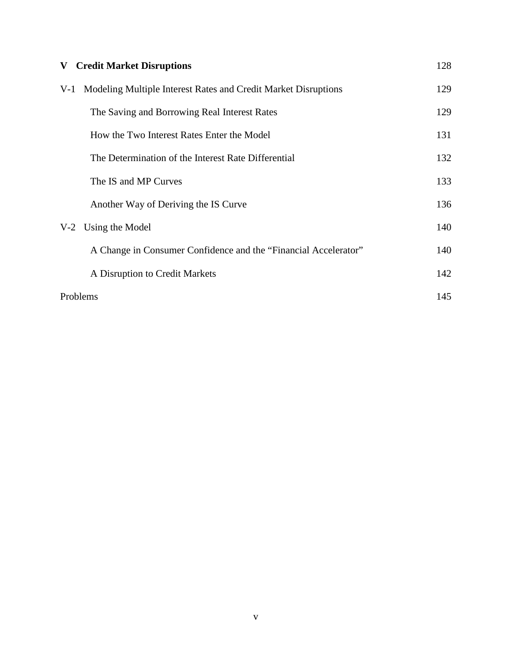| V-    | <b>Credit Market Disruptions</b>                                | 128 |
|-------|-----------------------------------------------------------------|-----|
| $V-1$ | Modeling Multiple Interest Rates and Credit Market Disruptions  | 129 |
|       | The Saving and Borrowing Real Interest Rates                    | 129 |
|       | How the Two Interest Rates Enter the Model                      | 131 |
|       | The Determination of the Interest Rate Differential             | 132 |
|       | The IS and MP Curves                                            | 133 |
|       | Another Way of Deriving the IS Curve                            | 136 |
| $V-2$ | Using the Model                                                 | 140 |
|       | A Change in Consumer Confidence and the "Financial Accelerator" | 140 |
|       | A Disruption to Credit Markets                                  | 142 |
|       | Problems                                                        | 145 |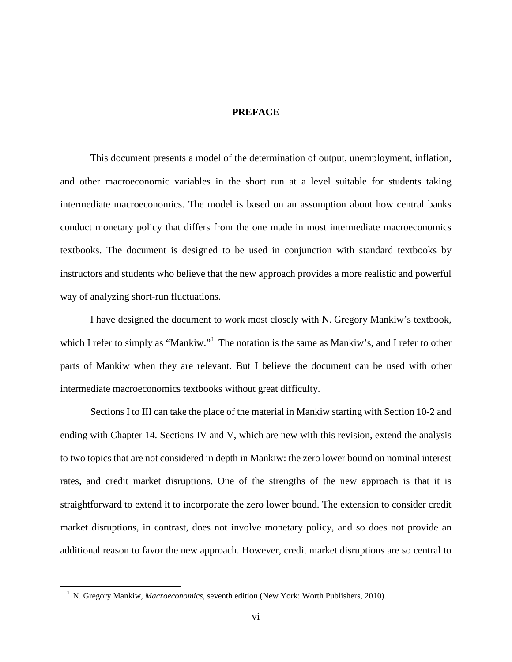### **PREFACE**

This document presents a model of the determination of output, unemployment, inflation, and other macroeconomic variables in the short run at a level suitable for students taking intermediate macroeconomics. The model is based on an assumption about how central banks conduct monetary policy that differs from the one made in most intermediate macroeconomics textbooks. The document is designed to be used in conjunction with standard textbooks by instructors and students who believe that the new approach provides a more realistic and powerful way of analyzing short-run fluctuations.

I have designed the document to work most closely with N. Gregory Mankiw's textbook, which I refer to simply as "Mankiw."<sup>[1](#page-6-0)</sup> The notation is the same as Mankiw's, and I refer to other parts of Mankiw when they are relevant. But I believe the document can be used with other intermediate macroeconomics textbooks without great difficulty.

Sections I to III can take the place of the material in Mankiw starting with Section 10-2 and ending with Chapter 14. Sections IV and V, which are new with this revision, extend the analysis to two topics that are not considered in depth in Mankiw: the zero lower bound on nominal interest rates, and credit market disruptions. One of the strengths of the new approach is that it is straightforward to extend it to incorporate the zero lower bound. The extension to consider credit market disruptions, in contrast, does not involve monetary policy, and so does not provide an additional reason to favor the new approach. However, credit market disruptions are so central to

<span id="page-6-0"></span><sup>&</sup>lt;sup>1</sup> N. Gregory Mankiw, *Macroeconomics*, seventh edition (New York: Worth Publishers, 2010).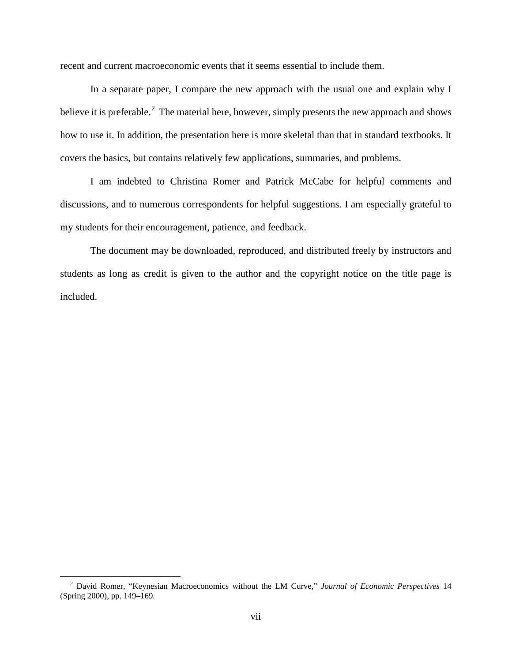recent and current macroeconomic events that it seems essential to include them.

In a separate paper, I compare the new approach with the usual one and explain why I believe it is preferable.<sup>[2](#page-7-0)</sup> The material here, however, simply presents the new approach and shows how to use it. In addition, the presentation here is more skeletal than that in standard textbooks. It covers the basics, but contains relatively few applications, summaries, and problems.

I am indebted to Christina Romer and Patrick McCabe for helpful comments and discussions, and to numerous correspondents for helpful suggestions. I am especially grateful to my students for their encouragement, patience, and feedback.

The document may be downloaded, reproduced, and distributed freely by instructors and students as long as credit is given to the author and the copyright notice on the title page is included.

<span id="page-7-0"></span><sup>2</sup> David Romer, "Keynesian Macroeconomics without the LM Curve," *Journal of Economic Perspectives* <sup>14</sup> (Spring 2000), pp. 149–169.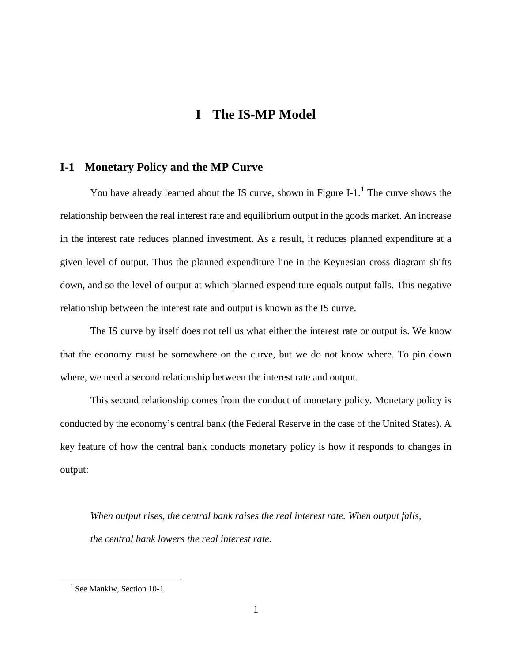# **I The IS-MP Model**

# **I-1 Monetary Policy and the MP Curve**

You have already learned about the IS curve, shown in Figure I-[1](#page-8-0).<sup>1</sup> The curve shows the relationship between the real interest rate and equilibrium output in the goods market. An increase in the interest rate reduces planned investment. As a result, it reduces planned expenditure at a given level of output. Thus the planned expenditure line in the Keynesian cross diagram shifts down, and so the level of output at which planned expenditure equals output falls. This negative relationship between the interest rate and output is known as the IS curve.

The IS curve by itself does not tell us what either the interest rate or output is. We know that the economy must be somewhere on the curve, but we do not know where. To pin down where, we need a second relationship between the interest rate and output.

This second relationship comes from the conduct of monetary policy. Monetary policy is conducted by the economy's central bank (the Federal Reserve in the case of the United States). A key feature of how the central bank conducts monetary policy is how it responds to changes in output:

*When output rises, the central bank raises the real interest rate. When output falls, the central bank lowers the real interest rate.*

<span id="page-8-0"></span><sup>&</sup>lt;sup>1</sup> See Mankiw, Section 10-1.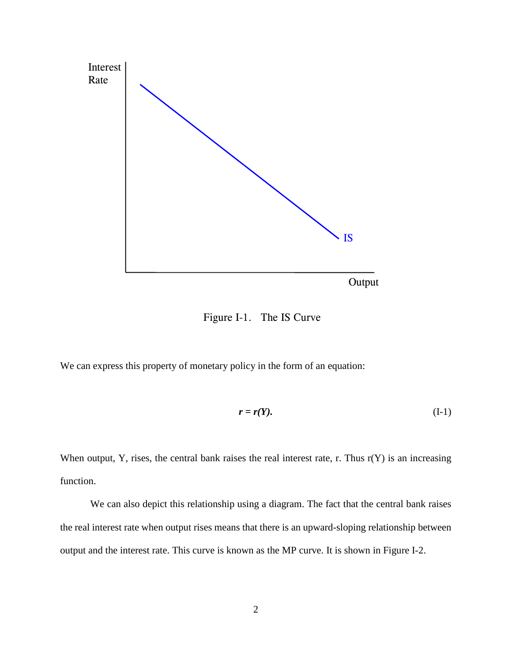

Figure I-1. The IS Curve

We can express this property of monetary policy in the form of an equation:

$$
r = r(Y). \tag{I-1}
$$

When output, Y, rises, the central bank raises the real interest rate, r. Thus  $r(Y)$  is an increasing function.

We can also depict this relationship using a diagram. The fact that the central bank raises the real interest rate when output rises means that there is an upward-sloping relationship between output and the interest rate. This curve is known as the MP curve. It is shown in Figure I-2.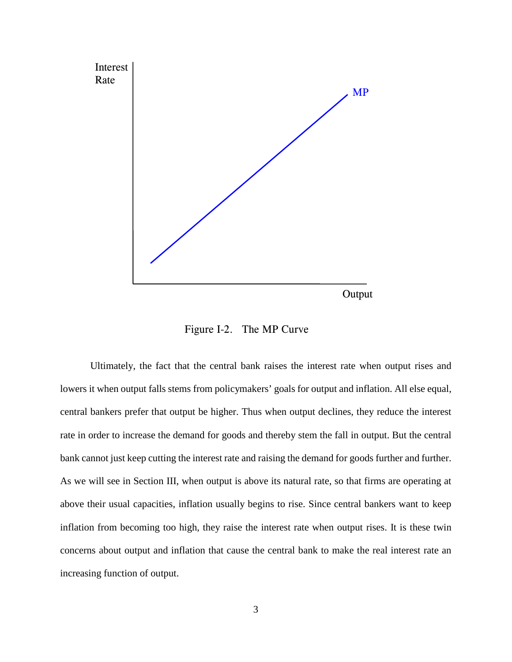

Figure I-2. The MP Curve

Ultimately, the fact that the central bank raises the interest rate when output rises and lowers it when output falls stems from policymakers' goals for output and inflation. All else equal, central bankers prefer that output be higher. Thus when output declines, they reduce the interest rate in order to increase the demand for goods and thereby stem the fall in output. But the central bank cannot just keep cutting the interest rate and raising the demand for goods further and further. As we will see in Section III, when output is above its natural rate, so that firms are operating at above their usual capacities, inflation usually begins to rise. Since central bankers want to keep inflation from becoming too high, they raise the interest rate when output rises. It is these twin concerns about output and inflation that cause the central bank to make the real interest rate an increasing function of output.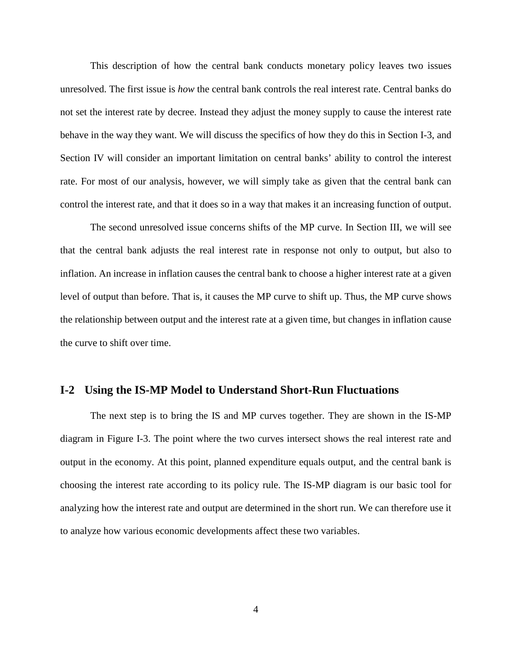This description of how the central bank conducts monetary policy leaves two issues unresolved. The first issue is *how* the central bank controls the real interest rate. Central banks do not set the interest rate by decree. Instead they adjust the money supply to cause the interest rate behave in the way they want. We will discuss the specifics of how they do this in Section I-3, and Section IV will consider an important limitation on central banks' ability to control the interest rate. For most of our analysis, however, we will simply take as given that the central bank can control the interest rate, and that it does so in a way that makes it an increasing function of output.

The second unresolved issue concerns shifts of the MP curve. In Section III, we will see that the central bank adjusts the real interest rate in response not only to output, but also to inflation. An increase in inflation causes the central bank to choose a higher interest rate at a given level of output than before. That is, it causes the MP curve to shift up. Thus, the MP curve shows the relationship between output and the interest rate at a given time, but changes in inflation cause the curve to shift over time.

## **I-2 Using the IS-MP Model to Understand Short-Run Fluctuations**

The next step is to bring the IS and MP curves together. They are shown in the IS-MP diagram in Figure I-3. The point where the two curves intersect shows the real interest rate and output in the economy. At this point, planned expenditure equals output, and the central bank is choosing the interest rate according to its policy rule. The IS-MP diagram is our basic tool for analyzing how the interest rate and output are determined in the short run. We can therefore use it to analyze how various economic developments affect these two variables.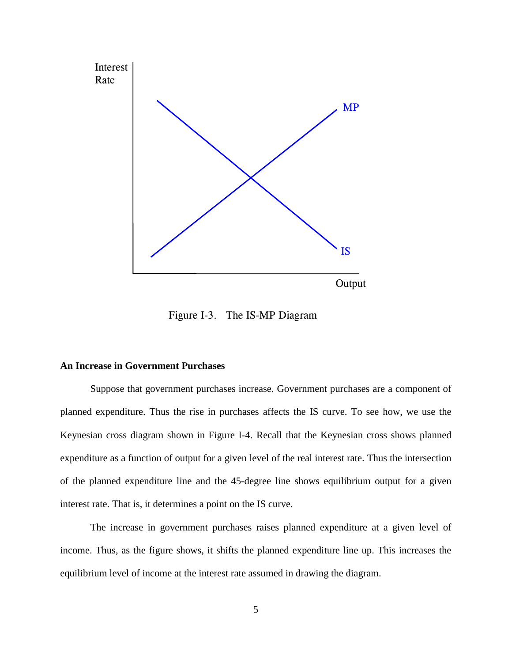

Figure I-3. The IS-MP Diagram

### **An Increase in Government Purchases**

Suppose that government purchases increase. Government purchases are a component of planned expenditure. Thus the rise in purchases affects the IS curve. To see how, we use the Keynesian cross diagram shown in Figure I-4. Recall that the Keynesian cross shows planned expenditure as a function of output for a given level of the real interest rate. Thus the intersection of the planned expenditure line and the 45-degree line shows equilibrium output for a given interest rate. That is, it determines a point on the IS curve.

The increase in government purchases raises planned expenditure at a given level of income. Thus, as the figure shows, it shifts the planned expenditure line up. This increases the equilibrium level of income at the interest rate assumed in drawing the diagram.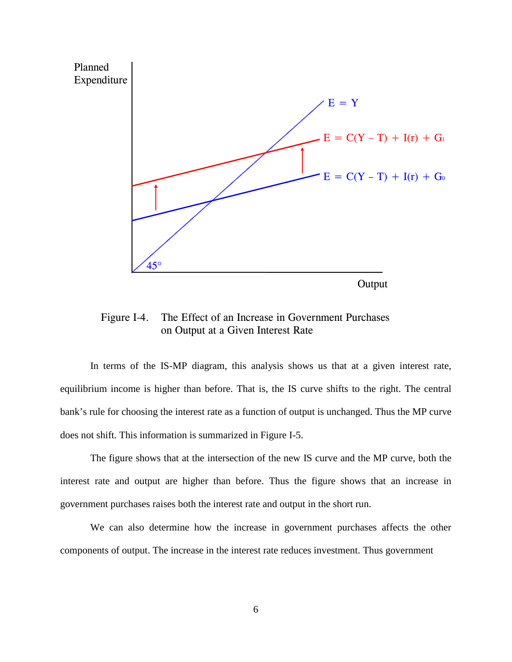

Figure I-4. The Effect of an Increase in Government Purchases on Output at a Given Interest Rate

In terms of the IS-MP diagram, this analysis shows us that at a given interest rate, equilibrium income is higher than before. That is, the IS curve shifts to the right. The central bank's rule for choosing the interest rate as a function of output is unchanged. Thus the MP curve does not shift. This information is summarized in Figure I-5.

The figure shows that at the intersection of the new IS curve and the MP curve, both the interest rate and output are higher than before. Thus the figure shows that an increase in government purchases raises both the interest rate and output in the short run.

We can also determine how the increase in government purchases affects the other components of output. The increase in the interest rate reduces investment. Thus government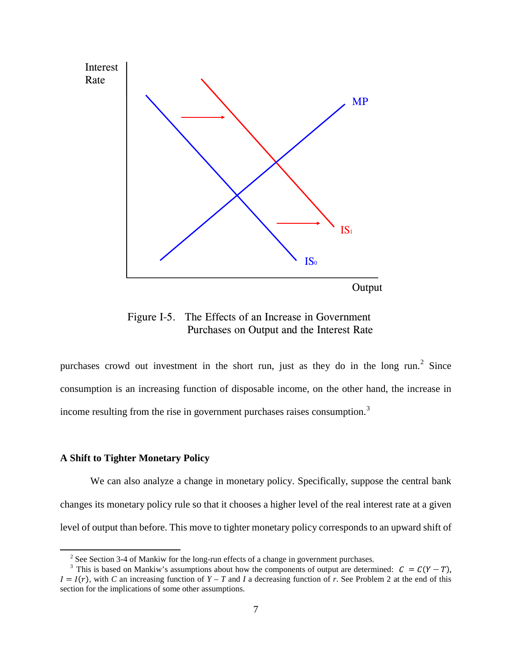

Figure I-5. The Effects of an Increase in Government Purchases on Output and the Interest Rate

purchases crowd out investment in the short run, just as they do in the long run.<sup>[2](#page-14-0)</sup> Since consumption is an increasing function of disposable income, on the other hand, the increase in income resulting from the rise in government purchases raises consumption.<sup>[3](#page-14-1)</sup>

#### **A Shift to Tighter Monetary Policy**

We can also analyze a change in monetary policy. Specifically, suppose the central bank changes its monetary policy rule so that it chooses a higher level of the real interest rate at a given level of output than before. This move to tighter monetary policy corresponds to an upward shift of

<sup>&</sup>lt;sup>2</sup> See Section 3-4 of Mankiw for the long-run effects of a change in government purchases.

<span id="page-14-1"></span><span id="page-14-0"></span><sup>&</sup>lt;sup>3</sup> This is based on Mankiw's assumptions about how the components of output are determined:  $C = C(Y - T)$ ,  $I = I(r)$ , with *C* an increasing function of  $Y - T$  and *I* a decreasing function of *r*. See Problem 2 at the end of this section for the implications of some other assumptions.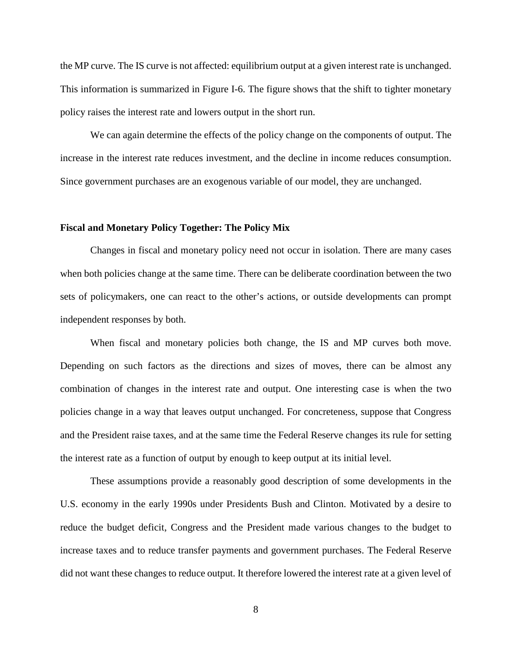the MP curve. The IS curve is not affected: equilibrium output at a given interest rate is unchanged. This information is summarized in Figure I-6. The figure shows that the shift to tighter monetary policy raises the interest rate and lowers output in the short run.

We can again determine the effects of the policy change on the components of output. The increase in the interest rate reduces investment, and the decline in income reduces consumption. Since government purchases are an exogenous variable of our model, they are unchanged.

#### **Fiscal and Monetary Policy Together: The Policy Mix**

Changes in fiscal and monetary policy need not occur in isolation. There are many cases when both policies change at the same time. There can be deliberate coordination between the two sets of policymakers, one can react to the other's actions, or outside developments can prompt independent responses by both.

When fiscal and monetary policies both change, the IS and MP curves both move. Depending on such factors as the directions and sizes of moves, there can be almost any combination of changes in the interest rate and output. One interesting case is when the two policies change in a way that leaves output unchanged. For concreteness, suppose that Congress and the President raise taxes, and at the same time the Federal Reserve changes its rule for setting the interest rate as a function of output by enough to keep output at its initial level.

These assumptions provide a reasonably good description of some developments in the U.S. economy in the early 1990s under Presidents Bush and Clinton. Motivated by a desire to reduce the budget deficit, Congress and the President made various changes to the budget to increase taxes and to reduce transfer payments and government purchases. The Federal Reserve did not want these changes to reduce output. It therefore lowered the interest rate at a given level of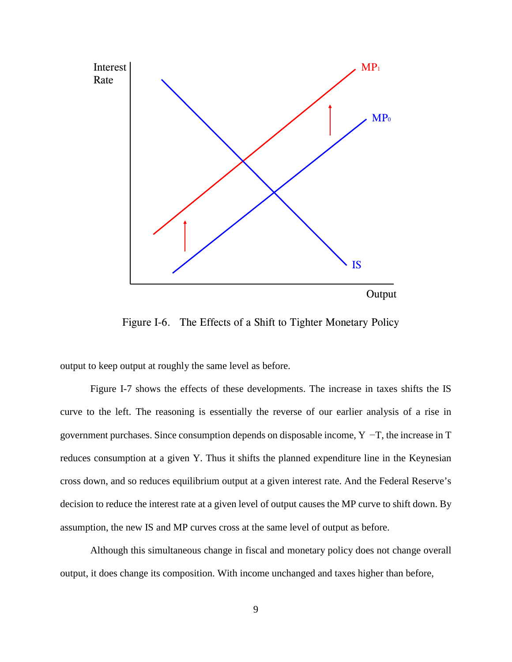

Figure I-6. The Effects of a Shift to Tighter Monetary Policy

output to keep output at roughly the same level as before.

Figure I-7 shows the effects of these developments. The increase in taxes shifts the IS curve to the left. The reasoning is essentially the reverse of our earlier analysis of a rise in government purchases. Since consumption depends on disposable income, Y −T, the increase in T reduces consumption at a given Y. Thus it shifts the planned expenditure line in the Keynesian cross down, and so reduces equilibrium output at a given interest rate. And the Federal Reserve's decision to reduce the interest rate at a given level of output causes the MP curve to shift down. By assumption, the new IS and MP curves cross at the same level of output as before.

Although this simultaneous change in fiscal and monetary policy does not change overall output, it does change its composition. With income unchanged and taxes higher than before,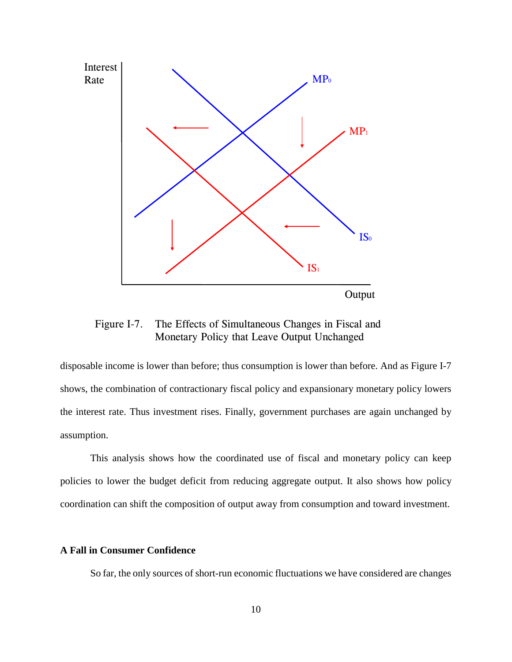

Figure I-7. The Effects of Simultaneous Changes in Fiscal and Monetary Policy that Leave Output Unchanged

disposable income is lower than before; thus consumption is lower than before. And as Figure I-7 shows, the combination of contractionary fiscal policy and expansionary monetary policy lowers the interest rate. Thus investment rises. Finally, government purchases are again unchanged by assumption.

This analysis shows how the coordinated use of fiscal and monetary policy can keep policies to lower the budget deficit from reducing aggregate output. It also shows how policy coordination can shift the composition of output away from consumption and toward investment.

## **A Fall in Consumer Confidence**

So far, the only sources of short-run economic fluctuations we have considered are changes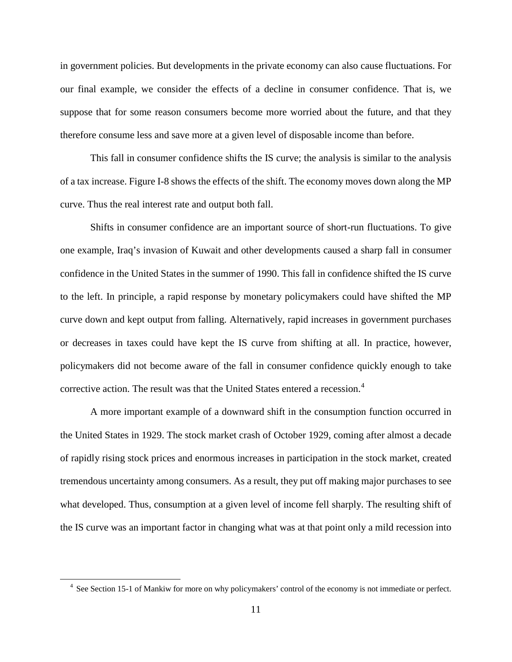in government policies. But developments in the private economy can also cause fluctuations. For our final example, we consider the effects of a decline in consumer confidence. That is, we suppose that for some reason consumers become more worried about the future, and that they therefore consume less and save more at a given level of disposable income than before.

This fall in consumer confidence shifts the IS curve; the analysis is similar to the analysis of a tax increase. Figure I-8 shows the effects of the shift. The economy moves down along the MP curve. Thus the real interest rate and output both fall.

Shifts in consumer confidence are an important source of short-run fluctuations. To give one example, Iraq's invasion of Kuwait and other developments caused a sharp fall in consumer confidence in the United States in the summer of 1990. This fall in confidence shifted the IS curve to the left. In principle, a rapid response by monetary policymakers could have shifted the MP curve down and kept output from falling. Alternatively, rapid increases in government purchases or decreases in taxes could have kept the IS curve from shifting at all. In practice, however, policymakers did not become aware of the fall in consumer confidence quickly enough to take corrective action. The result was that the United States entered a recession.<sup>[4](#page-18-0)</sup>

A more important example of a downward shift in the consumption function occurred in the United States in 1929. The stock market crash of October 1929, coming after almost a decade of rapidly rising stock prices and enormous increases in participation in the stock market, created tremendous uncertainty among consumers. As a result, they put off making major purchases to see what developed. Thus, consumption at a given level of income fell sharply. The resulting shift of the IS curve was an important factor in changing what was at that point only a mild recession into

<span id="page-18-0"></span><sup>&</sup>lt;sup>4</sup> See Section 15-1 of Mankiw for more on why policymakers' control of the economy is not immediate or perfect.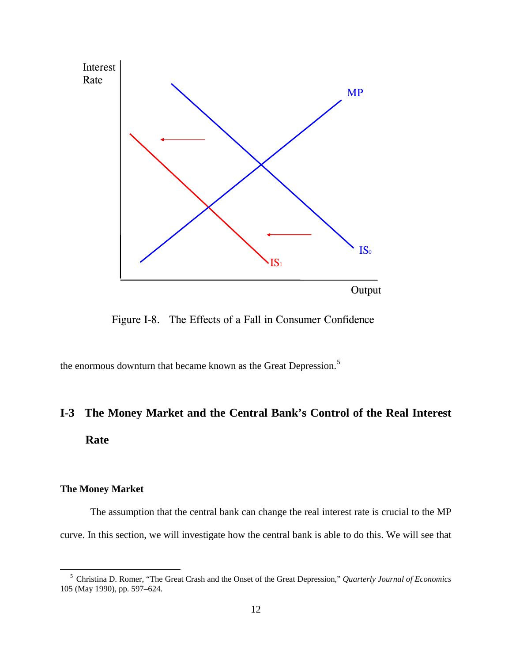

Figure I-8. The Effects of a Fall in Consumer Confidence

the enormous downturn that became known as the Great Depression.<sup>[5](#page-19-0)</sup>

# **I-3 The Money Market and the Central Bank's Control of the Real Interest Rate**

## **The Money Market**

The assumption that the central bank can change the real interest rate is crucial to the MP curve. In this section, we will investigate how the central bank is able to do this. We will see that

<span id="page-19-0"></span><sup>5</sup> Christina D. Romer, "The Great Crash and the Onset of the Great Depression," *Quarterly Journal of Economics* 105 (May 1990), pp. 597–624.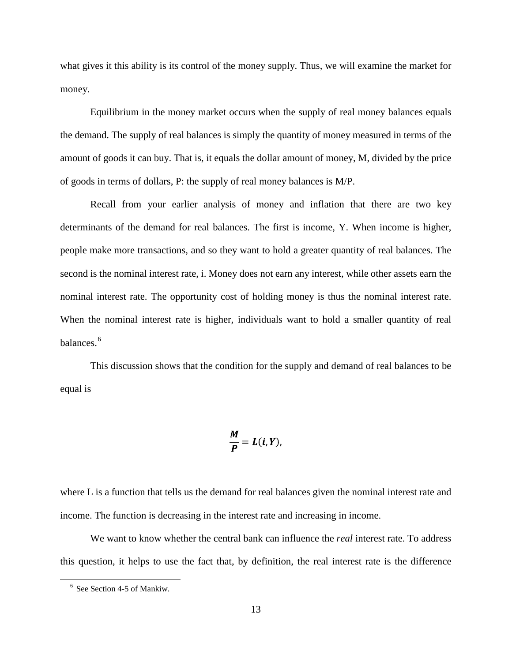what gives it this ability is its control of the money supply. Thus, we will examine the market for money.

Equilibrium in the money market occurs when the supply of real money balances equals the demand. The supply of real balances is simply the quantity of money measured in terms of the amount of goods it can buy. That is, it equals the dollar amount of money, M, divided by the price of goods in terms of dollars, P: the supply of real money balances is M/P.

Recall from your earlier analysis of money and inflation that there are two key determinants of the demand for real balances. The first is income, Y. When income is higher, people make more transactions, and so they want to hold a greater quantity of real balances. The second is the nominal interest rate, i. Money does not earn any interest, while other assets earn the nominal interest rate. The opportunity cost of holding money is thus the nominal interest rate. When the nominal interest rate is higher, individuals want to hold a smaller quantity of real balances. [6](#page-20-0)

This discussion shows that the condition for the supply and demand of real balances to be equal is

$$
\frac{M}{P}=L(i,Y)
$$

where L is a function that tells us the demand for real balances given the nominal interest rate and income. The function is decreasing in the interest rate and increasing in income.

We want to know whether the central bank can influence the *real* interest rate. To address this question, it helps to use the fact that, by definition, the real interest rate is the difference

<span id="page-20-0"></span><sup>6</sup> See Section 4-5 of Mankiw.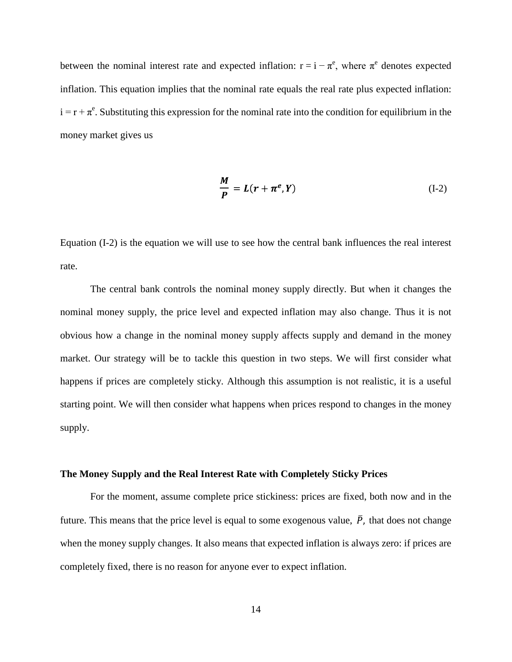between the nominal interest rate and expected inflation:  $r = i - \pi^e$ , where  $\pi^e$  denotes expected inflation. This equation implies that the nominal rate equals the real rate plus expected inflation:  $i = r + \pi^e$ . Substituting this expression for the nominal rate into the condition for equilibrium in the money market gives us

$$
\frac{M}{P} = L(r + \pi^e, Y) \tag{I-2}
$$

Equation (I-2) is the equation we will use to see how the central bank influences the real interest rate.

The central bank controls the nominal money supply directly. But when it changes the nominal money supply, the price level and expected inflation may also change. Thus it is not obvious how a change in the nominal money supply affects supply and demand in the money market. Our strategy will be to tackle this question in two steps. We will first consider what happens if prices are completely sticky. Although this assumption is not realistic, it is a useful starting point. We will then consider what happens when prices respond to changes in the money supply.

#### **The Money Supply and the Real Interest Rate with Completely Sticky Prices**

For the moment, assume complete price stickiness: prices are fixed, both now and in the future. This means that the price level is equal to some exogenous value,  $\overline{P}$ , that does not change when the money supply changes. It also means that expected inflation is always zero: if prices are completely fixed, there is no reason for anyone ever to expect inflation.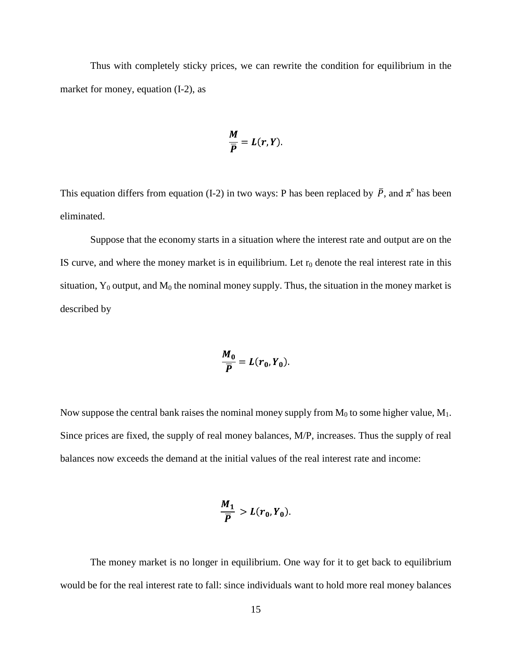Thus with completely sticky prices, we can rewrite the condition for equilibrium in the market for money, equation (I-2), as

$$
\frac{M}{\overline{P}}=L(r,Y)
$$

This equation differs from equation (I-2) in two ways: P has been replaced by  $\overline{P}$ , and  $\pi^e$  has been eliminated.

Suppose that the economy starts in a situation where the interest rate and output are on the IS curve, and where the money market is in equilibrium. Let  $r_0$  denote the real interest rate in this situation,  $Y_0$  output, and  $M_0$  the nominal money supply. Thus, the situation in the money market is described by

$$
\frac{M_0}{\overline{P}}=L(r_0,Y_0).
$$

Now suppose the central bank raises the nominal money supply from  $M_0$  to some higher value,  $M_1$ . Since prices are fixed, the supply of real money balances, M/P, increases. Thus the supply of real balances now exceeds the demand at the initial values of the real interest rate and income:

$$
\frac{M_1}{\overline{P}} > L(r_0, Y_0)
$$

The money market is no longer in equilibrium. One way for it to get back to equilibrium would be for the real interest rate to fall: since individuals want to hold more real money balances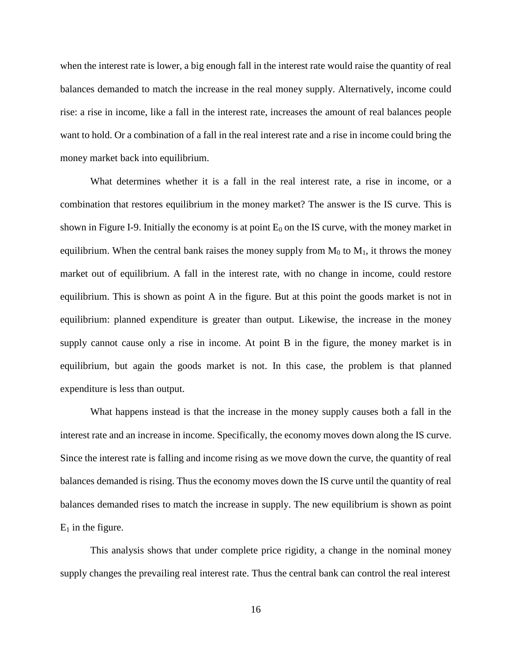when the interest rate is lower, a big enough fall in the interest rate would raise the quantity of real balances demanded to match the increase in the real money supply. Alternatively, income could rise: a rise in income, like a fall in the interest rate, increases the amount of real balances people want to hold. Or a combination of a fall in the real interest rate and a rise in income could bring the money market back into equilibrium.

What determines whether it is a fall in the real interest rate, a rise in income, or a combination that restores equilibrium in the money market? The answer is the IS curve. This is shown in Figure I-9. Initially the economy is at point  $E_0$  on the IS curve, with the money market in equilibrium. When the central bank raises the money supply from  $M_0$  to  $M_1$ , it throws the money market out of equilibrium. A fall in the interest rate, with no change in income, could restore equilibrium. This is shown as point A in the figure. But at this point the goods market is not in equilibrium: planned expenditure is greater than output. Likewise, the increase in the money supply cannot cause only a rise in income. At point B in the figure, the money market is in equilibrium, but again the goods market is not. In this case, the problem is that planned expenditure is less than output.

What happens instead is that the increase in the money supply causes both a fall in the interest rate and an increase in income. Specifically, the economy moves down along the IS curve. Since the interest rate is falling and income rising as we move down the curve, the quantity of real balances demanded is rising. Thus the economy moves down the IS curve until the quantity of real balances demanded rises to match the increase in supply. The new equilibrium is shown as point  $E_1$  in the figure.

This analysis shows that under complete price rigidity, a change in the nominal money supply changes the prevailing real interest rate. Thus the central bank can control the real interest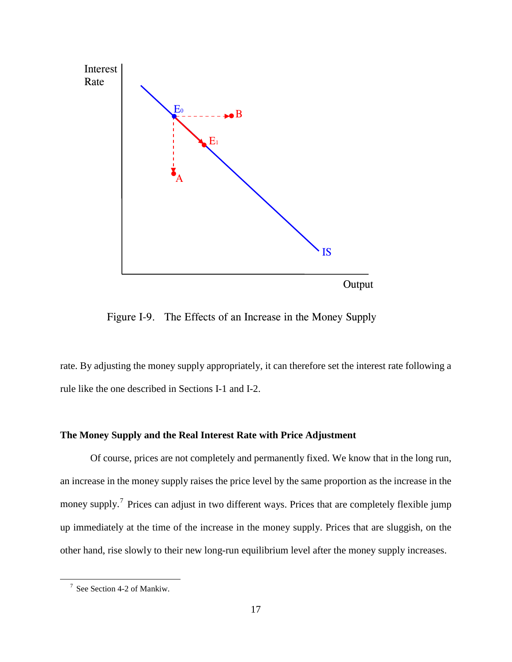

Figure I-9. The Effects of an Increase in the Money Supply

rate. By adjusting the money supply appropriately, it can therefore set the interest rate following a rule like the one described in Sections I-1 and I-2.

## **The Money Supply and the Real Interest Rate with Price Adjustment**

Of course, prices are not completely and permanently fixed. We know that in the long run, an increase in the money supply raises the price level by the same proportion as the increase in the money supply.<sup>[7](#page-24-0)</sup> Prices can adjust in two different ways. Prices that are completely flexible jump up immediately at the time of the increase in the money supply. Prices that are sluggish, on the other hand, rise slowly to their new long-run equilibrium level after the money supply increases.

<span id="page-24-0"></span><sup>7</sup> See Section 4-2 of Mankiw.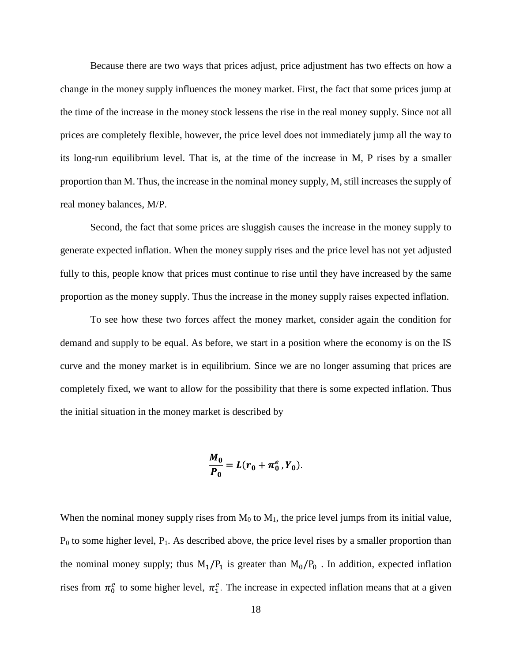Because there are two ways that prices adjust, price adjustment has two effects on how a change in the money supply influences the money market. First, the fact that some prices jump at the time of the increase in the money stock lessens the rise in the real money supply. Since not all prices are completely flexible, however, the price level does not immediately jump all the way to its long-run equilibrium level. That is, at the time of the increase in M, P rises by a smaller proportion than M. Thus, the increase in the nominal money supply, M, still increases the supply of real money balances, M/P.

Second, the fact that some prices are sluggish causes the increase in the money supply to generate expected inflation. When the money supply rises and the price level has not yet adjusted fully to this, people know that prices must continue to rise until they have increased by the same proportion as the money supply. Thus the increase in the money supply raises expected inflation.

To see how these two forces affect the money market, consider again the condition for demand and supply to be equal. As before, we start in a position where the economy is on the IS curve and the money market is in equilibrium. Since we are no longer assuming that prices are completely fixed, we want to allow for the possibility that there is some expected inflation. Thus the initial situation in the money market is described by

$$
\frac{M_0}{P_0} = L(r_0 + \pi_0^e, Y_0).
$$

When the nominal money supply rises from  $M_0$  to  $M_1$ , the price level jumps from its initial value,  $P_0$  to some higher level,  $P_1$ . As described above, the price level rises by a smaller proportion than the nominal money supply; thus  $M_1/P_1$  is greater than  $M_0/P_0$ . In addition, expected inflation rises from  $\pi_0^e$  to some higher level,  $\pi_1^e$ . The increase in expected inflation means that at a given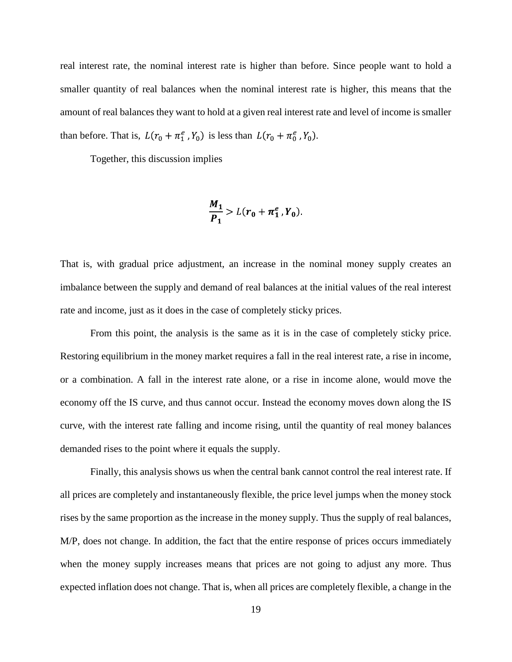real interest rate, the nominal interest rate is higher than before. Since people want to hold a smaller quantity of real balances when the nominal interest rate is higher, this means that the amount of real balances they want to hold at a given real interest rate and level of income is smaller than before. That is,  $L(r_0 + \pi_1^e, Y_0)$  is less than  $L(r_0 + \pi_0^e, Y_0)$ .

Together, this discussion implies

$$
\frac{M_1}{P_1} > L(r_0 + \pi_1^e, Y_0).
$$

That is, with gradual price adjustment, an increase in the nominal money supply creates an imbalance between the supply and demand of real balances at the initial values of the real interest rate and income, just as it does in the case of completely sticky prices.

From this point, the analysis is the same as it is in the case of completely sticky price. Restoring equilibrium in the money market requires a fall in the real interest rate, a rise in income, or a combination. A fall in the interest rate alone, or a rise in income alone, would move the economy off the IS curve, and thus cannot occur. Instead the economy moves down along the IS curve, with the interest rate falling and income rising, until the quantity of real money balances demanded rises to the point where it equals the supply.

Finally, this analysis shows us when the central bank cannot control the real interest rate. If all prices are completely and instantaneously flexible, the price level jumps when the money stock rises by the same proportion as the increase in the money supply. Thus the supply of real balances, M/P, does not change. In addition, the fact that the entire response of prices occurs immediately when the money supply increases means that prices are not going to adjust any more. Thus expected inflation does not change. That is, when all prices are completely flexible, a change in the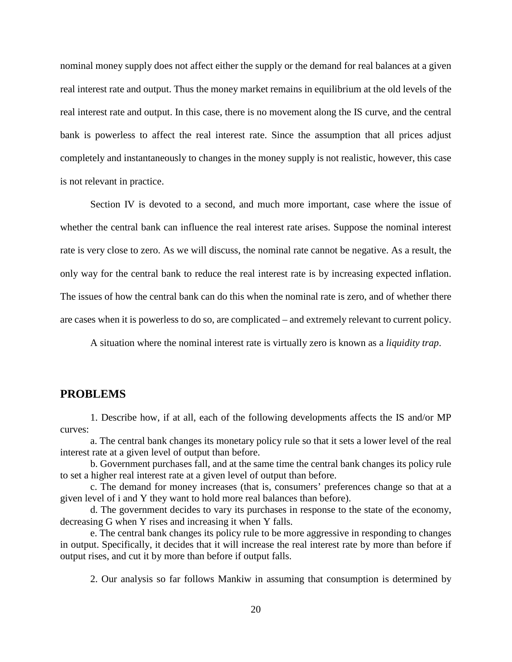nominal money supply does not affect either the supply or the demand for real balances at a given real interest rate and output. Thus the money market remains in equilibrium at the old levels of the real interest rate and output. In this case, there is no movement along the IS curve, and the central bank is powerless to affect the real interest rate. Since the assumption that all prices adjust completely and instantaneously to changes in the money supply is not realistic, however, this case is not relevant in practice.

Section IV is devoted to a second, and much more important, case where the issue of whether the central bank can influence the real interest rate arises. Suppose the nominal interest rate is very close to zero. As we will discuss, the nominal rate cannot be negative. As a result, the only way for the central bank to reduce the real interest rate is by increasing expected inflation. The issues of how the central bank can do this when the nominal rate is zero, and of whether there are cases when it is powerless to do so, are complicated – and extremely relevant to current policy.

A situation where the nominal interest rate is virtually zero is known as a *liquidity trap*.

### **PROBLEMS**

1. Describe how, if at all, each of the following developments affects the IS and/or MP curves:

a. The central bank changes its monetary policy rule so that it sets a lower level of the real interest rate at a given level of output than before.

b. Government purchases fall, and at the same time the central bank changes its policy rule to set a higher real interest rate at a given level of output than before.

c. The demand for money increases (that is, consumers' preferences change so that at a given level of i and Y they want to hold more real balances than before).

d. The government decides to vary its purchases in response to the state of the economy, decreasing G when Y rises and increasing it when Y falls.

e. The central bank changes its policy rule to be more aggressive in responding to changes in output. Specifically, it decides that it will increase the real interest rate by more than before if output rises, and cut it by more than before if output falls.

2. Our analysis so far follows Mankiw in assuming that consumption is determined by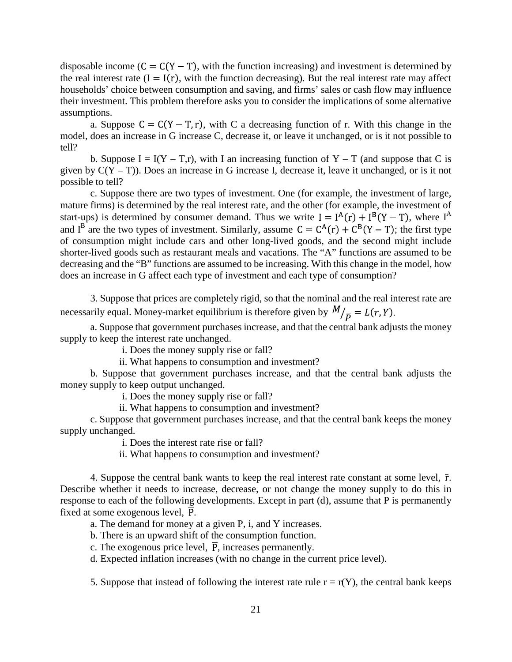disposable income  $(C = C(Y - T))$ , with the function increasing) and investment is determined by the real interest rate  $(I = I(r)$ , with the function decreasing). But the real interest rate may affect households' choice between consumption and saving, and firms' sales or cash flow may influence their investment. This problem therefore asks you to consider the implications of some alternative assumptions.

a. Suppose  $C = C(Y - T, r)$ , with C a decreasing function of r. With this change in the model, does an increase in G increase C, decrease it, or leave it unchanged, or is it not possible to tell?

b. Suppose  $I = I(Y - T,r)$ , with I an increasing function of Y – T (and suppose that C is given by  $C(Y - T)$ ). Does an increase in G increase I, decrease it, leave it unchanged, or is it not possible to tell?

c. Suppose there are two types of investment. One (for example, the investment of large, mature firms) is determined by the real interest rate, and the other (for example, the investment of start-ups) is determined by consumer demand. Thus we write  $I = I^{A}(r) + I^{B}(Y - T)$ , where  $I^{A}$ and I<sup>B</sup> are the two types of investment. Similarly, assume  $C = C^{A}(r) + C^{B}(Y - T)$ ; the first type of consumption might include cars and other long-lived goods, and the second might include shorter-lived goods such as restaurant meals and vacations. The "A" functions are assumed to be decreasing and the "B" functions are assumed to be increasing. With this change in the model, how does an increase in G affect each type of investment and each type of consumption?

3. Suppose that prices are completely rigid, so that the nominal and the real interest rate are necessarily equal. Money-market equilibrium is therefore given by  $M/_{\overline{D}} = L(r, Y)$ .

a. Suppose that government purchases increase, and that the central bank adjusts the money supply to keep the interest rate unchanged.

i. Does the money supply rise or fall?

ii. What happens to consumption and investment?

b. Suppose that government purchases increase, and that the central bank adjusts the money supply to keep output unchanged.

i. Does the money supply rise or fall?

ii. What happens to consumption and investment?

c. Suppose that government purchases increase, and that the central bank keeps the money supply unchanged.

i. Does the interest rate rise or fall?

ii. What happens to consumption and investment?

4. Suppose the central bank wants to keep the real interest rate constant at some level,  $\bar{r}$ . Describe whether it needs to increase, decrease, or not change the money supply to do this in response to each of the following developments. Except in part (d), assume that P is permanently fixed at some exogenous level,  $\overline{P}$ .

a. The demand for money at a given P, i, and Y increases.

b. There is an upward shift of the consumption function.

c. The exogenous price level,  $\overline{P}$ , increases permanently.

d. Expected inflation increases (with no change in the current price level).

5. Suppose that instead of following the interest rate rule  $r = r(Y)$ , the central bank keeps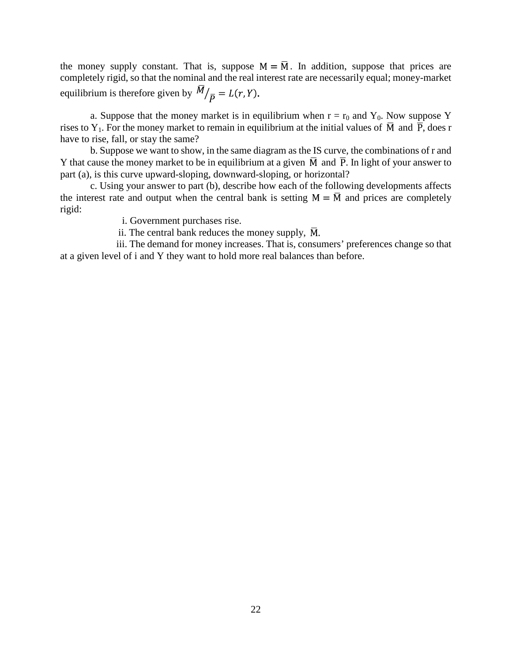the money supply constant. That is, suppose  $M = \overline{M}$ . In addition, suppose that prices are completely rigid, so that the nominal and the real interest rate are necessarily equal; money-market equilibrium is therefore given by  $M/_{\overline{D}} = L(r, Y)$ .

a. Suppose that the money market is in equilibrium when  $r = r_0$  and  $Y_0$ . Now suppose Y rises to Y<sub>1</sub>. For the money market to remain in equilibrium at the initial values of  $\overline{M}$  and  $\overline{P}$ , does r have to rise, fall, or stay the same?

b. Suppose we want to show, in the same diagram as the IS curve, the combinations of r and Y that cause the money market to be in equilibrium at a given  $\overline{M}$  and  $\overline{P}$ . In light of your answer to part (a), is this curve upward-sloping, downward-sloping, or horizontal?

c. Using your answer to part (b), describe how each of the following developments affects the interest rate and output when the central bank is setting  $M = \overline{M}$  and prices are completely rigid:

i. Government purchases rise.

ii. The central bank reduces the money supply,  $\overline{M}$ .

 iii. The demand for money increases. That is, consumers' preferences change so that at a given level of i and Y they want to hold more real balances than before.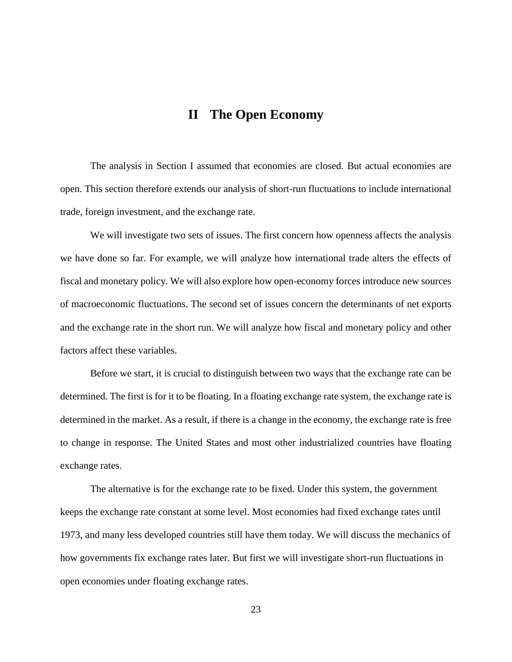# **II The Open Economy**

The analysis in Section I assumed that economies are closed. But actual economies are open. This section therefore extends our analysis of short-run fluctuations to include international trade, foreign investment, and the exchange rate.

We will investigate two sets of issues. The first concern how openness affects the analysis we have done so far. For example, we will analyze how international trade alters the effects of fiscal and monetary policy. We will also explore how open-economy forces introduce new sources of macroeconomic fluctuations. The second set of issues concern the determinants of net exports and the exchange rate in the short run. We will analyze how fiscal and monetary policy and other factors affect these variables.

Before we start, it is crucial to distinguish between two ways that the exchange rate can be determined. The first is for it to be floating. In a floating exchange rate system, the exchange rate is determined in the market. As a result, if there is a change in the economy, the exchange rate is free to change in response. The United States and most other industrialized countries have floating exchange rates.

The alternative is for the exchange rate to be fixed. Under this system, the government keeps the exchange rate constant at some level. Most economies had fixed exchange rates until 1973, and many less developed countries still have them today. We will discuss the mechanics of how governments fix exchange rates later. But first we will investigate short-run fluctuations in open economies under floating exchange rates.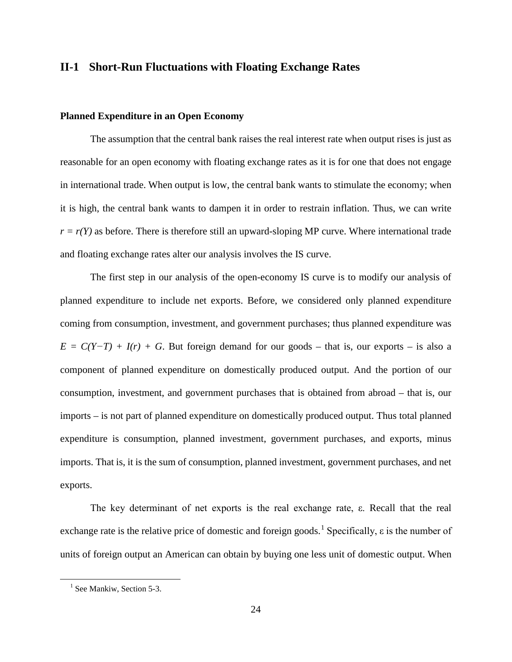## **II-1 Short-Run Fluctuations with Floating Exchange Rates**

### **Planned Expenditure in an Open Economy**

The assumption that the central bank raises the real interest rate when output rises is just as reasonable for an open economy with floating exchange rates as it is for one that does not engage in international trade. When output is low, the central bank wants to stimulate the economy; when it is high, the central bank wants to dampen it in order to restrain inflation. Thus, we can write  $r = r(Y)$  as before. There is therefore still an upward-sloping MP curve. Where international trade and floating exchange rates alter our analysis involves the IS curve.

The first step in our analysis of the open-economy IS curve is to modify our analysis of planned expenditure to include net exports. Before, we considered only planned expenditure coming from consumption, investment, and government purchases; thus planned expenditure was  $E = C(Y-T) + I(r) + G$ . But foreign demand for our goods – that is, our exports – is also a component of planned expenditure on domestically produced output. And the portion of our consumption, investment, and government purchases that is obtained from abroad – that is, our imports – is not part of planned expenditure on domestically produced output. Thus total planned expenditure is consumption, planned investment, government purchases, and exports, minus imports. That is, it is the sum of consumption, planned investment, government purchases, and net exports.

The key determinant of net exports is the real exchange rate, ε. Recall that the real exchange rate is the relative price of domestic and foreign goods.<sup>[1](#page-31-0)</sup> Specifically,  $\varepsilon$  is the number of units of foreign output an American can obtain by buying one less unit of domestic output. When

<span id="page-31-0"></span> $<sup>1</sup>$  See Mankiw, Section 5-3.</sup>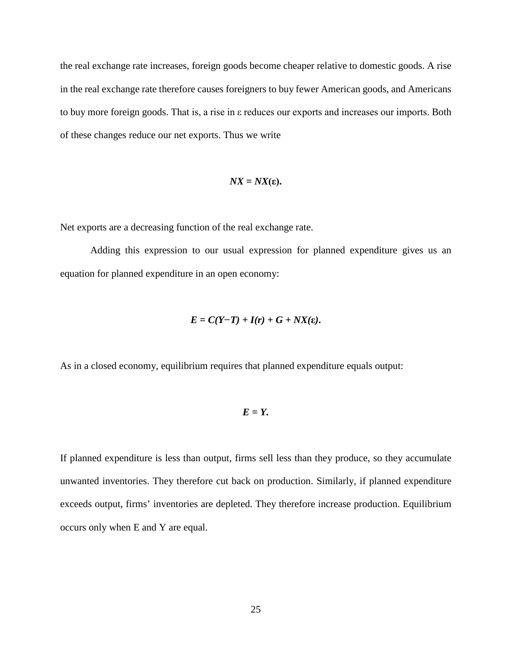the real exchange rate increases, foreign goods become cheaper relative to domestic goods. A rise in the real exchange rate therefore causes foreigners to buy fewer American goods, and Americans to buy more foreign goods. That is, a rise in ε reduces our exports and increases our imports. Both of these changes reduce our net exports. Thus we write

$$
NX = NX(\varepsilon).
$$

Net exports are a decreasing function of the real exchange rate.

Adding this expression to our usual expression for planned expenditure gives us an equation for planned expenditure in an open economy:

$$
E=C(Y-T)+I(r)+G+NX(\epsilon).
$$

As in a closed economy, equilibrium requires that planned expenditure equals output:

#### *E = Y.*

If planned expenditure is less than output, firms sell less than they produce, so they accumulate unwanted inventories. They therefore cut back on production. Similarly, if planned expenditure exceeds output, firms' inventories are depleted. They therefore increase production. Equilibrium occurs only when E and Y are equal.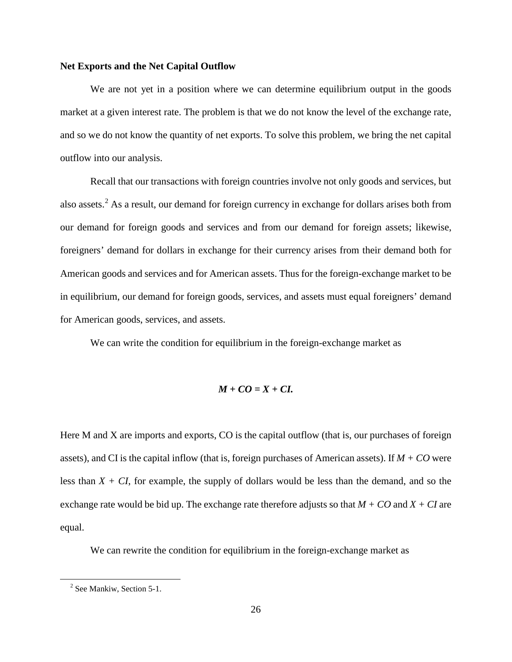#### **Net Exports and the Net Capital Outflow**

We are not yet in a position where we can determine equilibrium output in the goods market at a given interest rate. The problem is that we do not know the level of the exchange rate, and so we do not know the quantity of net exports. To solve this problem, we bring the net capital outflow into our analysis.

Recall that our transactions with foreign countries involve not only goods and services, but also assets.<sup>[2](#page-33-0)</sup> As a result, our demand for foreign currency in exchange for dollars arises both from our demand for foreign goods and services and from our demand for foreign assets; likewise, foreigners' demand for dollars in exchange for their currency arises from their demand both for American goods and services and for American assets. Thus for the foreign-exchange market to be in equilibrium, our demand for foreign goods, services, and assets must equal foreigners' demand for American goods, services, and assets.

We can write the condition for equilibrium in the foreign-exchange market as

$$
M+CO=X+CI.
$$

Here M and X are imports and exports, CO is the capital outflow (that is, our purchases of foreign assets), and CI is the capital inflow (that is, foreign purchases of American assets). If *M + CO* were less than  $X + CI$ , for example, the supply of dollars would be less than the demand, and so the exchange rate would be bid up. The exchange rate therefore adjusts so that *M + CO* and *X + CI* are equal.

We can rewrite the condition for equilibrium in the foreign-exchange market as

<span id="page-33-0"></span><sup>&</sup>lt;sup>2</sup> See Mankiw, Section 5-1.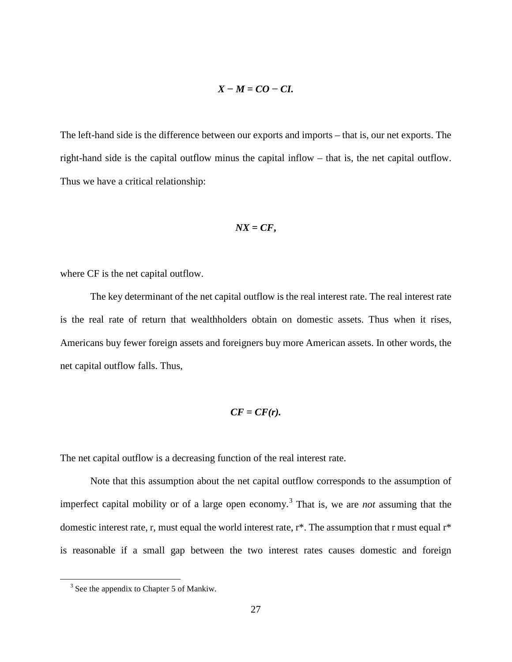$$
X-M=CO-CI.
$$

The left-hand side is the difference between our exports and imports – that is, our net exports. The right-hand side is the capital outflow minus the capital inflow – that is, the net capital outflow. Thus we have a critical relationship:

$$
NX = CF,
$$

where CF is the net capital outflow.

The key determinant of the net capital outflow is the real interest rate. The real interest rate is the real rate of return that wealthholders obtain on domestic assets. Thus when it rises, Americans buy fewer foreign assets and foreigners buy more American assets. In other words, the net capital outflow falls. Thus,

$$
CF = CF(r).
$$

The net capital outflow is a decreasing function of the real interest rate.

Note that this assumption about the net capital outflow corresponds to the assumption of imperfect capital mobility or of a large open economy.[3](#page-34-0) That is, we are *not* assuming that the domestic interest rate, r, must equal the world interest rate, r\*. The assumption that r must equal r\* is reasonable if a small gap between the two interest rates causes domestic and foreign

<span id="page-34-0"></span><sup>&</sup>lt;sup>3</sup> See the appendix to Chapter 5 of Mankiw.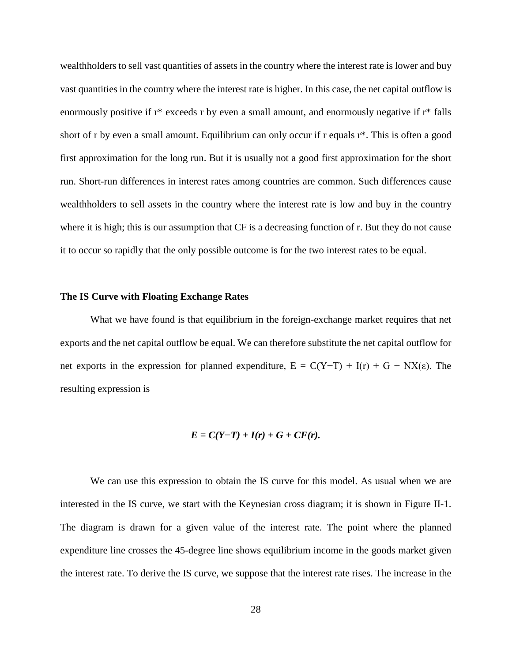wealthholders to sell vast quantities of assets in the country where the interest rate is lower and buy vast quantities in the country where the interest rate is higher. In this case, the net capital outflow is enormously positive if r\* exceeds r by even a small amount, and enormously negative if r\* falls short of r by even a small amount. Equilibrium can only occur if r equals r\*. This is often a good first approximation for the long run. But it is usually not a good first approximation for the short run. Short-run differences in interest rates among countries are common. Such differences cause wealthholders to sell assets in the country where the interest rate is low and buy in the country where it is high; this is our assumption that CF is a decreasing function of r. But they do not cause it to occur so rapidly that the only possible outcome is for the two interest rates to be equal.

#### **The IS Curve with Floating Exchange Rates**

What we have found is that equilibrium in the foreign-exchange market requires that net exports and the net capital outflow be equal. We can therefore substitute the net capital outflow for net exports in the expression for planned expenditure,  $E = C(Y-T) + I(r) + G + NX(\epsilon)$ . The resulting expression is

$$
E=C(Y-T)+I(r)+G+CF(r).
$$

We can use this expression to obtain the IS curve for this model. As usual when we are interested in the IS curve, we start with the Keynesian cross diagram; it is shown in Figure II-1. The diagram is drawn for a given value of the interest rate. The point where the planned expenditure line crosses the 45-degree line shows equilibrium income in the goods market given the interest rate. To derive the IS curve, we suppose that the interest rate rises. The increase in the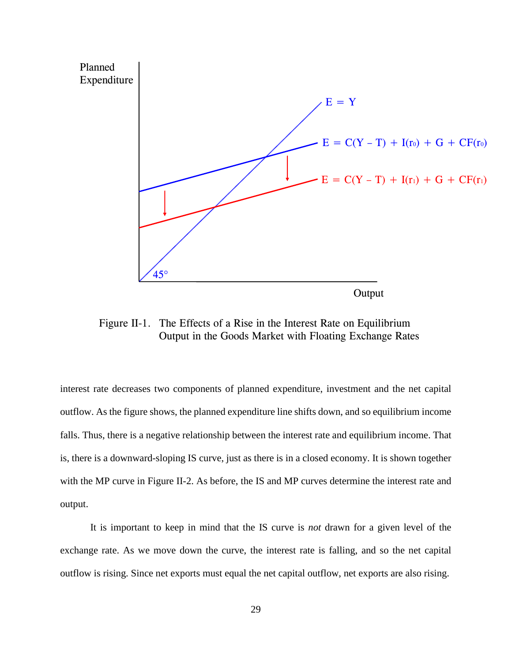

Figure II-1. The Effects of a Rise in the Interest Rate on Equilibrium Output in the Goods Market with Floating Exchange Rates

interest rate decreases two components of planned expenditure, investment and the net capital outflow. As the figure shows, the planned expenditure line shifts down, and so equilibrium income falls. Thus, there is a negative relationship between the interest rate and equilibrium income. That is, there is a downward-sloping IS curve, just as there is in a closed economy. It is shown together with the MP curve in Figure II-2. As before, the IS and MP curves determine the interest rate and output.

It is important to keep in mind that the IS curve is *not* drawn for a given level of the exchange rate. As we move down the curve, the interest rate is falling, and so the net capital outflow is rising. Since net exports must equal the net capital outflow, net exports are also rising.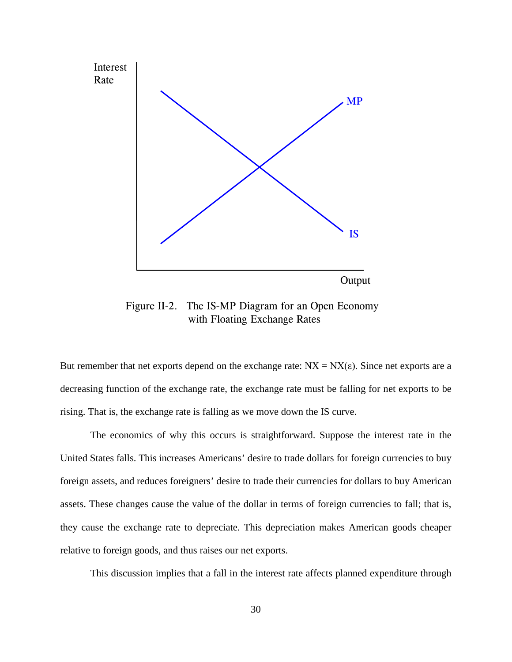

Figure II-2. The IS-MP Diagram for an Open Economy with Floating Exchange Rates

But remember that net exports depend on the exchange rate:  $NX = NX(\epsilon)$ . Since net exports are a decreasing function of the exchange rate, the exchange rate must be falling for net exports to be rising. That is, the exchange rate is falling as we move down the IS curve.

The economics of why this occurs is straightforward. Suppose the interest rate in the United States falls. This increases Americans' desire to trade dollars for foreign currencies to buy foreign assets, and reduces foreigners' desire to trade their currencies for dollars to buy American assets. These changes cause the value of the dollar in terms of foreign currencies to fall; that is, they cause the exchange rate to depreciate. This depreciation makes American goods cheaper relative to foreign goods, and thus raises our net exports.

This discussion implies that a fall in the interest rate affects planned expenditure through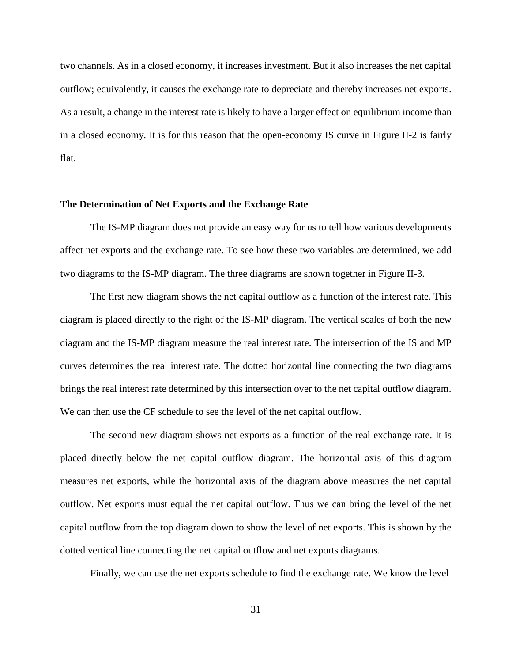two channels. As in a closed economy, it increases investment. But it also increases the net capital outflow; equivalently, it causes the exchange rate to depreciate and thereby increases net exports. As a result, a change in the interest rate is likely to have a larger effect on equilibrium income than in a closed economy. It is for this reason that the open-economy IS curve in Figure II-2 is fairly flat.

#### **The Determination of Net Exports and the Exchange Rate**

The IS-MP diagram does not provide an easy way for us to tell how various developments affect net exports and the exchange rate. To see how these two variables are determined, we add two diagrams to the IS-MP diagram. The three diagrams are shown together in Figure II-3.

The first new diagram shows the net capital outflow as a function of the interest rate. This diagram is placed directly to the right of the IS-MP diagram. The vertical scales of both the new diagram and the IS-MP diagram measure the real interest rate. The intersection of the IS and MP curves determines the real interest rate. The dotted horizontal line connecting the two diagrams brings the real interest rate determined by this intersection over to the net capital outflow diagram. We can then use the CF schedule to see the level of the net capital outflow.

The second new diagram shows net exports as a function of the real exchange rate. It is placed directly below the net capital outflow diagram. The horizontal axis of this diagram measures net exports, while the horizontal axis of the diagram above measures the net capital outflow. Net exports must equal the net capital outflow. Thus we can bring the level of the net capital outflow from the top diagram down to show the level of net exports. This is shown by the dotted vertical line connecting the net capital outflow and net exports diagrams.

Finally, we can use the net exports schedule to find the exchange rate. We know the level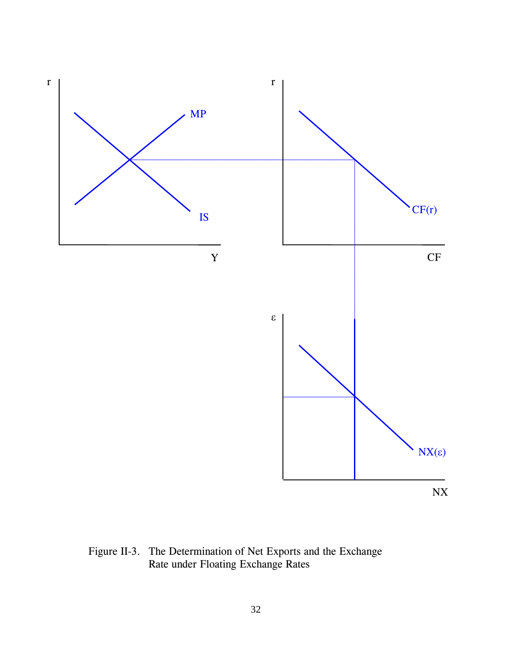

Figure II-3. The Determination of Net Exports and the Exchange Rate under Floating Exchange Rates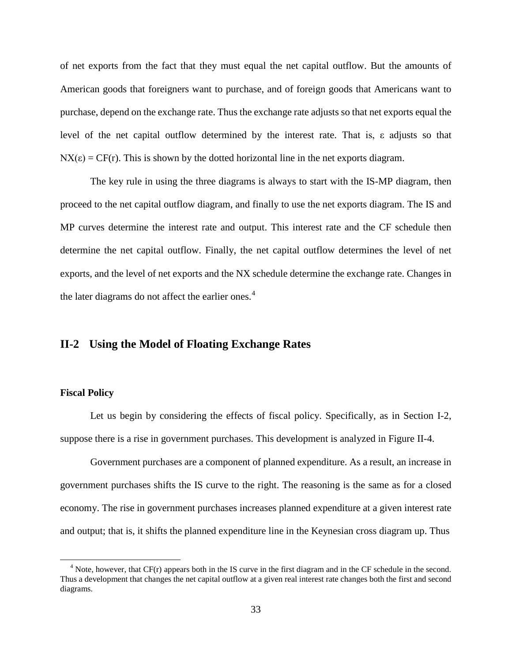of net exports from the fact that they must equal the net capital outflow. But the amounts of American goods that foreigners want to purchase, and of foreign goods that Americans want to purchase, depend on the exchange rate. Thus the exchange rate adjusts so that net exports equal the level of the net capital outflow determined by the interest rate. That is, ε adjusts so that  $NX(\epsilon) = CF(r)$ . This is shown by the dotted horizontal line in the net exports diagram.

The key rule in using the three diagrams is always to start with the IS-MP diagram, then proceed to the net capital outflow diagram, and finally to use the net exports diagram. The IS and MP curves determine the interest rate and output. This interest rate and the CF schedule then determine the net capital outflow. Finally, the net capital outflow determines the level of net exports, and the level of net exports and the NX schedule determine the exchange rate. Changes in the later diagrams do not affect the earlier ones.<sup>[4](#page-40-0)</sup>

# **II-2 Using the Model of Floating Exchange Rates**

## **Fiscal Policy**

Let us begin by considering the effects of fiscal policy. Specifically, as in Section I-2, suppose there is a rise in government purchases. This development is analyzed in Figure II-4.

Government purchases are a component of planned expenditure. As a result, an increase in government purchases shifts the IS curve to the right. The reasoning is the same as for a closed economy. The rise in government purchases increases planned expenditure at a given interest rate and output; that is, it shifts the planned expenditure line in the Keynesian cross diagram up. Thus

<span id="page-40-0"></span> $<sup>4</sup>$  Note, however, that CF(r) appears both in the IS curve in the first diagram and in the CF schedule in the second.</sup> Thus a development that changes the net capital outflow at a given real interest rate changes both the first and second diagrams.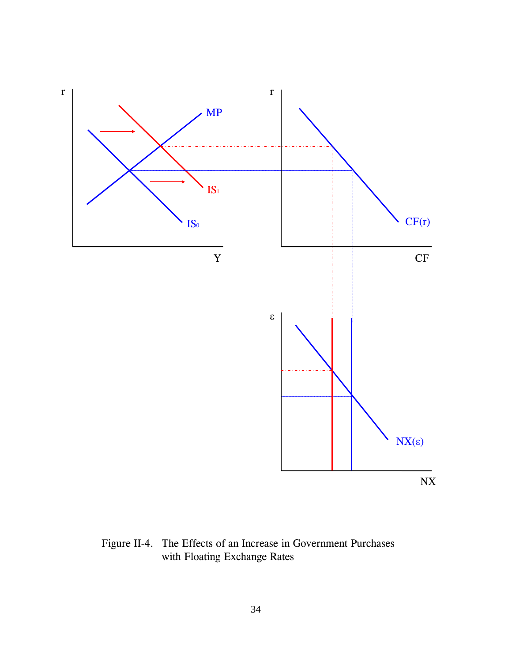

Figure II-4. The Effects of an Increase in Government Purchases with Floating Exchange Rates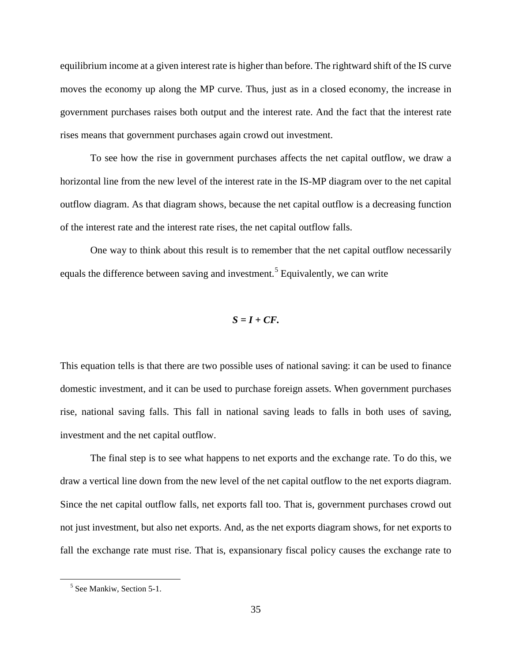equilibrium income at a given interest rate is higher than before. The rightward shift of the IS curve moves the economy up along the MP curve. Thus, just as in a closed economy, the increase in government purchases raises both output and the interest rate. And the fact that the interest rate rises means that government purchases again crowd out investment.

To see how the rise in government purchases affects the net capital outflow, we draw a horizontal line from the new level of the interest rate in the IS-MP diagram over to the net capital outflow diagram. As that diagram shows, because the net capital outflow is a decreasing function of the interest rate and the interest rate rises, the net capital outflow falls.

One way to think about this result is to remember that the net capital outflow necessarily equals the difference between saving and investment.<sup>[5](#page-42-0)</sup> Equivalently, we can write

$$
S=I+CF.
$$

This equation tells is that there are two possible uses of national saving: it can be used to finance domestic investment, and it can be used to purchase foreign assets. When government purchases rise, national saving falls. This fall in national saving leads to falls in both uses of saving, investment and the net capital outflow.

The final step is to see what happens to net exports and the exchange rate. To do this, we draw a vertical line down from the new level of the net capital outflow to the net exports diagram. Since the net capital outflow falls, net exports fall too. That is, government purchases crowd out not just investment, but also net exports. And, as the net exports diagram shows, for net exports to fall the exchange rate must rise. That is, expansionary fiscal policy causes the exchange rate to

<span id="page-42-0"></span><sup>5</sup> See Mankiw, Section 5-1.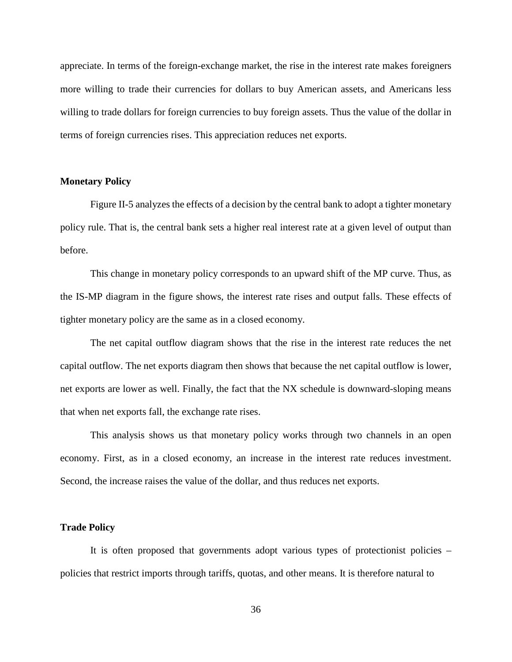appreciate. In terms of the foreign-exchange market, the rise in the interest rate makes foreigners more willing to trade their currencies for dollars to buy American assets, and Americans less willing to trade dollars for foreign currencies to buy foreign assets. Thus the value of the dollar in terms of foreign currencies rises. This appreciation reduces net exports.

### **Monetary Policy**

Figure II-5 analyzes the effects of a decision by the central bank to adopt a tighter monetary policy rule. That is, the central bank sets a higher real interest rate at a given level of output than before.

This change in monetary policy corresponds to an upward shift of the MP curve. Thus, as the IS-MP diagram in the figure shows, the interest rate rises and output falls. These effects of tighter monetary policy are the same as in a closed economy.

The net capital outflow diagram shows that the rise in the interest rate reduces the net capital outflow. The net exports diagram then shows that because the net capital outflow is lower, net exports are lower as well. Finally, the fact that the NX schedule is downward-sloping means that when net exports fall, the exchange rate rises.

This analysis shows us that monetary policy works through two channels in an open economy. First, as in a closed economy, an increase in the interest rate reduces investment. Second, the increase raises the value of the dollar, and thus reduces net exports.

#### **Trade Policy**

It is often proposed that governments adopt various types of protectionist policies – policies that restrict imports through tariffs, quotas, and other means. It is therefore natural to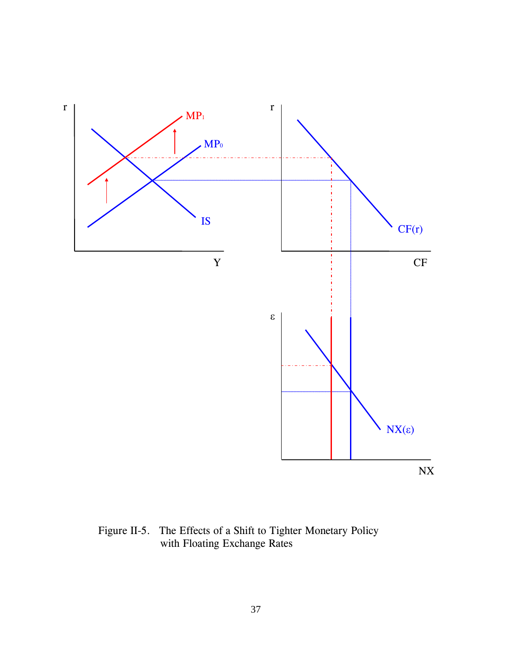

Figure II-5. The Effects of a Shift to Tighter Monetary Policy with Floating Exchange Rates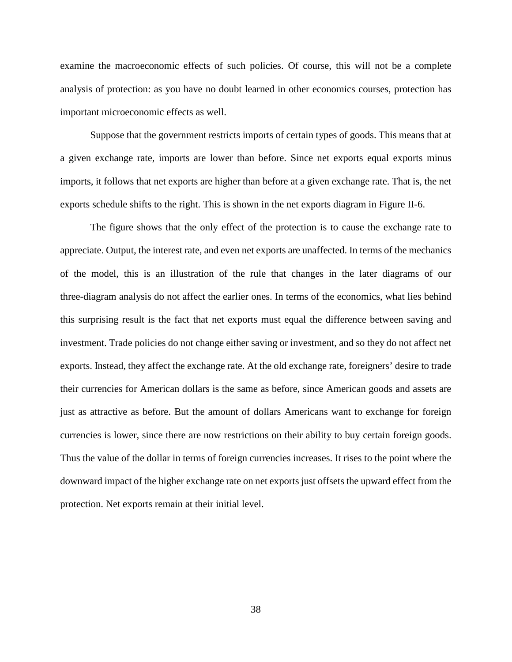examine the macroeconomic effects of such policies. Of course, this will not be a complete analysis of protection: as you have no doubt learned in other economics courses, protection has important microeconomic effects as well.

Suppose that the government restricts imports of certain types of goods. This means that at a given exchange rate, imports are lower than before. Since net exports equal exports minus imports, it follows that net exports are higher than before at a given exchange rate. That is, the net exports schedule shifts to the right. This is shown in the net exports diagram in Figure II-6.

The figure shows that the only effect of the protection is to cause the exchange rate to appreciate. Output, the interest rate, and even net exports are unaffected. In terms of the mechanics of the model, this is an illustration of the rule that changes in the later diagrams of our three-diagram analysis do not affect the earlier ones. In terms of the economics, what lies behind this surprising result is the fact that net exports must equal the difference between saving and investment. Trade policies do not change either saving or investment, and so they do not affect net exports. Instead, they affect the exchange rate. At the old exchange rate, foreigners' desire to trade their currencies for American dollars is the same as before, since American goods and assets are just as attractive as before. But the amount of dollars Americans want to exchange for foreign currencies is lower, since there are now restrictions on their ability to buy certain foreign goods. Thus the value of the dollar in terms of foreign currencies increases. It rises to the point where the downward impact of the higher exchange rate on net exports just offsets the upward effect from the protection. Net exports remain at their initial level.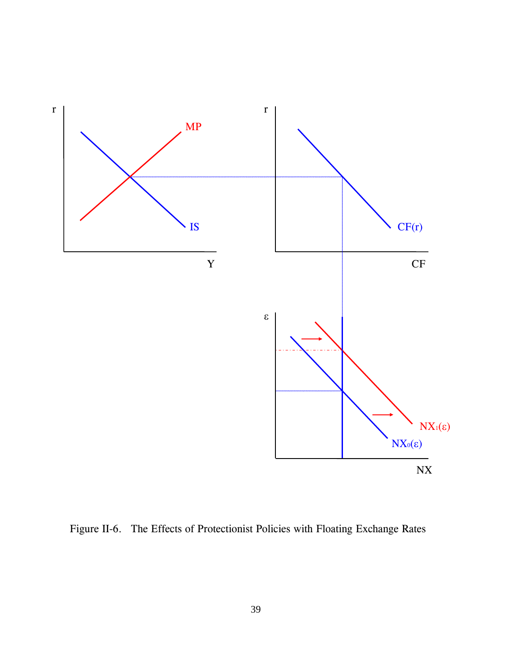

Figure II-6. The Effects of Protectionist Policies with Floating Exchange Rates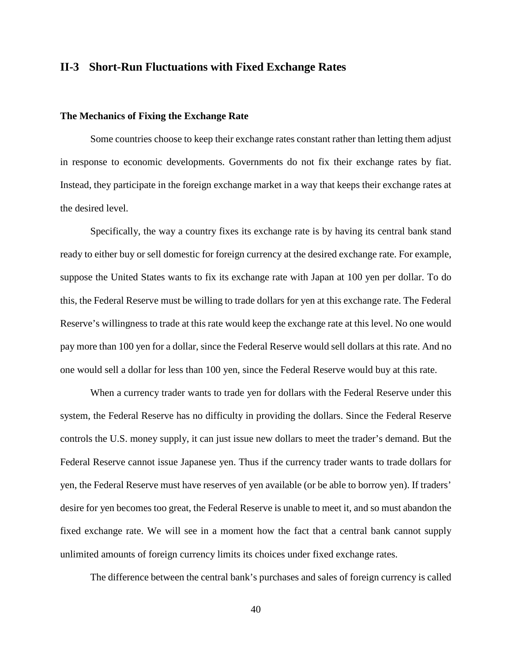## **II-3 Short-Run Fluctuations with Fixed Exchange Rates**

#### **The Mechanics of Fixing the Exchange Rate**

Some countries choose to keep their exchange rates constant rather than letting them adjust in response to economic developments. Governments do not fix their exchange rates by fiat. Instead, they participate in the foreign exchange market in a way that keeps their exchange rates at the desired level.

Specifically, the way a country fixes its exchange rate is by having its central bank stand ready to either buy or sell domestic for foreign currency at the desired exchange rate. For example, suppose the United States wants to fix its exchange rate with Japan at 100 yen per dollar. To do this, the Federal Reserve must be willing to trade dollars for yen at this exchange rate. The Federal Reserve's willingness to trade at this rate would keep the exchange rate at this level. No one would pay more than 100 yen for a dollar, since the Federal Reserve would sell dollars at this rate. And no one would sell a dollar for less than 100 yen, since the Federal Reserve would buy at this rate.

When a currency trader wants to trade yen for dollars with the Federal Reserve under this system, the Federal Reserve has no difficulty in providing the dollars. Since the Federal Reserve controls the U.S. money supply, it can just issue new dollars to meet the trader's demand. But the Federal Reserve cannot issue Japanese yen. Thus if the currency trader wants to trade dollars for yen, the Federal Reserve must have reserves of yen available (or be able to borrow yen). If traders' desire for yen becomes too great, the Federal Reserve is unable to meet it, and so must abandon the fixed exchange rate. We will see in a moment how the fact that a central bank cannot supply unlimited amounts of foreign currency limits its choices under fixed exchange rates.

The difference between the central bank's purchases and sales of foreign currency is called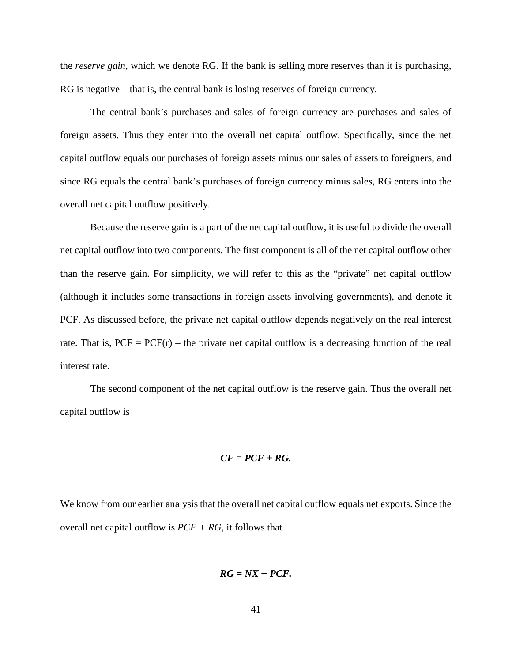the *reserve gain*, which we denote RG. If the bank is selling more reserves than it is purchasing, RG is negative – that is, the central bank is losing reserves of foreign currency.

The central bank's purchases and sales of foreign currency are purchases and sales of foreign assets. Thus they enter into the overall net capital outflow. Specifically, since the net capital outflow equals our purchases of foreign assets minus our sales of assets to foreigners, and since RG equals the central bank's purchases of foreign currency minus sales, RG enters into the overall net capital outflow positively.

Because the reserve gain is a part of the net capital outflow, it is useful to divide the overall net capital outflow into two components. The first component is all of the net capital outflow other than the reserve gain. For simplicity, we will refer to this as the "private" net capital outflow (although it includes some transactions in foreign assets involving governments), and denote it PCF. As discussed before, the private net capital outflow depends negatively on the real interest rate. That is,  $PCF = PCF(r)$  – the private net capital outflow is a decreasing function of the real interest rate.

The second component of the net capital outflow is the reserve gain. Thus the overall net capital outflow is

$$
CF = PCF + RG.
$$

We know from our earlier analysis that the overall net capital outflow equals net exports. Since the overall net capital outflow is *PCF + RG*, it follows that

$$
RG = NX - PCF.
$$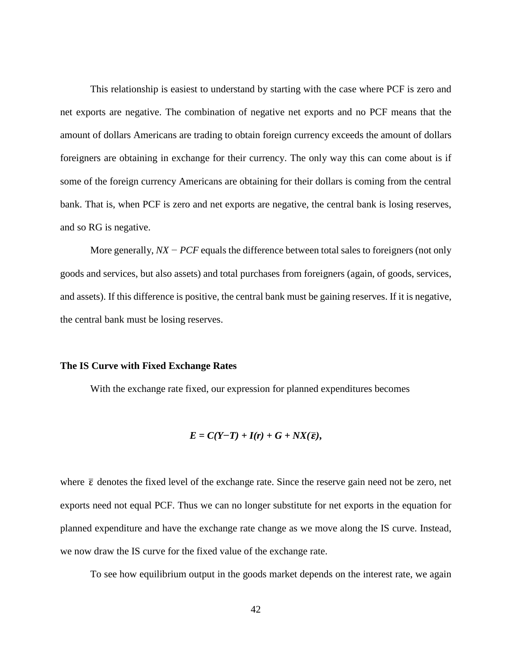This relationship is easiest to understand by starting with the case where PCF is zero and net exports are negative. The combination of negative net exports and no PCF means that the amount of dollars Americans are trading to obtain foreign currency exceeds the amount of dollars foreigners are obtaining in exchange for their currency. The only way this can come about is if some of the foreign currency Americans are obtaining for their dollars is coming from the central bank. That is, when PCF is zero and net exports are negative, the central bank is losing reserves, and so RG is negative.

More generally, *NX − PCF* equals the difference between total sales to foreigners (not only goods and services, but also assets) and total purchases from foreigners (again, of goods, services, and assets). If this difference is positive, the central bank must be gaining reserves. If it is negative, the central bank must be losing reserves.

#### **The IS Curve with Fixed Exchange Rates**

With the exchange rate fixed, our expression for planned expenditures becomes

$$
E=C(Y-T)+I(r)+G+NX(\overline{\varepsilon}),
$$

where  $\bar{\epsilon}$  denotes the fixed level of the exchange rate. Since the reserve gain need not be zero, net exports need not equal PCF. Thus we can no longer substitute for net exports in the equation for planned expenditure and have the exchange rate change as we move along the IS curve. Instead, we now draw the IS curve for the fixed value of the exchange rate.

To see how equilibrium output in the goods market depends on the interest rate, we again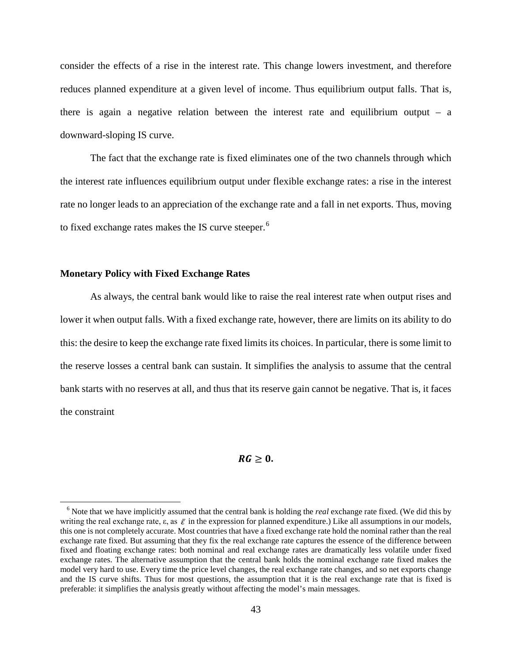consider the effects of a rise in the interest rate. This change lowers investment, and therefore reduces planned expenditure at a given level of income. Thus equilibrium output falls. That is, there is again a negative relation between the interest rate and equilibrium output – a downward-sloping IS curve.

The fact that the exchange rate is fixed eliminates one of the two channels through which the interest rate influences equilibrium output under flexible exchange rates: a rise in the interest rate no longer leads to an appreciation of the exchange rate and a fall in net exports. Thus, moving to fixed exchange rates makes the IS curve steeper.<sup>[6](#page-50-0)</sup>

## **Monetary Policy with Fixed Exchange Rates**

As always, the central bank would like to raise the real interest rate when output rises and lower it when output falls. With a fixed exchange rate, however, there are limits on its ability to do this: the desire to keep the exchange rate fixed limits its choices. In particular, there is some limit to the reserve losses a central bank can sustain. It simplifies the analysis to assume that the central bank starts with no reserves at all, and thus that its reserve gain cannot be negative. That is, it faces the constraint

#### $RG \geq 0$ .

<span id="page-50-0"></span><sup>6</sup> Note that we have implicitly assumed that the central bank is holding the *real* exchange rate fixed. (We did this by writing the real exchange rate,  $\varepsilon$ , as  $\bar{\varepsilon}$  in the expression for planned expenditure.) Like all assumptions in our models, this one is not completely accurate. Most countries that have a fixed exchange rate hold the nominal rather than the real exchange rate fixed. But assuming that they fix the real exchange rate captures the essence of the difference between fixed and floating exchange rates: both nominal and real exchange rates are dramatically less volatile under fixed exchange rates. The alternative assumption that the central bank holds the nominal exchange rate fixed makes the model very hard to use. Every time the price level changes, the real exchange rate changes, and so net exports change and the IS curve shifts. Thus for most questions, the assumption that it is the real exchange rate that is fixed is preferable: it simplifies the analysis greatly without affecting the model's main messages.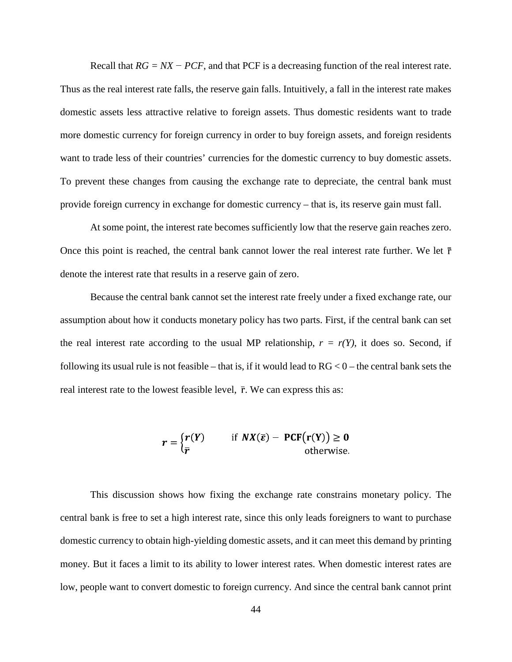Recall that *RG = NX − PCF*, and that PCF is a decreasing function of the real interest rate. Thus as the real interest rate falls, the reserve gain falls. Intuitively, a fall in the interest rate makes domestic assets less attractive relative to foreign assets. Thus domestic residents want to trade more domestic currency for foreign currency in order to buy foreign assets, and foreign residents want to trade less of their countries' currencies for the domestic currency to buy domestic assets. To prevent these changes from causing the exchange rate to depreciate, the central bank must provide foreign currency in exchange for domestic currency – that is, its reserve gain must fall.

At some point, the interest rate becomes sufficiently low that the reserve gain reaches zero. Once this point is reached, the central bank cannot lower the real interest rate further. We let  $\bar{r}$ denote the interest rate that results in a reserve gain of zero.

Because the central bank cannot set the interest rate freely under a fixed exchange rate, our assumption about how it conducts monetary policy has two parts. First, if the central bank can set the real interest rate according to the usual MP relationship,  $r = r(Y)$ , it does so. Second, if following its usual rule is not feasible – that is, if it would lead to  $RG < 0$  – the central bank sets the real interest rate to the lowest feasible level,  $\bar{r}$ . We can express this as:

$$
r = \begin{cases} r(Y) & \text{if } NX(\overline{\varepsilon}) - PCF(r(Y)) \ge 0 \\ \overline{r} & \text{otherwise.} \end{cases}
$$

This discussion shows how fixing the exchange rate constrains monetary policy. The central bank is free to set a high interest rate, since this only leads foreigners to want to purchase domestic currency to obtain high-yielding domestic assets, and it can meet this demand by printing money. But it faces a limit to its ability to lower interest rates. When domestic interest rates are low, people want to convert domestic to foreign currency. And since the central bank cannot print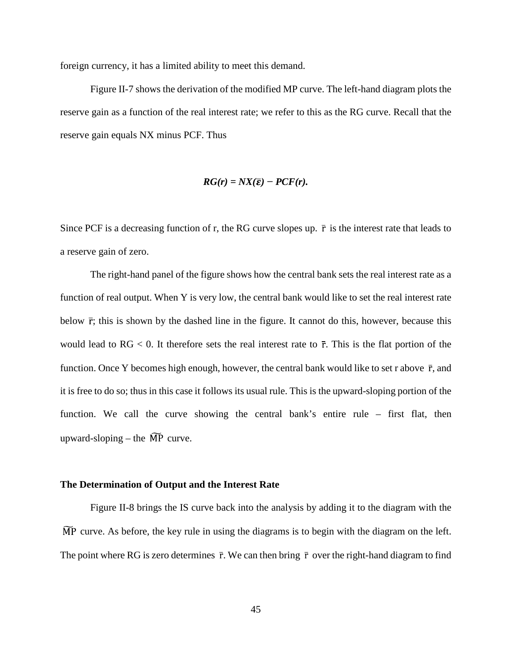foreign currency, it has a limited ability to meet this demand.

Figure II-7 shows the derivation of the modified MP curve. The left-hand diagram plots the reserve gain as a function of the real interest rate; we refer to this as the RG curve. Recall that the reserve gain equals NX minus PCF. Thus

$$
RG(r) = N X(\overline{\epsilon}) - PCF(r).
$$

Since PCF is a decreasing function of r, the RG curve slopes up.  $\bar{r}$  is the interest rate that leads to a reserve gain of zero.

The right-hand panel of the figure shows how the central bank sets the real interest rate as a function of real output. When Y is very low, the central bank would like to set the real interest rate below  $\bar{r}$ ; this is shown by the dashed line in the figure. It cannot do this, however, because this would lead to  $RG < 0$ . It therefore sets the real interest rate to  $\bar{r}$ . This is the flat portion of the function. Once Y becomes high enough, however, the central bank would like to set r above  $\bar{r}$ , and it is free to do so; thus in this case it follows its usual rule. This is the upward-sloping portion of the function. We call the curve showing the central bank's entire rule – first flat, then upward-sloping – the  $\widetilde{MP}$  curve.

#### **The Determination of Output and the Interest Rate**

Figure II-8 brings the IS curve back into the analysis by adding it to the diagram with the  $\overline{MP}$  curve. As before, the key rule in using the diagrams is to begin with the diagram on the left. The point where RG is zero determines  $\bar{r}$ . We can then bring  $\bar{r}$  over the right-hand diagram to find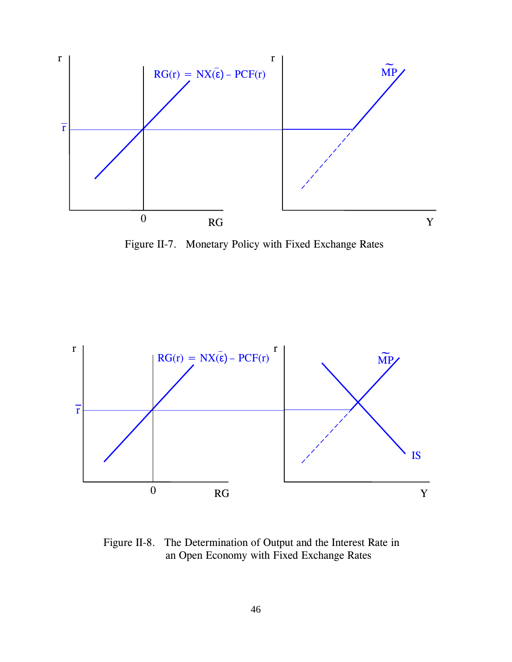

Figure II-7. Monetary Policy with Fixed Exchange Rates



Figure II-8. The Determination of Output and the Interest Rate in an Open Economy with Fixed Exchange Rates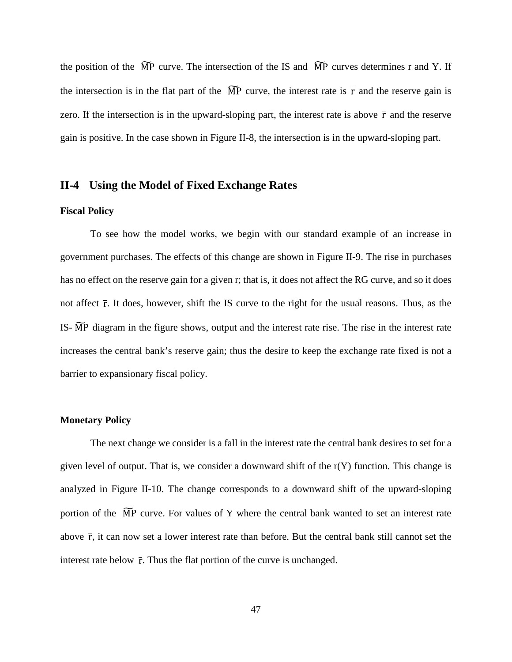the position of the  $\widetilde{MP}$  curve. The intersection of the IS and  $\widetilde{MP}$  curves determines r and Y. If the intersection is in the flat part of the  $\widetilde{MP}$  curve, the interest rate is  $\overline{r}$  and the reserve gain is zero. If the intersection is in the upward-sloping part, the interest rate is above  $\bar{r}$  and the reserve gain is positive. In the case shown in Figure II-8, the intersection is in the upward-sloping part.

## **II-4 Using the Model of Fixed Exchange Rates**

## **Fiscal Policy**

To see how the model works, we begin with our standard example of an increase in government purchases. The effects of this change are shown in Figure II-9. The rise in purchases has no effect on the reserve gain for a given r; that is, it does not affect the RG curve, and so it does not affect  $\bar{r}$ . It does, however, shift the IS curve to the right for the usual reasons. Thus, as the IS- $\widetilde{MP}$  diagram in the figure shows, output and the interest rate rise. The rise in the interest rate increases the central bank's reserve gain; thus the desire to keep the exchange rate fixed is not a barrier to expansionary fiscal policy.

#### **Monetary Policy**

The next change we consider is a fall in the interest rate the central bank desires to set for a given level of output. That is, we consider a downward shift of the  $r(Y)$  function. This change is analyzed in Figure II-10. The change corresponds to a downward shift of the upward-sloping portion of the  $\widetilde{MP}$  curve. For values of Y where the central bank wanted to set an interest rate above  $\bar{r}$ , it can now set a lower interest rate than before. But the central bank still cannot set the interest rate below  $\bar{r}$ . Thus the flat portion of the curve is unchanged.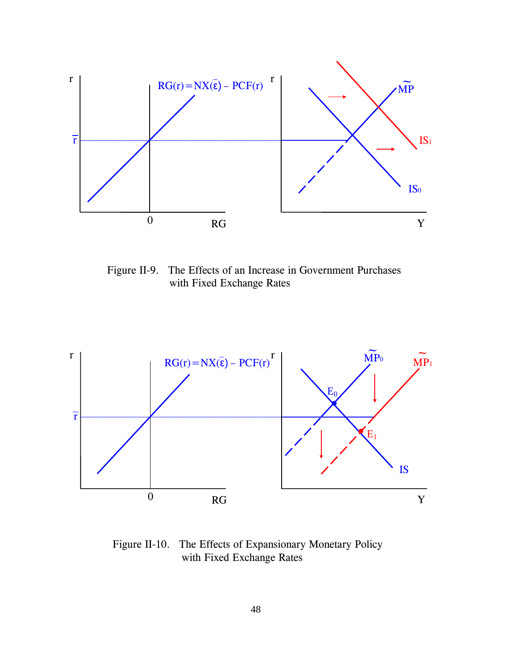

Figure II-9. The Effects of an Increase in Government Purchases with Fixed Exchange Rates



Figure II-10. The Effects of Expansionary Monetary Policy with Fixed Exchange Rates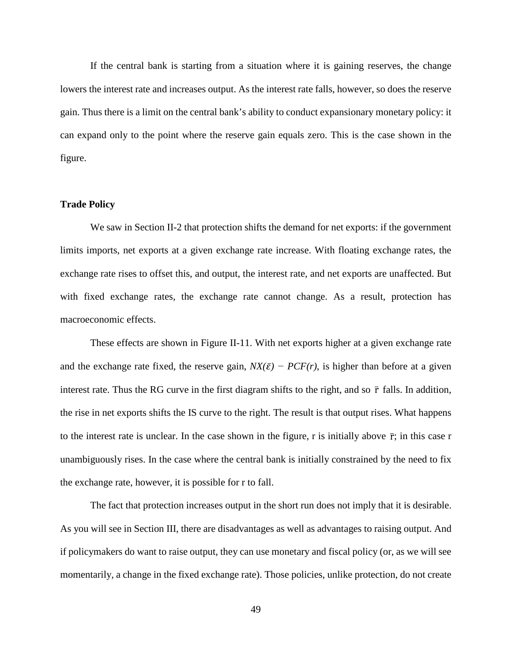If the central bank is starting from a situation where it is gaining reserves, the change lowers the interest rate and increases output. As the interest rate falls, however, so does the reserve gain. Thus there is a limit on the central bank's ability to conduct expansionary monetary policy: it can expand only to the point where the reserve gain equals zero. This is the case shown in the figure.

#### **Trade Policy**

We saw in Section II-2 that protection shifts the demand for net exports: if the government limits imports, net exports at a given exchange rate increase. With floating exchange rates, the exchange rate rises to offset this, and output, the interest rate, and net exports are unaffected. But with fixed exchange rates, the exchange rate cannot change. As a result, protection has macroeconomic effects.

These effects are shown in Figure II-11. With net exports higher at a given exchange rate and the exchange rate fixed, the reserve gain,  $NX(\bar{\varepsilon}) - PCF(r)$ , is higher than before at a given interest rate. Thus the RG curve in the first diagram shifts to the right, and so  $\bar{r}$  falls. In addition, the rise in net exports shifts the IS curve to the right. The result is that output rises. What happens to the interest rate is unclear. In the case shown in the figure, r is initially above  $\bar{r}$ ; in this case r unambiguously rises. In the case where the central bank is initially constrained by the need to fix the exchange rate, however, it is possible for r to fall.

The fact that protection increases output in the short run does not imply that it is desirable. As you will see in Section III, there are disadvantages as well as advantages to raising output. And if policymakers do want to raise output, they can use monetary and fiscal policy (or, as we will see momentarily, a change in the fixed exchange rate). Those policies, unlike protection, do not create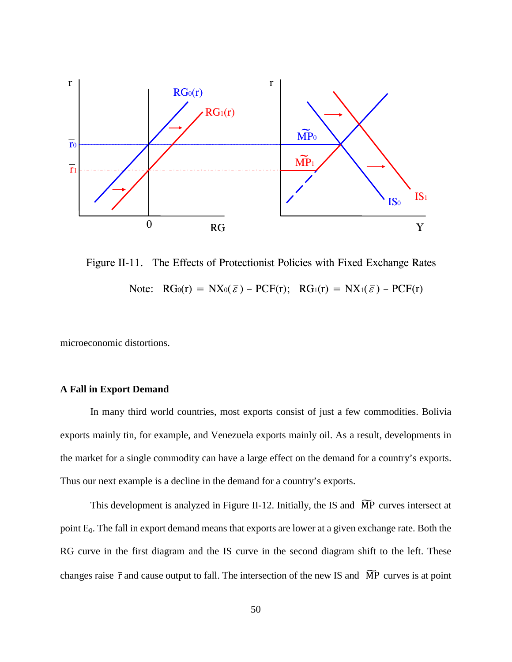

Figure II-11. The Effects of Protectionist Policies with Fixed Exchange Rates Note:  $RG_0(r) = NX_0(\bar{\varepsilon}) - PCF(r)$ ;  $RG_1(r) = NX_1(\bar{\varepsilon}) - PCF(r)$ 

microeconomic distortions.

# **A Fall in Export Demand**

In many third world countries, most exports consist of just a few commodities. Bolivia exports mainly tin, for example, and Venezuela exports mainly oil. As a result, developments in the market for a single commodity can have a large effect on the demand for a country's exports. Thus our next example is a decline in the demand for a country's exports.

This development is analyzed in Figure II-12. Initially, the IS and  $\widetilde{MP}$  curves intersect at point  $E_0$ . The fall in export demand means that exports are lower at a given exchange rate. Both the RG curve in the first diagram and the IS curve in the second diagram shift to the left. These changes raise  $\bar{r}$  and cause output to fall. The intersection of the new IS and  $\bar{MP}$  curves is at point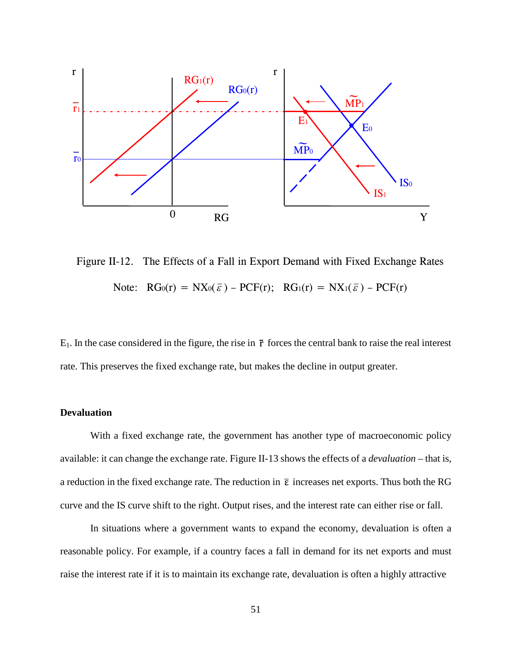

Figure II-12. The Effects of a Fall in Export Demand with Fixed Exchange Rates Note:  $RG_0(r) = NX_0(\bar{\varepsilon}) - PCF(r); RG_1(r) = NX_1(\bar{\varepsilon}) - PCF(r)$ 

 $E_1$ . In the case considered in the figure, the rise in  $\bar{r}$  forces the central bank to raise the real interest rate. This preserves the fixed exchange rate, but makes the decline in output greater.

## **Devaluation**

With a fixed exchange rate, the government has another type of macroeconomic policy available: it can change the exchange rate. Figure II-13 shows the effects of a *devaluation* – that is, a reduction in the fixed exchange rate. The reduction in  $\bar{\epsilon}$  increases net exports. Thus both the RG curve and the IS curve shift to the right. Output rises, and the interest rate can either rise or fall.

In situations where a government wants to expand the economy, devaluation is often a reasonable policy. For example, if a country faces a fall in demand for its net exports and must raise the interest rate if it is to maintain its exchange rate, devaluation is often a highly attractive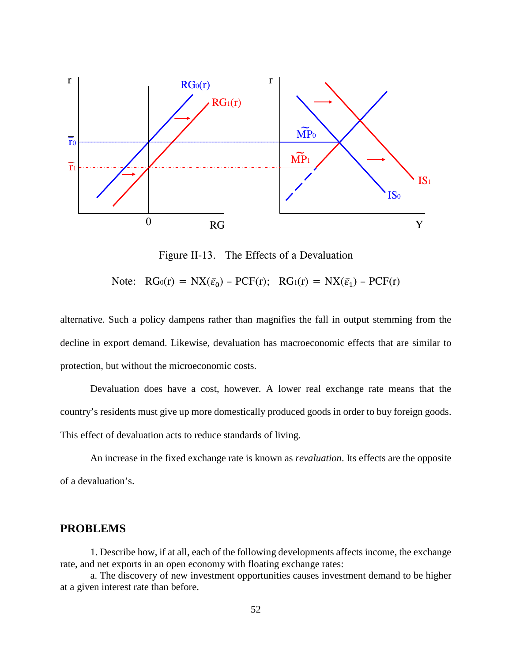

Figure II-13. The Effects of a Devaluation

Note:  $RG_0(r) = N X(\bar{\varepsilon}_0) - PCF(r);$   $RG_1(r) = N X(\bar{\varepsilon}_1) - PCF(r)$ 

alternative. Such a policy dampens rather than magnifies the fall in output stemming from the decline in export demand. Likewise, devaluation has macroeconomic effects that are similar to protection, but without the microeconomic costs.

Devaluation does have a cost, however. A lower real exchange rate means that the country's residents must give up more domestically produced goods in order to buy foreign goods. This effect of devaluation acts to reduce standards of living.

An increase in the fixed exchange rate is known as *revaluation*. Its effects are the opposite of a devaluation's.

## **PROBLEMS**

1. Describe how, if at all, each of the following developments affects income, the exchange rate, and net exports in an open economy with floating exchange rates:

a. The discovery of new investment opportunities causes investment demand to be higher at a given interest rate than before.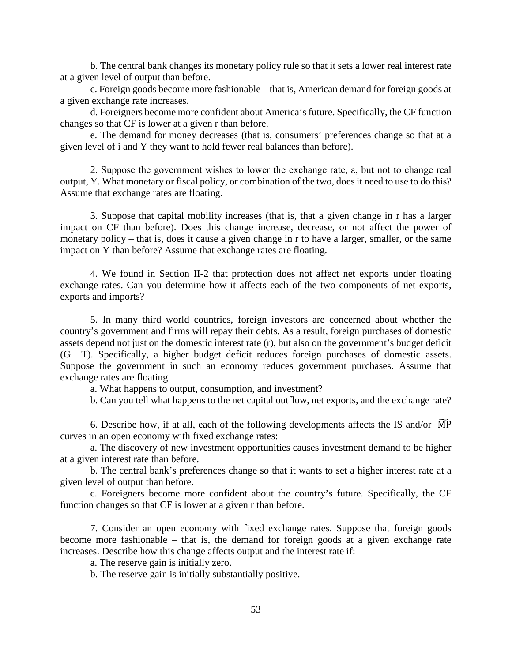b. The central bank changes its monetary policy rule so that it sets a lower real interest rate at a given level of output than before.

c. Foreign goods become more fashionable – that is, American demand for foreign goods at a given exchange rate increases.

d. Foreigners become more confident about America's future. Specifically, the CF function changes so that CF is lower at a given r than before.

e. The demand for money decreases (that is, consumers' preferences change so that at a given level of i and Y they want to hold fewer real balances than before).

2. Suppose the government wishes to lower the exchange rate, ε, but not to change real output, Y. What monetary or fiscal policy, or combination of the two, does it need to use to do this? Assume that exchange rates are floating.

3. Suppose that capital mobility increases (that is, that a given change in r has a larger impact on CF than before). Does this change increase, decrease, or not affect the power of monetary policy – that is, does it cause a given change in r to have a larger, smaller, or the same impact on Y than before? Assume that exchange rates are floating.

4. We found in Section II-2 that protection does not affect net exports under floating exchange rates. Can you determine how it affects each of the two components of net exports, exports and imports?

5. In many third world countries, foreign investors are concerned about whether the country's government and firms will repay their debts. As a result, foreign purchases of domestic assets depend not just on the domestic interest rate (r), but also on the government's budget deficit (G − T). Specifically, a higher budget deficit reduces foreign purchases of domestic assets. Suppose the government in such an economy reduces government purchases. Assume that exchange rates are floating.

a. What happens to output, consumption, and investment?

b. Can you tell what happens to the net capital outflow, net exports, and the exchange rate?

6. Describe how, if at all, each of the following developments affects the IS and/or  $\overline{MP}$ curves in an open economy with fixed exchange rates:

a. The discovery of new investment opportunities causes investment demand to be higher at a given interest rate than before.

b. The central bank's preferences change so that it wants to set a higher interest rate at a given level of output than before.

c. Foreigners become more confident about the country's future. Specifically, the CF function changes so that CF is lower at a given r than before.

7. Consider an open economy with fixed exchange rates. Suppose that foreign goods become more fashionable – that is, the demand for foreign goods at a given exchange rate increases. Describe how this change affects output and the interest rate if:

a. The reserve gain is initially zero.

b. The reserve gain is initially substantially positive.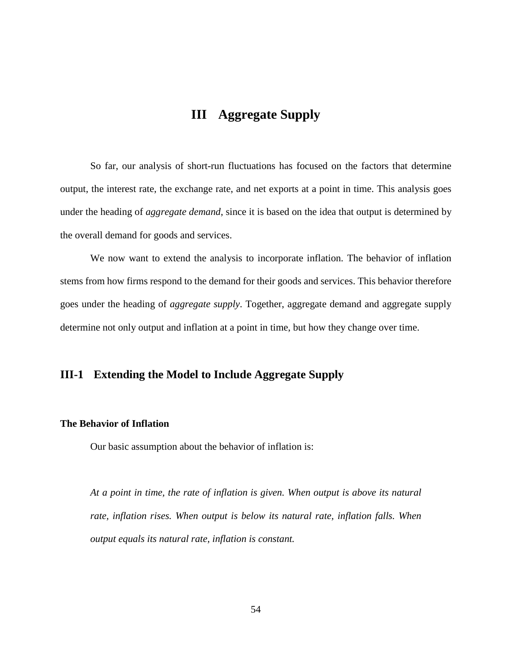# **III Aggregate Supply**

So far, our analysis of short-run fluctuations has focused on the factors that determine output, the interest rate, the exchange rate, and net exports at a point in time. This analysis goes under the heading of *aggregate demand*, since it is based on the idea that output is determined by the overall demand for goods and services.

We now want to extend the analysis to incorporate inflation. The behavior of inflation stems from how firms respond to the demand for their goods and services. This behavior therefore goes under the heading of *aggregate supply*. Together, aggregate demand and aggregate supply determine not only output and inflation at a point in time, but how they change over time.

# **III-1 Extending the Model to Include Aggregate Supply**

## **The Behavior of Inflation**

Our basic assumption about the behavior of inflation is:

*At a point in time, the rate of inflation is given. When output is above its natural rate, inflation rises. When output is below its natural rate, inflation falls. When output equals its natural rate, inflation is constant.*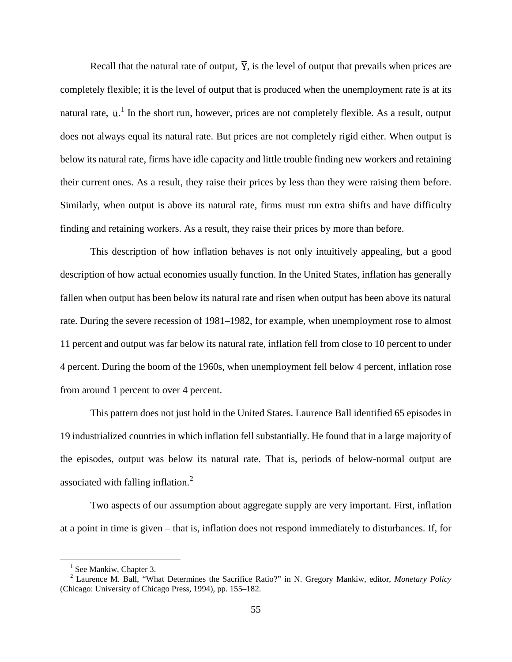Recall that the natural rate of output,  $\overline{Y}$ , is the level of output that prevails when prices are completely flexible; it is the level of output that is produced when the unemployment rate is at its natural rate,  $\bar{u}$ . In the short run, however, prices are not completely flexible. As a result, output does not always equal its natural rate. But prices are not completely rigid either. When output is below its natural rate, firms have idle capacity and little trouble finding new workers and retaining their current ones. As a result, they raise their prices by less than they were raising them before. Similarly, when output is above its natural rate, firms must run extra shifts and have difficulty finding and retaining workers. As a result, they raise their prices by more than before.

This description of how inflation behaves is not only intuitively appealing, but a good description of how actual economies usually function. In the United States, inflation has generally fallen when output has been below its natural rate and risen when output has been above its natural rate. During the severe recession of 1981–1982, for example, when unemployment rose to almost 11 percent and output was far below its natural rate, inflation fell from close to 10 percent to under 4 percent. During the boom of the 1960s, when unemployment fell below 4 percent, inflation rose from around 1 percent to over 4 percent.

This pattern does not just hold in the United States. Laurence Ball identified 65 episodes in 19 industrialized countries in which inflation fell substantially. He found that in a large majority of the episodes, output was below its natural rate. That is, periods of below-normal output are associated with falling inflation.<sup>[2](#page-62-1)</sup>

Two aspects of our assumption about aggregate supply are very important. First, inflation at a point in time is given – that is, inflation does not respond immediately to disturbances. If, for

 $<sup>1</sup>$  See Mankiw, Chapter 3.</sup>

<span id="page-62-1"></span><span id="page-62-0"></span><sup>2</sup> Laurence M. Ball, "What Determines the Sacrifice Ratio?" in N. Gregory Mankiw, editor, *Monetary Policy* (Chicago: University of Chicago Press, 1994), pp. 155–182.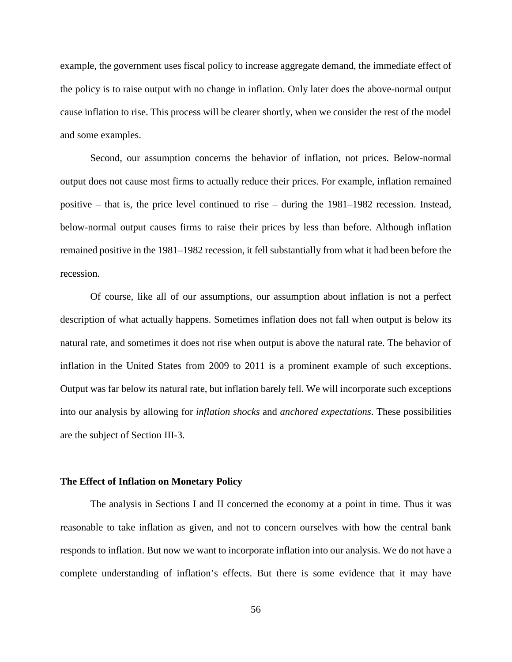example, the government uses fiscal policy to increase aggregate demand, the immediate effect of the policy is to raise output with no change in inflation. Only later does the above-normal output cause inflation to rise. This process will be clearer shortly, when we consider the rest of the model and some examples.

Second, our assumption concerns the behavior of inflation, not prices. Below-normal output does not cause most firms to actually reduce their prices. For example, inflation remained positive – that is, the price level continued to rise – during the 1981–1982 recession. Instead, below-normal output causes firms to raise their prices by less than before. Although inflation remained positive in the 1981–1982 recession, it fell substantially from what it had been before the recession.

Of course, like all of our assumptions, our assumption about inflation is not a perfect description of what actually happens. Sometimes inflation does not fall when output is below its natural rate, and sometimes it does not rise when output is above the natural rate. The behavior of inflation in the United States from 2009 to 2011 is a prominent example of such exceptions. Output was far below its natural rate, but inflation barely fell. We will incorporate such exceptions into our analysis by allowing for *inflation shocks* and *anchored expectations*. These possibilities are the subject of Section III-3.

#### **The Effect of Inflation on Monetary Policy**

The analysis in Sections I and II concerned the economy at a point in time. Thus it was reasonable to take inflation as given, and not to concern ourselves with how the central bank responds to inflation. But now we want to incorporate inflation into our analysis. We do not have a complete understanding of inflation's effects. But there is some evidence that it may have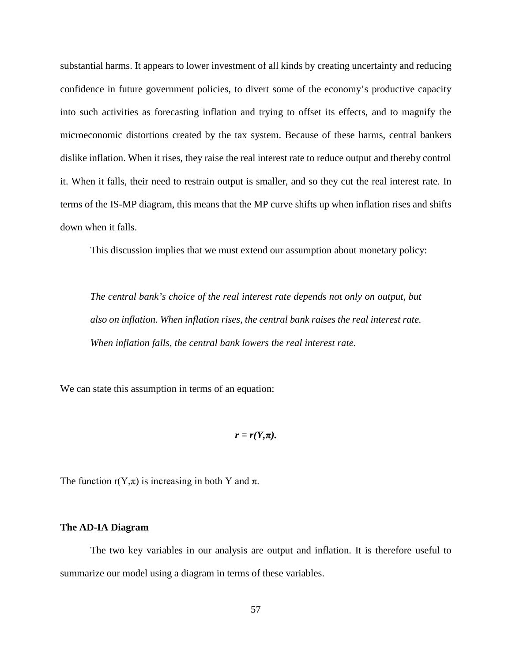substantial harms. It appears to lower investment of all kinds by creating uncertainty and reducing confidence in future government policies, to divert some of the economy's productive capacity into such activities as forecasting inflation and trying to offset its effects, and to magnify the microeconomic distortions created by the tax system. Because of these harms, central bankers dislike inflation. When it rises, they raise the real interest rate to reduce output and thereby control it. When it falls, their need to restrain output is smaller, and so they cut the real interest rate. In terms of the IS-MP diagram, this means that the MP curve shifts up when inflation rises and shifts down when it falls.

This discussion implies that we must extend our assumption about monetary policy:

*The central bank's choice of the real interest rate depends not only on output, but also on inflation. When inflation rises, the central bank raises the real interest rate. When inflation falls, the central bank lowers the real interest rate.*

We can state this assumption in terms of an equation:

$$
r=r(Y,\pi).
$$

The function  $r(Y,\pi)$  is increasing in both Y and  $\pi$ .

#### **The AD-IA Diagram**

The two key variables in our analysis are output and inflation. It is therefore useful to summarize our model using a diagram in terms of these variables.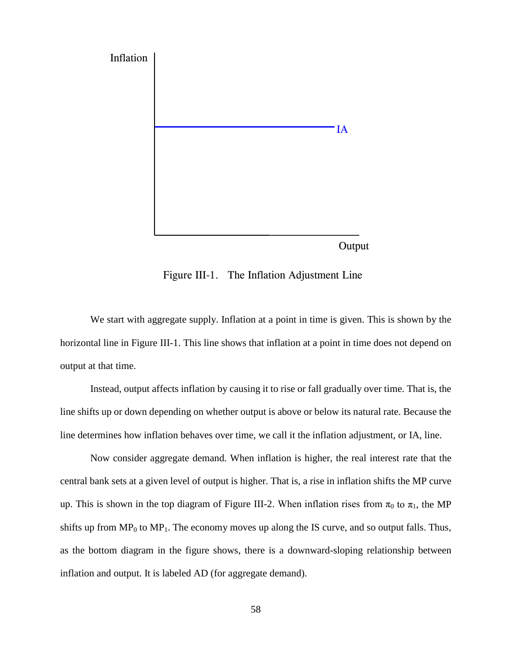

Figure III-1. The Inflation Adjustment Line

We start with aggregate supply. Inflation at a point in time is given. This is shown by the horizontal line in Figure III-1. This line shows that inflation at a point in time does not depend on output at that time.

Instead, output affects inflation by causing it to rise or fall gradually over time. That is, the line shifts up or down depending on whether output is above or below its natural rate. Because the line determines how inflation behaves over time, we call it the inflation adjustment, or IA, line.

Now consider aggregate demand. When inflation is higher, the real interest rate that the central bank sets at a given level of output is higher. That is, a rise in inflation shifts the MP curve up. This is shown in the top diagram of Figure III-2. When inflation rises from  $\pi_0$  to  $\pi_1$ , the MP shifts up from  $MP_0$  to  $MP_1$ . The economy moves up along the IS curve, and so output falls. Thus, as the bottom diagram in the figure shows, there is a downward-sloping relationship between inflation and output. It is labeled AD (for aggregate demand).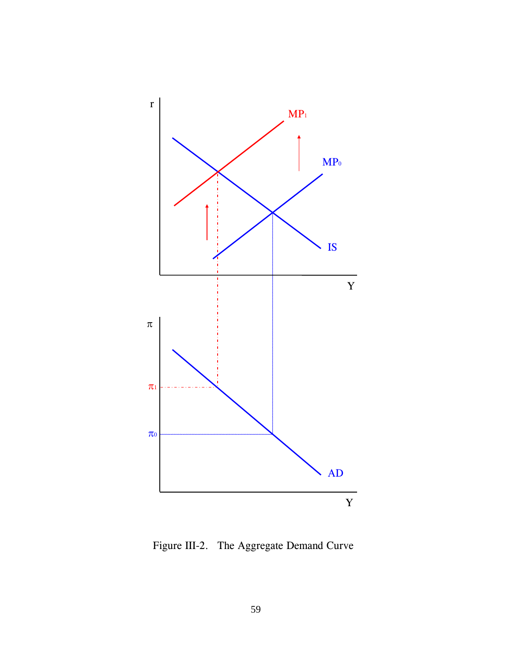

Figure III-2. The Aggregate Demand Curve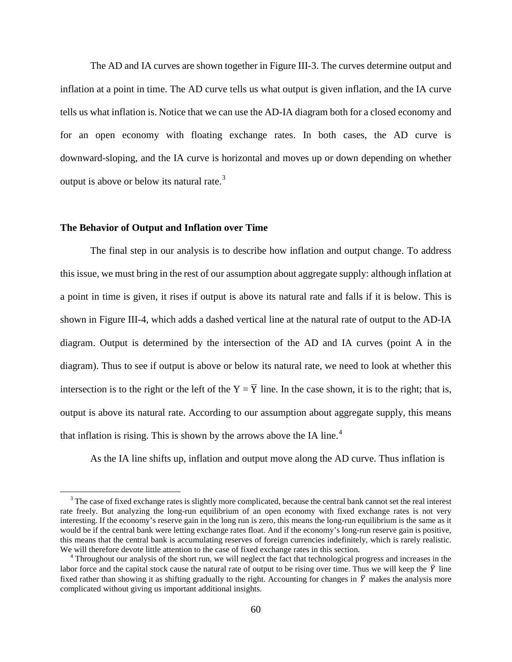The AD and IA curves are shown together in Figure III-3. The curves determine output and inflation at a point in time. The AD curve tells us what output is given inflation, and the IA curve tells us what inflation is. Notice that we can use the AD-IA diagram both for a closed economy and for an open economy with floating exchange rates. In both cases, the AD curve is downward-sloping, and the IA curve is horizontal and moves up or down depending on whether output is above or below its natural rate.<sup>[3](#page-67-0)</sup>

#### **The Behavior of Output and Inflation over Time**

The final step in our analysis is to describe how inflation and output change. To address this issue, we must bring in the rest of our assumption about aggregate supply: although inflation at a point in time is given, it rises if output is above its natural rate and falls if it is below. This is shown in Figure III-4, which adds a dashed vertical line at the natural rate of output to the AD-IA diagram. Output is determined by the intersection of the AD and IA curves (point A in the diagram). Thus to see if output is above or below its natural rate, we need to look at whether this intersection is to the right or the left of the  $Y = \overline{Y}$  line. In the case shown, it is to the right; that is, output is above its natural rate. According to our assumption about aggregate supply, this means that inflation is rising. This is shown by the arrows above the IA line.<sup>[4](#page-67-1)</sup>

As the IA line shifts up, inflation and output move along the AD curve. Thus inflation is

<span id="page-67-0"></span><sup>&</sup>lt;sup>3</sup> The case of fixed exchange rates is slightly more complicated, because the central bank cannot set the real interest rate freely. But analyzing the long-run equilibrium of an open economy with fixed exchange rates is not very interesting. If the economy's reserve gain in the long run is zero, this means the long-run equilibrium is the same as it would be if the central bank were letting exchange rates float. And if the economy's long-run reserve gain is positive, this means that the central bank is accumulating reserves of foreign currencies indefinitely, which is rarely realistic. We will therefore devote little attention to the case of fixed exchange rates in this section.

<span id="page-67-1"></span><sup>&</sup>lt;sup>4</sup> Throughout our analysis of the short run, we will neglect the fact that technological progress and increases in the labor force and the capital stock cause the natural rate of output to be rising over time. Thus we will keep the  $\bar{Y}$  line fixed rather than showing it as shifting gradually to the right. Accounting for changes in  $\bar{Y}$  makes the analysis more complicated without giving us important additional insights.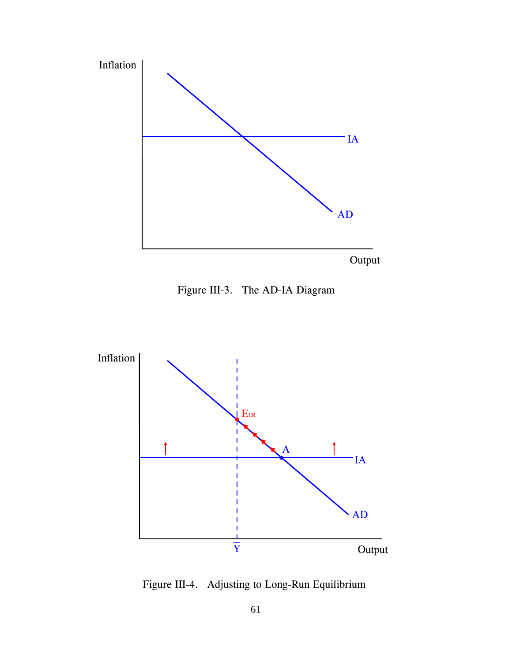

Figure III-3. The AD-IA Diagram



Figure III-4. Adjusting to Long-Run Equilibrium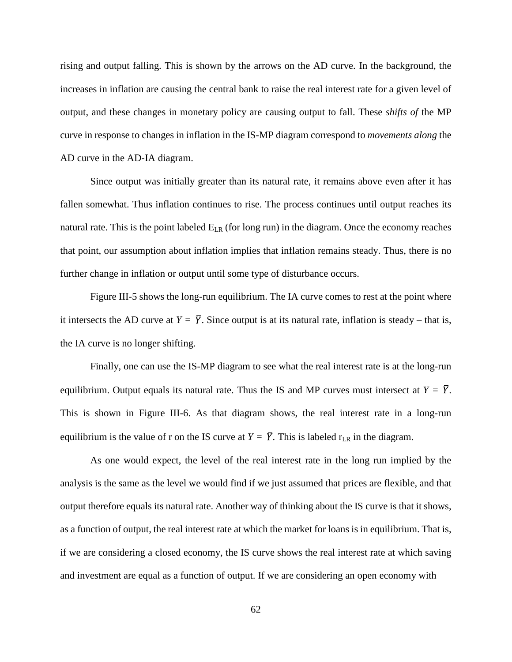rising and output falling. This is shown by the arrows on the AD curve. In the background, the increases in inflation are causing the central bank to raise the real interest rate for a given level of output, and these changes in monetary policy are causing output to fall. These *shifts of* the MP curve in response to changes in inflation in the IS-MP diagram correspond to *movements along* the AD curve in the AD-IA diagram.

Since output was initially greater than its natural rate, it remains above even after it has fallen somewhat. Thus inflation continues to rise. The process continues until output reaches its natural rate. This is the point labeled  $E_{LR}$  (for long run) in the diagram. Once the economy reaches that point, our assumption about inflation implies that inflation remains steady. Thus, there is no further change in inflation or output until some type of disturbance occurs.

Figure III-5 shows the long-run equilibrium. The IA curve comes to rest at the point where it intersects the AD curve at  $Y = \overline{Y}$ . Since output is at its natural rate, inflation is steady – that is, the IA curve is no longer shifting.

Finally, one can use the IS-MP diagram to see what the real interest rate is at the long-run equilibrium. Output equals its natural rate. Thus the IS and MP curves must intersect at  $Y = \overline{Y}$ . This is shown in Figure III-6. As that diagram shows, the real interest rate in a long-run equilibrium is the value of r on the IS curve at  $Y = \overline{Y}$ . This is labeled  $r_{LR}$  in the diagram.

As one would expect, the level of the real interest rate in the long run implied by the analysis is the same as the level we would find if we just assumed that prices are flexible, and that output therefore equals its natural rate. Another way of thinking about the IS curve is that it shows, as a function of output, the real interest rate at which the market for loans is in equilibrium. That is, if we are considering a closed economy, the IS curve shows the real interest rate at which saving and investment are equal as a function of output. If we are considering an open economy with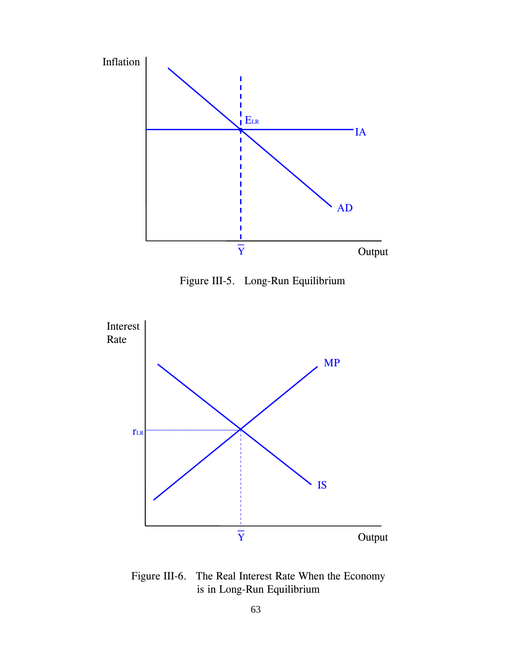

Figure III-5. Long-Run Equilibrium



Figure III-6. The Real Interest Rate When the Economy is in Long-Run Equilibrium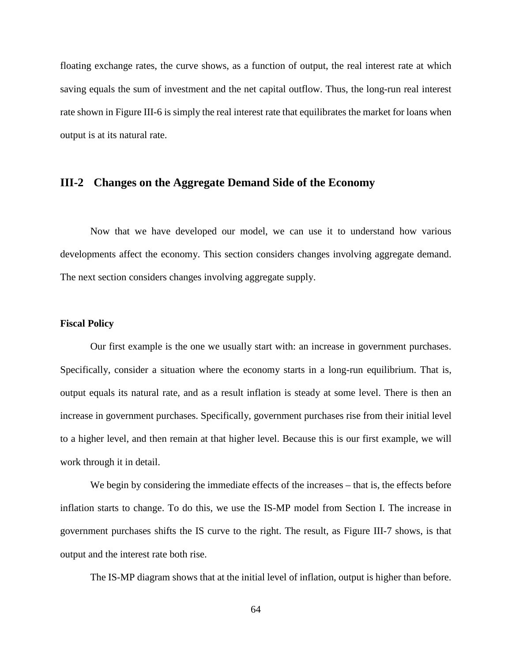floating exchange rates, the curve shows, as a function of output, the real interest rate at which saving equals the sum of investment and the net capital outflow. Thus, the long-run real interest rate shown in Figure III-6 is simply the real interest rate that equilibrates the market for loans when output is at its natural rate.

## **III-2 Changes on the Aggregate Demand Side of the Economy**

Now that we have developed our model, we can use it to understand how various developments affect the economy. This section considers changes involving aggregate demand. The next section considers changes involving aggregate supply.

## **Fiscal Policy**

Our first example is the one we usually start with: an increase in government purchases. Specifically, consider a situation where the economy starts in a long-run equilibrium. That is, output equals its natural rate, and as a result inflation is steady at some level. There is then an increase in government purchases. Specifically, government purchases rise from their initial level to a higher level, and then remain at that higher level. Because this is our first example, we will work through it in detail.

We begin by considering the immediate effects of the increases – that is, the effects before inflation starts to change. To do this, we use the IS-MP model from Section I. The increase in government purchases shifts the IS curve to the right. The result, as Figure III-7 shows, is that output and the interest rate both rise.

The IS-MP diagram shows that at the initial level of inflation, output is higher than before.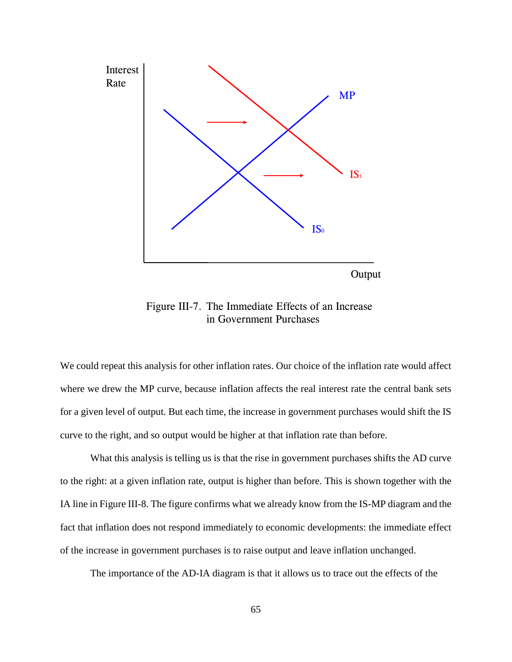

Figure III-7. The Immediate Effects of an Increase in Government Purchases

We could repeat this analysis for other inflation rates. Our choice of the inflation rate would affect where we drew the MP curve, because inflation affects the real interest rate the central bank sets for a given level of output. But each time, the increase in government purchases would shift the IS curve to the right, and so output would be higher at that inflation rate than before.

What this analysis is telling us is that the rise in government purchases shifts the AD curve to the right: at a given inflation rate, output is higher than before. This is shown together with the IA line in Figure III-8. The figure confirms what we already know from the IS-MP diagram and the fact that inflation does not respond immediately to economic developments: the immediate effect of the increase in government purchases is to raise output and leave inflation unchanged.

The importance of the AD-IA diagram is that it allows us to trace out the effects of the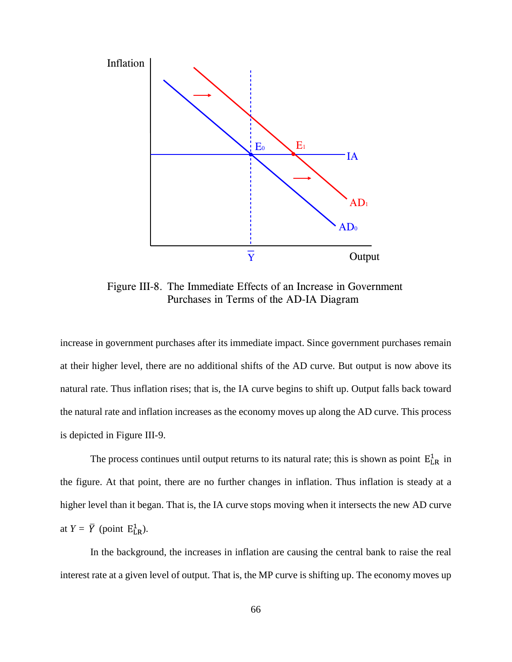

Figure III-8. The Immediate Effects of an Increase in Government Purchases in Terms of the AD-IA Diagram

increase in government purchases after its immediate impact. Since government purchases remain at their higher level, there are no additional shifts of the AD curve. But output is now above its natural rate. Thus inflation rises; that is, the IA curve begins to shift up. Output falls back toward the natural rate and inflation increases as the economy moves up along the AD curve. This process is depicted in Figure III-9.

The process continues until output returns to its natural rate; this is shown as point  $E_{LR}^1$  in the figure. At that point, there are no further changes in inflation. Thus inflation is steady at a higher level than it began. That is, the IA curve stops moving when it intersects the new AD curve at  $Y = \overline{Y}$  (point  $E_{LR}^1$ ).

In the background, the increases in inflation are causing the central bank to raise the real interest rate at a given level of output. That is, the MP curve is shifting up. The economy moves up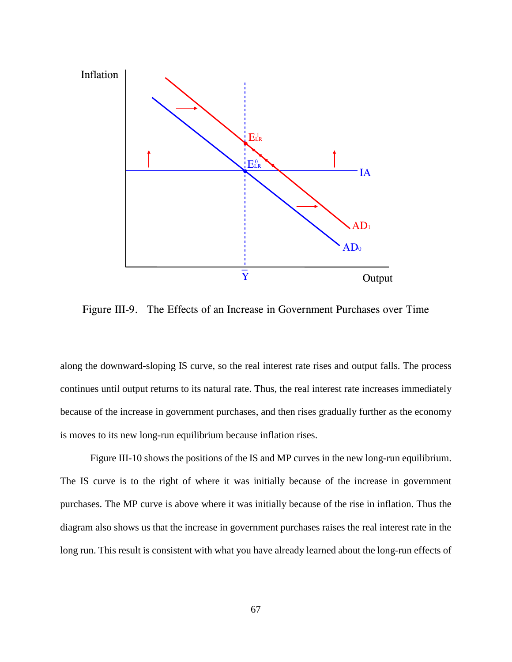

Figure III-9. The Effects of an Increase in Government Purchases over Time

along the downward-sloping IS curve, so the real interest rate rises and output falls. The process continues until output returns to its natural rate. Thus, the real interest rate increases immediately because of the increase in government purchases, and then rises gradually further as the economy is moves to its new long-run equilibrium because inflation rises.

Figure III-10 shows the positions of the IS and MP curves in the new long-run equilibrium. The IS curve is to the right of where it was initially because of the increase in government purchases. The MP curve is above where it was initially because of the rise in inflation. Thus the diagram also shows us that the increase in government purchases raises the real interest rate in the long run. This result is consistent with what you have already learned about the long-run effects of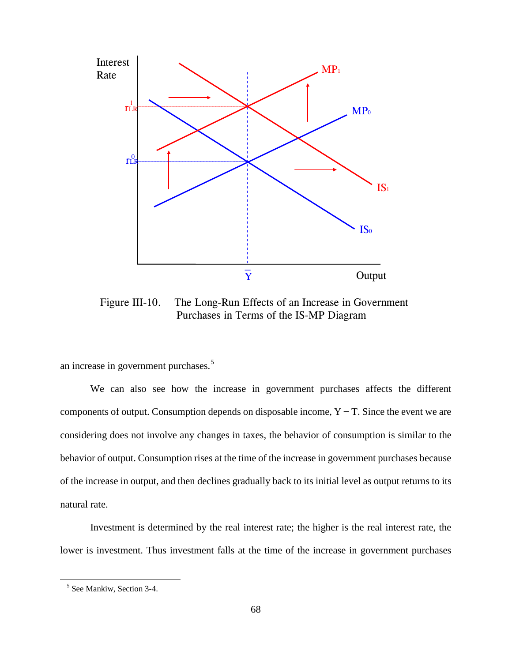

Figure III-10. The Long-Run Effects of an Increase in Government Purchases in Terms of the IS-MP Diagram

an increase in government purchases.[5](#page-75-0)

We can also see how the increase in government purchases affects the different components of output. Consumption depends on disposable income, Y − T. Since the event we are considering does not involve any changes in taxes, the behavior of consumption is similar to the behavior of output. Consumption rises at the time of the increase in government purchases because of the increase in output, and then declines gradually back to its initial level as output returns to its natural rate.

Investment is determined by the real interest rate; the higher is the real interest rate, the lower is investment. Thus investment falls at the time of the increase in government purchases

<span id="page-75-0"></span><sup>5</sup> See Mankiw, Section 3-4.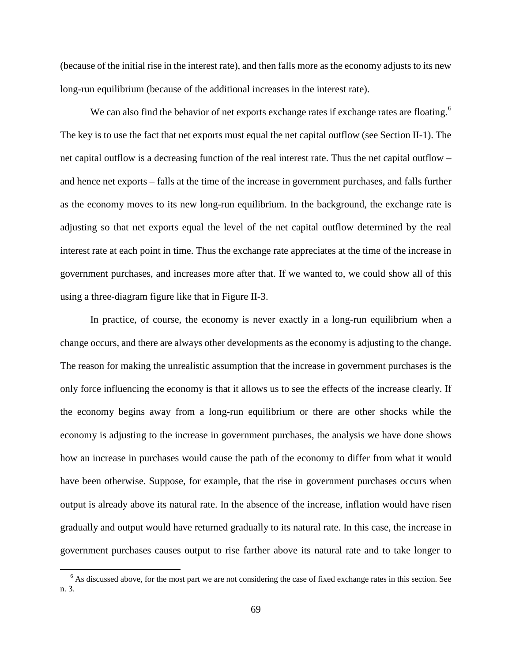(because of the initial rise in the interest rate), and then falls more as the economy adjusts to its new long-run equilibrium (because of the additional increases in the interest rate).

We can also find the behavior of net exports exchange rates if exchange rates are floating.<sup>[6](#page-76-0)</sup> The key is to use the fact that net exports must equal the net capital outflow (see Section II-1). The net capital outflow is a decreasing function of the real interest rate. Thus the net capital outflow – and hence net exports – falls at the time of the increase in government purchases, and falls further as the economy moves to its new long-run equilibrium. In the background, the exchange rate is adjusting so that net exports equal the level of the net capital outflow determined by the real interest rate at each point in time. Thus the exchange rate appreciates at the time of the increase in government purchases, and increases more after that. If we wanted to, we could show all of this using a three-diagram figure like that in Figure II-3.

In practice, of course, the economy is never exactly in a long-run equilibrium when a change occurs, and there are always other developments as the economy is adjusting to the change. The reason for making the unrealistic assumption that the increase in government purchases is the only force influencing the economy is that it allows us to see the effects of the increase clearly. If the economy begins away from a long-run equilibrium or there are other shocks while the economy is adjusting to the increase in government purchases, the analysis we have done shows how an increase in purchases would cause the path of the economy to differ from what it would have been otherwise. Suppose, for example, that the rise in government purchases occurs when output is already above its natural rate. In the absence of the increase, inflation would have risen gradually and output would have returned gradually to its natural rate. In this case, the increase in government purchases causes output to rise farther above its natural rate and to take longer to

<span id="page-76-0"></span><sup>&</sup>lt;sup>6</sup> As discussed above, for the most part we are not considering the case of fixed exchange rates in this section. See n. 3.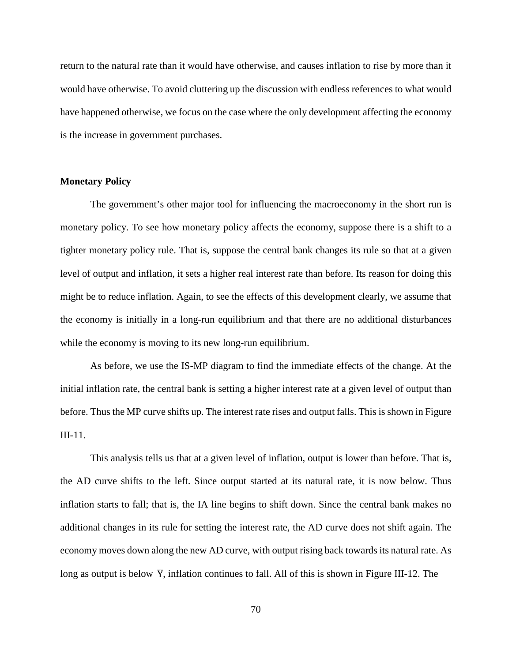return to the natural rate than it would have otherwise, and causes inflation to rise by more than it would have otherwise. To avoid cluttering up the discussion with endless references to what would have happened otherwise, we focus on the case where the only development affecting the economy is the increase in government purchases.

## **Monetary Policy**

The government's other major tool for influencing the macroeconomy in the short run is monetary policy. To see how monetary policy affects the economy, suppose there is a shift to a tighter monetary policy rule. That is, suppose the central bank changes its rule so that at a given level of output and inflation, it sets a higher real interest rate than before. Its reason for doing this might be to reduce inflation. Again, to see the effects of this development clearly, we assume that the economy is initially in a long-run equilibrium and that there are no additional disturbances while the economy is moving to its new long-run equilibrium.

As before, we use the IS-MP diagram to find the immediate effects of the change. At the initial inflation rate, the central bank is setting a higher interest rate at a given level of output than before. Thus the MP curve shifts up. The interest rate rises and output falls. This is shown in Figure III-11.

This analysis tells us that at a given level of inflation, output is lower than before. That is, the AD curve shifts to the left. Since output started at its natural rate, it is now below. Thus inflation starts to fall; that is, the IA line begins to shift down. Since the central bank makes no additional changes in its rule for setting the interest rate, the AD curve does not shift again. The economy moves down along the new AD curve, with output rising back towards its natural rate. As long as output is below  $\overline{Y}$ , inflation continues to fall. All of this is shown in Figure III-12. The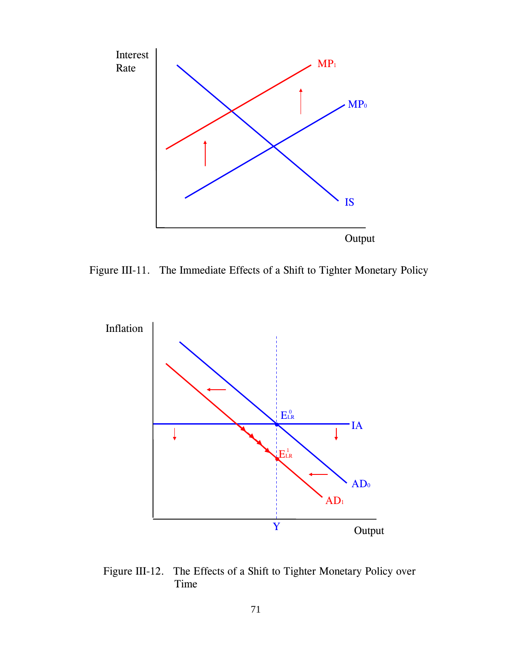

Figure III-11. The Immediate Effects of a Shift to Tighter Monetary Policy



Figure III-12. The Effects of a Shift to Tighter Monetary Policy over Time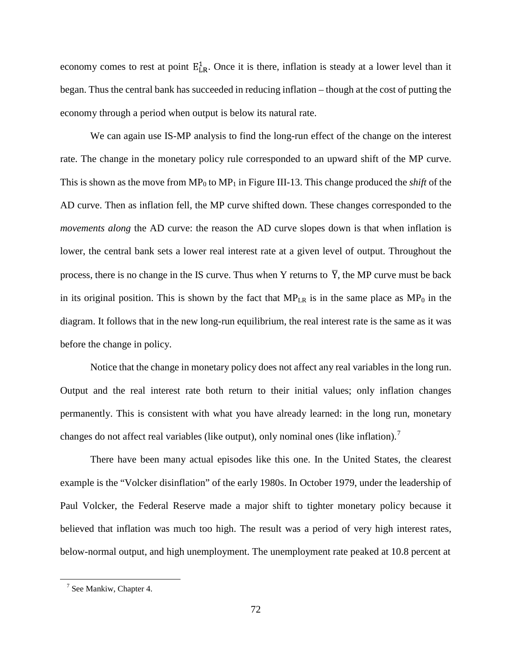economy comes to rest at point  $E_{LR}^1$ . Once it is there, inflation is steady at a lower level than it began. Thus the central bank has succeeded in reducing inflation – though at the cost of putting the economy through a period when output is below its natural rate.

We can again use IS-MP analysis to find the long-run effect of the change on the interest rate. The change in the monetary policy rule corresponded to an upward shift of the MP curve. This is shown as the move from  $MP_0$  to  $MP_1$  in Figure III-13. This change produced the *shift* of the AD curve. Then as inflation fell, the MP curve shifted down. These changes corresponded to the *movements along* the AD curve: the reason the AD curve slopes down is that when inflation is lower, the central bank sets a lower real interest rate at a given level of output. Throughout the process, there is no change in the IS curve. Thus when Y returns to  $\overline{Y}$ , the MP curve must be back in its original position. This is shown by the fact that  $MP_{LR}$  is in the same place as  $MP_0$  in the diagram. It follows that in the new long-run equilibrium, the real interest rate is the same as it was before the change in policy.

Notice that the change in monetary policy does not affect any real variables in the long run. Output and the real interest rate both return to their initial values; only inflation changes permanently. This is consistent with what you have already learned: in the long run, monetary changes do not affect real variables (like output), only nominal ones (like inflation).<sup>[7](#page-79-0)</sup>

There have been many actual episodes like this one. In the United States, the clearest example is the "Volcker disinflation" of the early 1980s. In October 1979, under the leadership of Paul Volcker, the Federal Reserve made a major shift to tighter monetary policy because it believed that inflation was much too high. The result was a period of very high interest rates, below-normal output, and high unemployment. The unemployment rate peaked at 10.8 percent at

<span id="page-79-0"></span><sup>7</sup> See Mankiw, Chapter 4.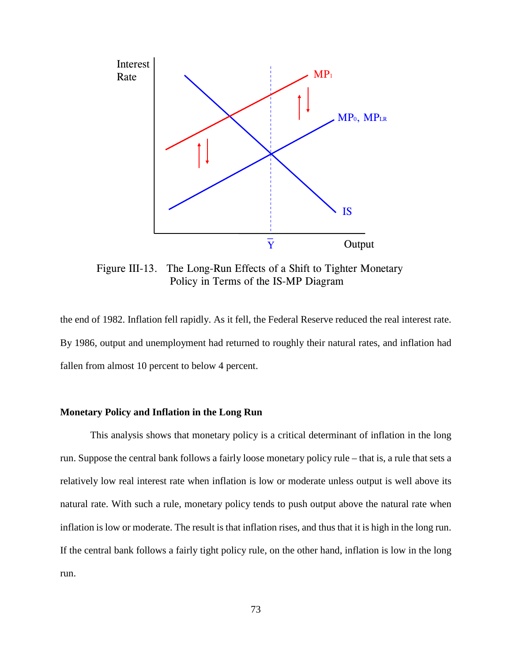

Figure III-13. The Long-Run Effects of a Shift to Tighter Monetary Policy in Terms of the IS-MP Diagram

the end of 1982. Inflation fell rapidly. As it fell, the Federal Reserve reduced the real interest rate. By 1986, output and unemployment had returned to roughly their natural rates, and inflation had fallen from almost 10 percent to below 4 percent.

## **Monetary Policy and Inflation in the Long Run**

This analysis shows that monetary policy is a critical determinant of inflation in the long run. Suppose the central bank follows a fairly loose monetary policy rule – that is, a rule that sets a relatively low real interest rate when inflation is low or moderate unless output is well above its natural rate. With such a rule, monetary policy tends to push output above the natural rate when inflation is low or moderate. The result is that inflation rises, and thus that it is high in the long run. If the central bank follows a fairly tight policy rule, on the other hand, inflation is low in the long run.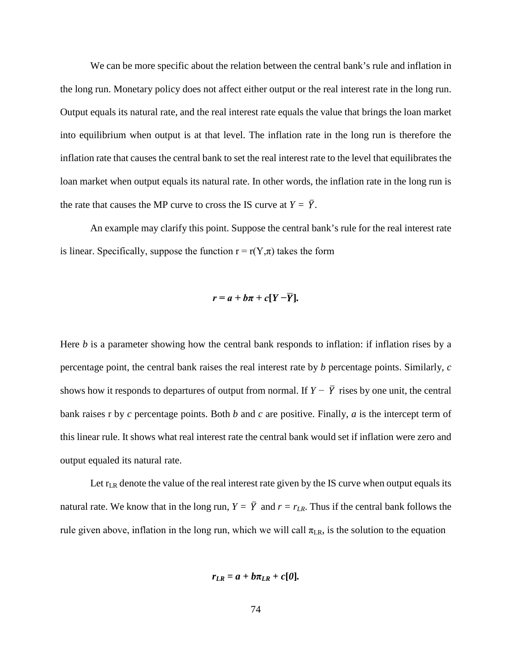We can be more specific about the relation between the central bank's rule and inflation in the long run. Monetary policy does not affect either output or the real interest rate in the long run. Output equals its natural rate, and the real interest rate equals the value that brings the loan market into equilibrium when output is at that level. The inflation rate in the long run is therefore the inflation rate that causes the central bank to set the real interest rate to the level that equilibrates the loan market when output equals its natural rate. In other words, the inflation rate in the long run is the rate that causes the MP curve to cross the IS curve at  $Y = \overline{Y}$ .

An example may clarify this point. Suppose the central bank's rule for the real interest rate is linear. Specifically, suppose the function  $r = r(Y, \pi)$  takes the form

$$
r=a+b\pi+c[Y-\overline{Y}].
$$

Here *b* is a parameter showing how the central bank responds to inflation: if inflation rises by a percentage point, the central bank raises the real interest rate by *b* percentage points. Similarly, *c* shows how it responds to departures of output from normal. If  $Y - \overline{Y}$  rises by one unit, the central bank raises r by *c* percentage points. Both *b* and *c* are positive. Finally, *a* is the intercept term of this linear rule. It shows what real interest rate the central bank would set if inflation were zero and output equaled its natural rate.

Let  $r_{LR}$  denote the value of the real interest rate given by the IS curve when output equals its natural rate. We know that in the long run,  $Y = \overline{Y}$  and  $r = r_{LR}$ . Thus if the central bank follows the rule given above, inflation in the long run, which we will call  $\pi_{LR}$ , is the solution to the equation

$$
r_{LR}=a+b\pi_{LR}+c[0].
$$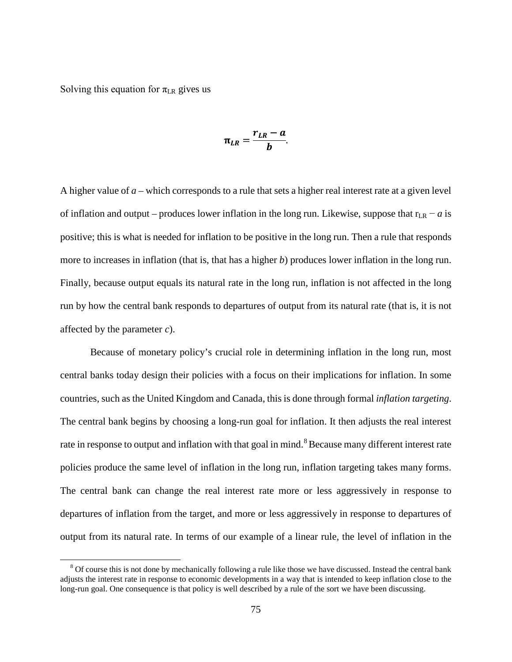Solving this equation for  $\pi_{LR}$  gives us

$$
\pi_{LR} = \frac{r_{LR} - a}{b}
$$

A higher value of *a* – which corresponds to a rule that sets a higher real interest rate at a given level of inflation and output – produces lower inflation in the long run. Likewise, suppose that  $r_{LR} - a$  is positive; this is what is needed for inflation to be positive in the long run. Then a rule that responds more to increases in inflation (that is, that has a higher *b*) produces lower inflation in the long run. Finally, because output equals its natural rate in the long run, inflation is not affected in the long run by how the central bank responds to departures of output from its natural rate (that is, it is not affected by the parameter *c*).

Because of monetary policy's crucial role in determining inflation in the long run, most central banks today design their policies with a focus on their implications for inflation. In some countries, such as the United Kingdom and Canada, this is done through formal *inflation targeting*. The central bank begins by choosing a long-run goal for inflation. It then adjusts the real interest rate in response to output and inflation with that goal in mind. <sup>[8](#page-82-0)</sup> Because many different interest rate policies produce the same level of inflation in the long run, inflation targeting takes many forms. The central bank can change the real interest rate more or less aggressively in response to departures of inflation from the target, and more or less aggressively in response to departures of output from its natural rate. In terms of our example of a linear rule, the level of inflation in the

<span id="page-82-0"></span><sup>&</sup>lt;sup>8</sup> Of course this is not done by mechanically following a rule like those we have discussed. Instead the central bank adjusts the interest rate in response to economic developments in a way that is intended to keep inflation close to the long-run goal. One consequence is that policy is well described by a rule of the sort we have been discussing.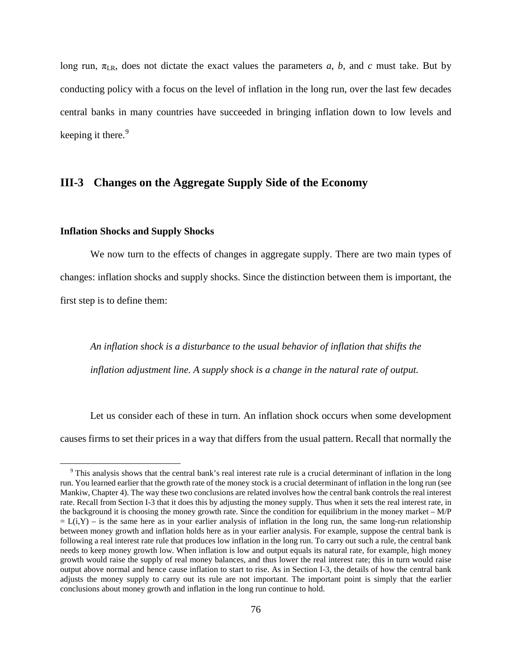long run,  $\pi_{LR}$ , does not dictate the exact values the parameters *a*, *b*, and *c* must take. But by conducting policy with a focus on the level of inflation in the long run, over the last few decades central banks in many countries have succeeded in bringing inflation down to low levels and keeping it there.<sup>[9](#page-83-0)</sup>

## **III-3 Changes on the Aggregate Supply Side of the Economy**

### **Inflation Shocks and Supply Shocks**

We now turn to the effects of changes in aggregate supply. There are two main types of changes: inflation shocks and supply shocks. Since the distinction between them is important, the first step is to define them:

*An inflation shock is a disturbance to the usual behavior of inflation that shifts the inflation adjustment line. A supply shock is a change in the natural rate of output.*

Let us consider each of these in turn. An inflation shock occurs when some development causes firms to set their prices in a way that differs from the usual pattern. Recall that normally the

<span id="page-83-0"></span> $9$  This analysis shows that the central bank's real interest rate rule is a crucial determinant of inflation in the long run. You learned earlier that the growth rate of the money stock is a crucial determinant of inflation in the long run (see Mankiw, Chapter 4). The way these two conclusions are related involves how the central bank controls the real interest rate. Recall from Section I-3 that it does this by adjusting the money supply. Thus when it sets the real interest rate, in the background it is choosing the money growth rate. Since the condition for equilibrium in the money market – M/P  $= L(i,Y) - i$  is the same here as in your earlier analysis of inflation in the long run, the same long-run relationship between money growth and inflation holds here as in your earlier analysis. For example, suppose the central bank is following a real interest rate rule that produces low inflation in the long run. To carry out such a rule, the central bank needs to keep money growth low. When inflation is low and output equals its natural rate, for example, high money growth would raise the supply of real money balances, and thus lower the real interest rate; this in turn would raise output above normal and hence cause inflation to start to rise. As in Section I-3, the details of how the central bank adjusts the money supply to carry out its rule are not important. The important point is simply that the earlier conclusions about money growth and inflation in the long run continue to hold.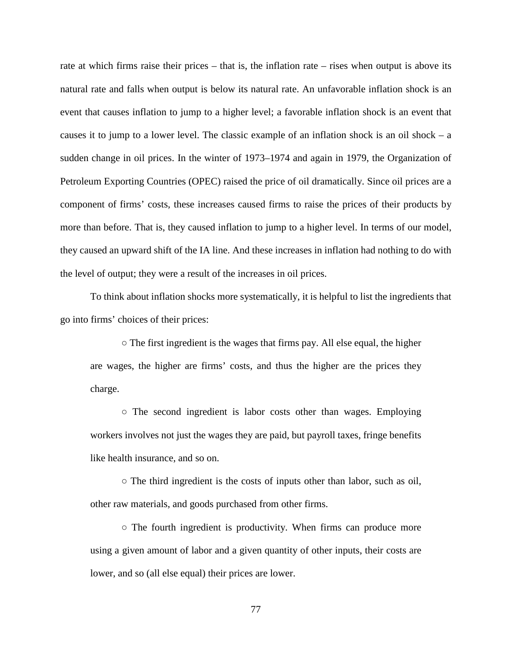rate at which firms raise their prices – that is, the inflation rate – rises when output is above its natural rate and falls when output is below its natural rate. An unfavorable inflation shock is an event that causes inflation to jump to a higher level; a favorable inflation shock is an event that causes it to jump to a lower level. The classic example of an inflation shock is an oil shock  $-$  a sudden change in oil prices. In the winter of 1973–1974 and again in 1979, the Organization of Petroleum Exporting Countries (OPEC) raised the price of oil dramatically. Since oil prices are a component of firms' costs, these increases caused firms to raise the prices of their products by more than before. That is, they caused inflation to jump to a higher level. In terms of our model, they caused an upward shift of the IA line. And these increases in inflation had nothing to do with the level of output; they were a result of the increases in oil prices.

To think about inflation shocks more systematically, it is helpful to list the ingredients that go into firms' choices of their prices:

○ The first ingredient is the wages that firms pay. All else equal, the higher are wages, the higher are firms' costs, and thus the higher are the prices they charge.

○ The second ingredient is labor costs other than wages. Employing workers involves not just the wages they are paid, but payroll taxes, fringe benefits like health insurance, and so on.

○ The third ingredient is the costs of inputs other than labor, such as oil, other raw materials, and goods purchased from other firms.

○ The fourth ingredient is productivity. When firms can produce more using a given amount of labor and a given quantity of other inputs, their costs are lower, and so (all else equal) their prices are lower.

77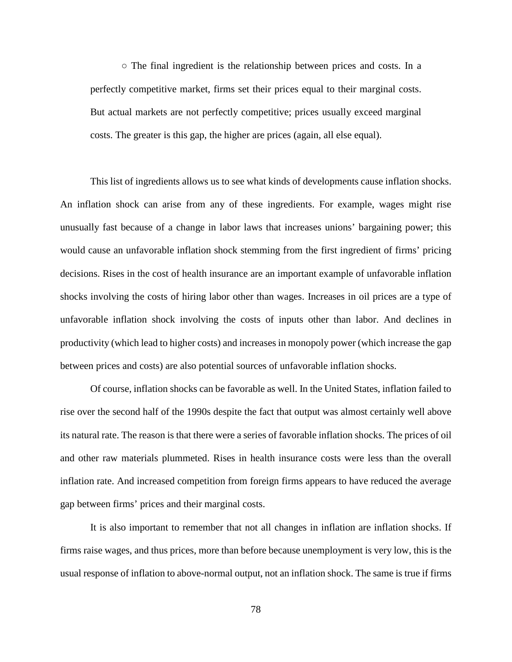$\circ$  The final ingredient is the relationship between prices and costs. In a perfectly competitive market, firms set their prices equal to their marginal costs. But actual markets are not perfectly competitive; prices usually exceed marginal costs. The greater is this gap, the higher are prices (again, all else equal).

This list of ingredients allows us to see what kinds of developments cause inflation shocks. An inflation shock can arise from any of these ingredients. For example, wages might rise unusually fast because of a change in labor laws that increases unions' bargaining power; this would cause an unfavorable inflation shock stemming from the first ingredient of firms' pricing decisions. Rises in the cost of health insurance are an important example of unfavorable inflation shocks involving the costs of hiring labor other than wages. Increases in oil prices are a type of unfavorable inflation shock involving the costs of inputs other than labor. And declines in productivity (which lead to higher costs) and increases in monopoly power (which increase the gap between prices and costs) are also potential sources of unfavorable inflation shocks.

Of course, inflation shocks can be favorable as well. In the United States, inflation failed to rise over the second half of the 1990s despite the fact that output was almost certainly well above its natural rate. The reason is that there were a series of favorable inflation shocks. The prices of oil and other raw materials plummeted. Rises in health insurance costs were less than the overall inflation rate. And increased competition from foreign firms appears to have reduced the average gap between firms' prices and their marginal costs.

It is also important to remember that not all changes in inflation are inflation shocks. If firms raise wages, and thus prices, more than before because unemployment is very low, this is the usual response of inflation to above-normal output, not an inflation shock. The same is true if firms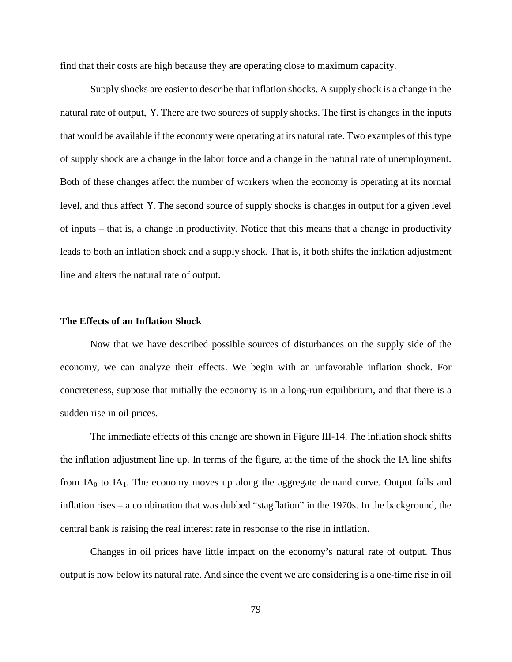find that their costs are high because they are operating close to maximum capacity.

Supply shocks are easier to describe that inflation shocks. A supply shock is a change in the natural rate of output,  $\overline{Y}$ . There are two sources of supply shocks. The first is changes in the inputs that would be available if the economy were operating at its natural rate. Two examples of this type of supply shock are a change in the labor force and a change in the natural rate of unemployment. Both of these changes affect the number of workers when the economy is operating at its normal level, and thus affect  $\overline{Y}$ . The second source of supply shocks is changes in output for a given level of inputs – that is, a change in productivity. Notice that this means that a change in productivity leads to both an inflation shock and a supply shock. That is, it both shifts the inflation adjustment line and alters the natural rate of output.

## **The Effects of an Inflation Shock**

Now that we have described possible sources of disturbances on the supply side of the economy, we can analyze their effects. We begin with an unfavorable inflation shock. For concreteness, suppose that initially the economy is in a long-run equilibrium, and that there is a sudden rise in oil prices.

The immediate effects of this change are shown in Figure III-14. The inflation shock shifts the inflation adjustment line up. In terms of the figure, at the time of the shock the IA line shifts from  $IA<sub>0</sub>$  to  $IA<sub>1</sub>$ . The economy moves up along the aggregate demand curve. Output falls and inflation rises – a combination that was dubbed "stagflation" in the 1970s. In the background, the central bank is raising the real interest rate in response to the rise in inflation.

Changes in oil prices have little impact on the economy's natural rate of output. Thus output is now below its natural rate. And since the event we are considering is a one-time rise in oil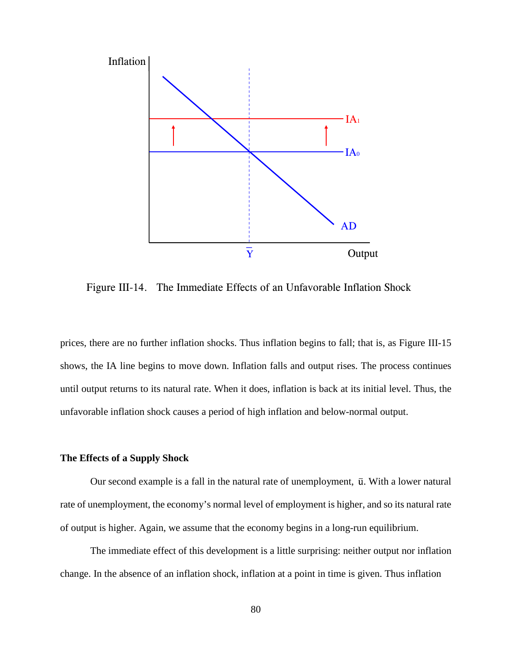

Figure III-14. The Immediate Effects of an Unfavorable Inflation Shock

prices, there are no further inflation shocks. Thus inflation begins to fall; that is, as Figure III-15 shows, the IA line begins to move down. Inflation falls and output rises. The process continues until output returns to its natural rate. When it does, inflation is back at its initial level. Thus, the unfavorable inflation shock causes a period of high inflation and below-normal output.

### **The Effects of a Supply Shock**

Our second example is a fall in the natural rate of unemployment,  $\bar{u}$ . With a lower natural rate of unemployment, the economy's normal level of employment is higher, and so its natural rate of output is higher. Again, we assume that the economy begins in a long-run equilibrium.

The immediate effect of this development is a little surprising: neither output nor inflation change. In the absence of an inflation shock, inflation at a point in time is given. Thus inflation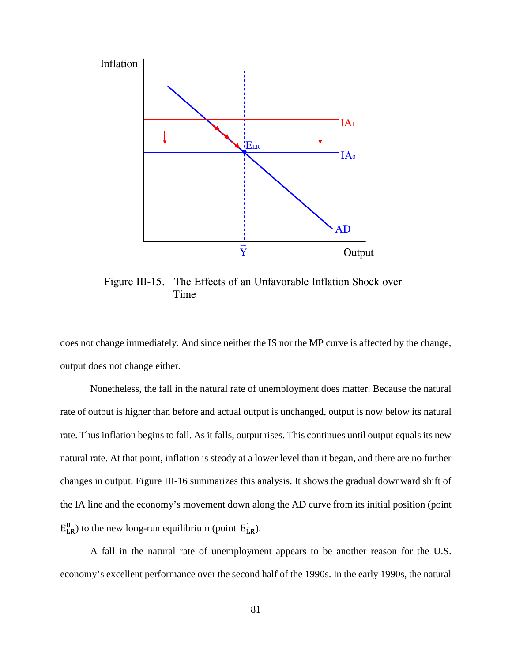

Figure III-15. The Effects of an Unfavorable Inflation Shock over Time

does not change immediately. And since neither the IS nor the MP curve is affected by the change, output does not change either.

Nonetheless, the fall in the natural rate of unemployment does matter. Because the natural rate of output is higher than before and actual output is unchanged, output is now below its natural rate. Thus inflation begins to fall. As it falls, output rises. This continues until output equals its new natural rate. At that point, inflation is steady at a lower level than it began, and there are no further changes in output. Figure III-16 summarizes this analysis. It shows the gradual downward shift of the IA line and the economy's movement down along the AD curve from its initial position (point  $E_{LR}^{0}$ ) to the new long-run equilibrium (point  $E_{LR}^{1}$ ).

A fall in the natural rate of unemployment appears to be another reason for the U.S. economy's excellent performance over the second half of the 1990s. In the early 1990s, the natural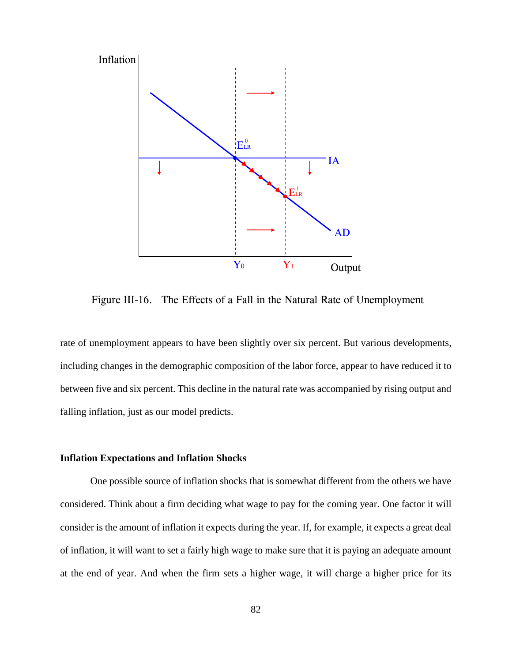

Figure III-16. The Effects of a Fall in the Natural Rate of Unemployment

rate of unemployment appears to have been slightly over six percent. But various developments, including changes in the demographic composition of the labor force, appear to have reduced it to between five and six percent. This decline in the natural rate was accompanied by rising output and falling inflation, just as our model predicts.

## **Inflation Expectations and Inflation Shocks**

One possible source of inflation shocks that is somewhat different from the others we have considered. Think about a firm deciding what wage to pay for the coming year. One factor it will consider is the amount of inflation it expects during the year. If, for example, it expects a great deal of inflation, it will want to set a fairly high wage to make sure that it is paying an adequate amount at the end of year. And when the firm sets a higher wage, it will charge a higher price for its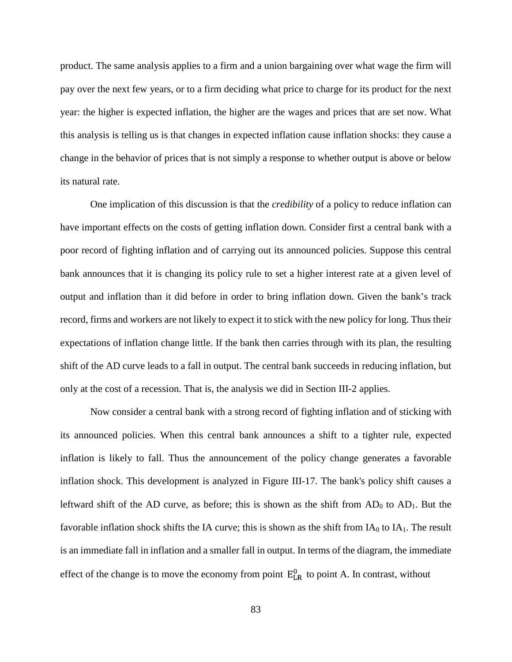product. The same analysis applies to a firm and a union bargaining over what wage the firm will pay over the next few years, or to a firm deciding what price to charge for its product for the next year: the higher is expected inflation, the higher are the wages and prices that are set now. What this analysis is telling us is that changes in expected inflation cause inflation shocks: they cause a change in the behavior of prices that is not simply a response to whether output is above or below its natural rate.

One implication of this discussion is that the *credibility* of a policy to reduce inflation can have important effects on the costs of getting inflation down. Consider first a central bank with a poor record of fighting inflation and of carrying out its announced policies. Suppose this central bank announces that it is changing its policy rule to set a higher interest rate at a given level of output and inflation than it did before in order to bring inflation down. Given the bank's track record, firms and workers are not likely to expect it to stick with the new policy for long. Thus their expectations of inflation change little. If the bank then carries through with its plan, the resulting shift of the AD curve leads to a fall in output. The central bank succeeds in reducing inflation, but only at the cost of a recession. That is, the analysis we did in Section III-2 applies.

Now consider a central bank with a strong record of fighting inflation and of sticking with its announced policies. When this central bank announces a shift to a tighter rule, expected inflation is likely to fall. Thus the announcement of the policy change generates a favorable inflation shock. This development is analyzed in Figure III-17. The bank's policy shift causes a leftward shift of the AD curve, as before; this is shown as the shift from  $AD_0$  to  $AD_1$ . But the favorable inflation shock shifts the IA curve; this is shown as the shift from  $IA_0$  to  $IA_1$ . The result is an immediate fall in inflation and a smaller fall in output. In terms of the diagram, the immediate effect of the change is to move the economy from point  $E_{LR}^0$  to point A. In contrast, without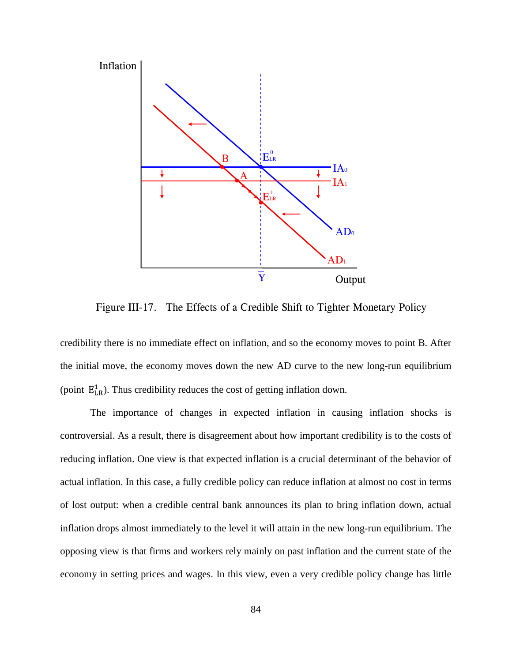

Figure III-17. The Effects of a Credible Shift to Tighter Monetary Policy

credibility there is no immediate effect on inflation, and so the economy moves to point B. After the initial move, the economy moves down the new AD curve to the new long-run equilibrium (point  $E_{LR}^1$ ). Thus credibility reduces the cost of getting inflation down.

The importance of changes in expected inflation in causing inflation shocks is controversial. As a result, there is disagreement about how important credibility is to the costs of reducing inflation. One view is that expected inflation is a crucial determinant of the behavior of actual inflation. In this case, a fully credible policy can reduce inflation at almost no cost in terms of lost output: when a credible central bank announces its plan to bring inflation down, actual inflation drops almost immediately to the level it will attain in the new long-run equilibrium. The opposing view is that firms and workers rely mainly on past inflation and the current state of the economy in setting prices and wages. In this view, even a very credible policy change has little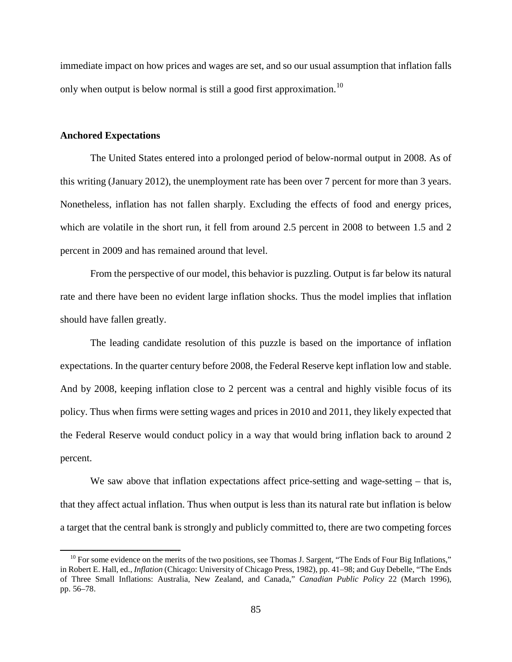immediate impact on how prices and wages are set, and so our usual assumption that inflation falls only when output is below normal is still a good first approximation.<sup>[10](#page-92-0)</sup>

## **Anchored Expectations**

The United States entered into a prolonged period of below-normal output in 2008. As of this writing (January 2012), the unemployment rate has been over 7 percent for more than 3 years. Nonetheless, inflation has not fallen sharply. Excluding the effects of food and energy prices, which are volatile in the short run, it fell from around 2.5 percent in 2008 to between 1.5 and 2 percent in 2009 and has remained around that level.

From the perspective of our model, this behavior is puzzling. Output is far below its natural rate and there have been no evident large inflation shocks. Thus the model implies that inflation should have fallen greatly.

The leading candidate resolution of this puzzle is based on the importance of inflation expectations. In the quarter century before 2008, the Federal Reserve kept inflation low and stable. And by 2008, keeping inflation close to 2 percent was a central and highly visible focus of its policy. Thus when firms were setting wages and prices in 2010 and 2011, they likely expected that the Federal Reserve would conduct policy in a way that would bring inflation back to around 2 percent.

We saw above that inflation expectations affect price-setting and wage-setting – that is, that they affect actual inflation. Thus when output is less than its natural rate but inflation is below a target that the central bank is strongly and publicly committed to, there are two competing forces

<span id="page-92-0"></span> $10$  For some evidence on the merits of the two positions, see Thomas J. Sargent, "The Ends of Four Big Inflations," in Robert E. Hall, ed., *Inflation* (Chicago: University of Chicago Press, 1982), pp. 41–98; and Guy Debelle, "The Ends of Three Small Inflations: Australia, New Zealand, and Canada," *Canadian Public Policy* 22 (March 1996), pp. 56–78.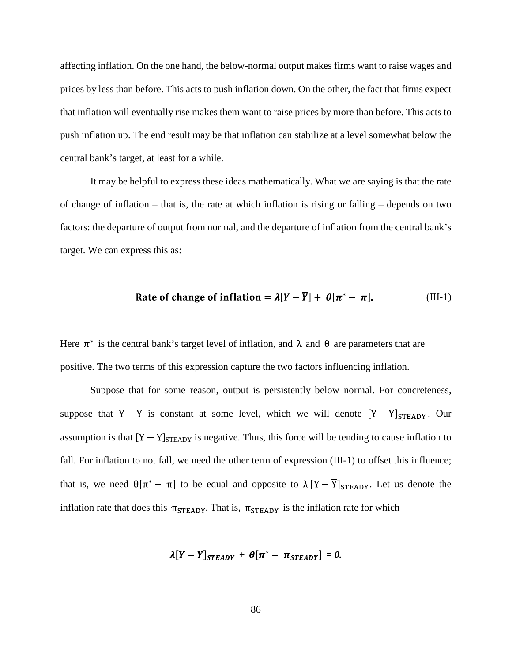affecting inflation. On the one hand, the below-normal output makes firms want to raise wages and prices by less than before. This acts to push inflation down. On the other, the fact that firms expect that inflation will eventually rise makes them want to raise prices by more than before. This acts to push inflation up. The end result may be that inflation can stabilize at a level somewhat below the central bank's target, at least for a while.

It may be helpful to express these ideas mathematically. What we are saying is that the rate of change of inflation – that is, the rate at which inflation is rising or falling – depends on two factors: the departure of output from normal, and the departure of inflation from the central bank's target. We can express this as:

Rate of change of inflation = 
$$
\lambda[Y - \overline{Y}] + \theta[\pi^* - \pi]
$$
. (III-1)

Here  $\pi^*$  is the central bank's target level of inflation, and  $\lambda$  and  $\theta$  are parameters that are positive. The two terms of this expression capture the two factors influencing inflation.

Suppose that for some reason, output is persistently below normal. For concreteness, suppose that  $Y - \overline{Y}$  is constant at some level, which we will denote  $[Y - \overline{Y}]_{STEADV}$ . Our assumption is that  $[Y - \overline{Y}]_{\text{STEAPY}}$  is negative. Thus, this force will be tending to cause inflation to fall. For inflation to not fall, we need the other term of expression (III-1) to offset this influence; that is, we need  $\theta[\pi^* - \pi]$  to be equal and opposite to  $\lambda [Y - \overline{Y}]_{STEADV}$ . Let us denote the inflation rate that does this  $\pi_{\text{STEADV}}$ . That is,  $\pi_{\text{STEADV}}$  is the inflation rate for which

$$
\lambda[Y-\overline{Y}]_{STEADV} + \theta[\pi^* - \pi_{STEADV}] = 0.
$$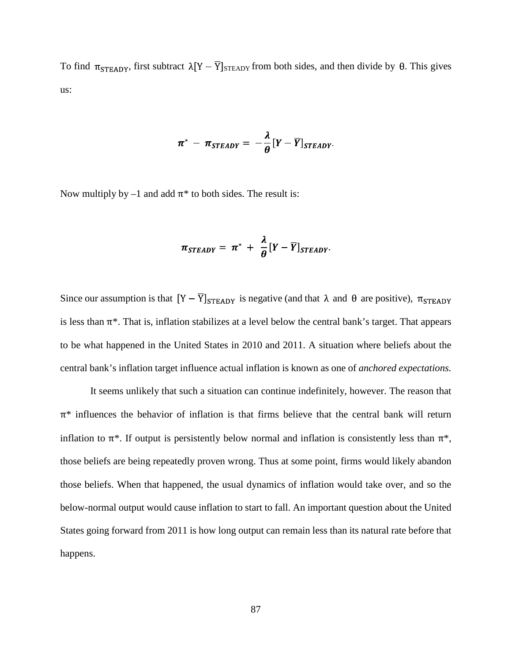To find  $\pi_{\text{STEADY}}$ , first subtract  $\lambda[Y - \overline{Y}]_{\text{STEADY}}$  from both sides, and then divide by  $\theta$ . This gives us:

$$
\pi^* - \pi_{STEADV} = -\frac{\lambda}{\theta} [Y - \overline{Y}]_{STEADV}.
$$

Now multiply by  $-1$  and add  $\pi^*$  to both sides. The result is:

$$
\pi_{STEADV} = \pi^* + \frac{\lambda}{\theta} [Y - \overline{Y}]_{STEADV}
$$

Since our assumption is that  $[Y - \overline{Y}]_{\text{STEAPY}}$  is negative (and that  $\lambda$  and  $\theta$  are positive),  $\pi_{\text{STEAPY}}$ is less than  $\pi^*$ . That is, inflation stabilizes at a level below the central bank's target. That appears to be what happened in the United States in 2010 and 2011. A situation where beliefs about the central bank's inflation target influence actual inflation is known as one of *anchored expectations.*

It seems unlikely that such a situation can continue indefinitely, however. The reason that  $\pi^*$  influences the behavior of inflation is that firms believe that the central bank will return inflation to  $\pi^*$ . If output is persistently below normal and inflation is consistently less than  $\pi^*$ , those beliefs are being repeatedly proven wrong. Thus at some point, firms would likely abandon those beliefs. When that happened, the usual dynamics of inflation would take over, and so the below-normal output would cause inflation to start to fall. An important question about the United States going forward from 2011 is how long output can remain less than its natural rate before that happens.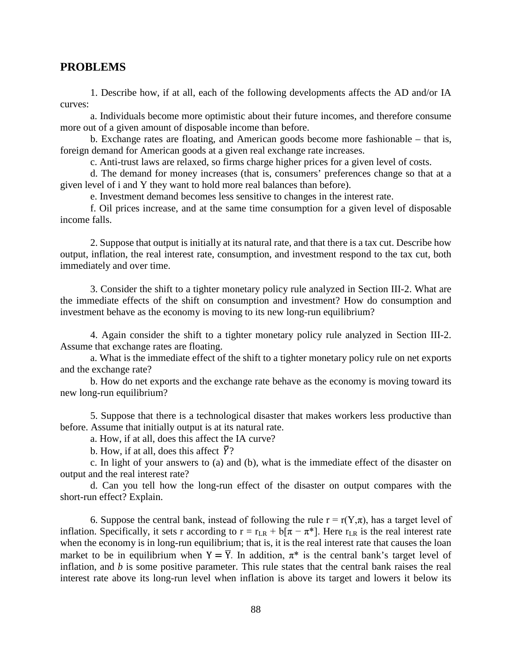## **PROBLEMS**

1. Describe how, if at all, each of the following developments affects the AD and/or IA curves:

a. Individuals become more optimistic about their future incomes, and therefore consume more out of a given amount of disposable income than before.

b. Exchange rates are floating, and American goods become more fashionable – that is, foreign demand for American goods at a given real exchange rate increases.

c. Anti-trust laws are relaxed, so firms charge higher prices for a given level of costs.

d. The demand for money increases (that is, consumers' preferences change so that at a given level of i and Y they want to hold more real balances than before).

e. Investment demand becomes less sensitive to changes in the interest rate.

f. Oil prices increase, and at the same time consumption for a given level of disposable income falls.

2. Suppose that output is initially at its natural rate, and that there is a tax cut. Describe how output, inflation, the real interest rate, consumption, and investment respond to the tax cut, both immediately and over time.

3. Consider the shift to a tighter monetary policy rule analyzed in Section III-2. What are the immediate effects of the shift on consumption and investment? How do consumption and investment behave as the economy is moving to its new long-run equilibrium?

4. Again consider the shift to a tighter monetary policy rule analyzed in Section III-2. Assume that exchange rates are floating.

a. What is the immediate effect of the shift to a tighter monetary policy rule on net exports and the exchange rate?

b. How do net exports and the exchange rate behave as the economy is moving toward its new long-run equilibrium?

5. Suppose that there is a technological disaster that makes workers less productive than before. Assume that initially output is at its natural rate.

a. How, if at all, does this affect the IA curve?

b. How, if at all, does this affect  $\overline{Y}$ ?

c. In light of your answers to (a) and (b), what is the immediate effect of the disaster on output and the real interest rate?

d. Can you tell how the long-run effect of the disaster on output compares with the short-run effect? Explain.

6. Suppose the central bank, instead of following the rule  $r = r(Y,\pi)$ , has a target level of inflation. Specifically, it sets r according to  $r = r_{LR} + b[\pi - \pi^*]$ . Here  $r_{LR}$  is the real interest rate when the economy is in long-run equilibrium; that is, it is the real interest rate that causes the loan market to be in equilibrium when  $Y = \overline{Y}$ . In addition,  $\pi^*$  is the central bank's target level of inflation, and *b* is some positive parameter. This rule states that the central bank raises the real interest rate above its long-run level when inflation is above its target and lowers it below its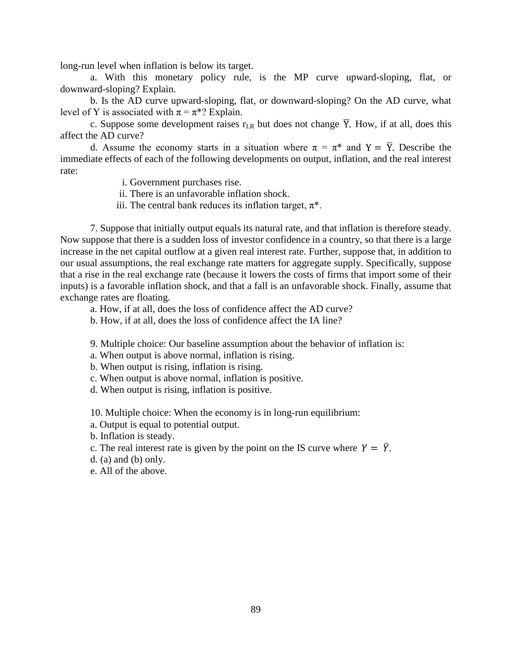long-run level when inflation is below its target.

a. With this monetary policy rule, is the MP curve upward-sloping, flat, or downward-sloping? Explain.

b. Is the AD curve upward-sloping, flat, or downward-sloping? On the AD curve, what level of Y is associated with  $\pi = \pi^*$ ? Explain.

c. Suppose some development raises  $r_{LR}$  but does not change  $\overline{Y}$ . How, if at all, does this affect the AD curve?

d. Assume the economy starts in a situation where  $\pi = \pi^*$  and  $Y = \overline{Y}$ . Describe the immediate effects of each of the following developments on output, inflation, and the real interest rate:

i. Government purchases rise.

ii. There is an unfavorable inflation shock.

iii. The central bank reduces its inflation target,  $\pi^*$ .

7. Suppose that initially output equals its natural rate, and that inflation is therefore steady. Now suppose that there is a sudden loss of investor confidence in a country, so that there is a large increase in the net capital outflow at a given real interest rate. Further, suppose that, in addition to our usual assumptions, the real exchange rate matters for aggregate supply. Specifically, suppose that a rise in the real exchange rate (because it lowers the costs of firms that import some of their inputs) is a favorable inflation shock, and that a fall is an unfavorable shock. Finally, assume that exchange rates are floating.

a. How, if at all, does the loss of confidence affect the AD curve?

b. How, if at all, does the loss of confidence affect the IA line?

9. Multiple choice: Our baseline assumption about the behavior of inflation is:

a. When output is above normal, inflation is rising.

b. When output is rising, inflation is rising.

c. When output is above normal, inflation is positive.

d. When output is rising, inflation is positive.

10. Multiple choice: When the economy is in long-run equilibrium:

a. Output is equal to potential output.

b. Inflation is steady.

c. The real interest rate is given by the point on the IS curve where  $Y = \overline{Y}$ .

 $d.$  (a) and (b) only.

e. All of the above.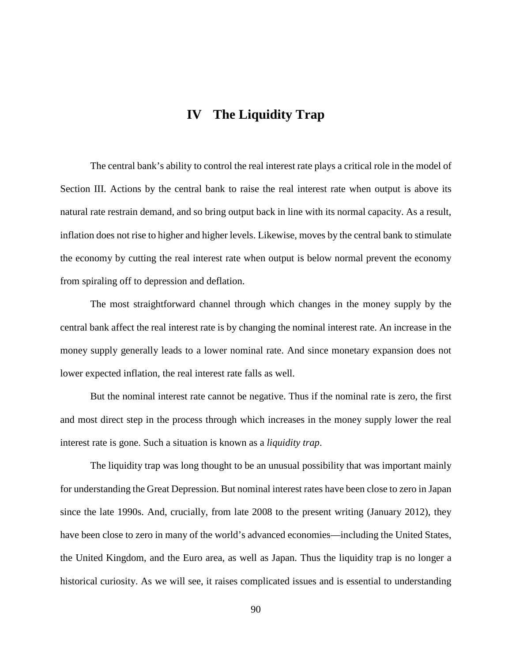# **IV The Liquidity Trap**

The central bank's ability to control the real interest rate plays a critical role in the model of Section III. Actions by the central bank to raise the real interest rate when output is above its natural rate restrain demand, and so bring output back in line with its normal capacity. As a result, inflation does not rise to higher and higher levels. Likewise, moves by the central bank to stimulate the economy by cutting the real interest rate when output is below normal prevent the economy from spiraling off to depression and deflation.

The most straightforward channel through which changes in the money supply by the central bank affect the real interest rate is by changing the nominal interest rate. An increase in the money supply generally leads to a lower nominal rate. And since monetary expansion does not lower expected inflation, the real interest rate falls as well.

But the nominal interest rate cannot be negative. Thus if the nominal rate is zero, the first and most direct step in the process through which increases in the money supply lower the real interest rate is gone. Such a situation is known as a *liquidity trap*.

The liquidity trap was long thought to be an unusual possibility that was important mainly for understanding the Great Depression. But nominal interest rates have been close to zero in Japan since the late 1990s. And, crucially, from late 2008 to the present writing (January 2012), they have been close to zero in many of the world's advanced economies—including the United States, the United Kingdom, and the Euro area, as well as Japan. Thus the liquidity trap is no longer a historical curiosity. As we will see, it raises complicated issues and is essential to understanding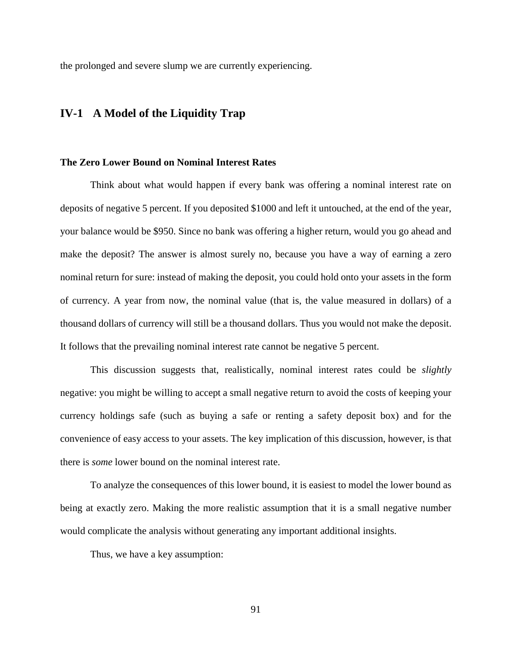the prolonged and severe slump we are currently experiencing.

## **IV-1 A Model of the Liquidity Trap**

## **The Zero Lower Bound on Nominal Interest Rates**

Think about what would happen if every bank was offering a nominal interest rate on deposits of negative 5 percent. If you deposited \$1000 and left it untouched, at the end of the year, your balance would be \$950. Since no bank was offering a higher return, would you go ahead and make the deposit? The answer is almost surely no, because you have a way of earning a zero nominal return for sure: instead of making the deposit, you could hold onto your assets in the form of currency. A year from now, the nominal value (that is, the value measured in dollars) of a thousand dollars of currency will still be a thousand dollars. Thus you would not make the deposit. It follows that the prevailing nominal interest rate cannot be negative 5 percent.

This discussion suggests that, realistically, nominal interest rates could be *slightly* negative: you might be willing to accept a small negative return to avoid the costs of keeping your currency holdings safe (such as buying a safe or renting a safety deposit box) and for the convenience of easy access to your assets. The key implication of this discussion, however, is that there is *some* lower bound on the nominal interest rate.

To analyze the consequences of this lower bound, it is easiest to model the lower bound as being at exactly zero. Making the more realistic assumption that it is a small negative number would complicate the analysis without generating any important additional insights.

Thus, we have a key assumption: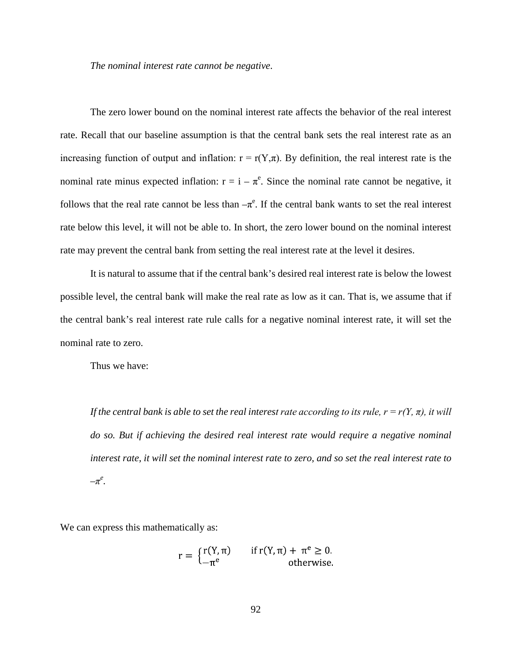*The nominal interest rate cannot be negative*.

The zero lower bound on the nominal interest rate affects the behavior of the real interest rate. Recall that our baseline assumption is that the central bank sets the real interest rate as an increasing function of output and inflation:  $r = r(Y,\pi)$ . By definition, the real interest rate is the nominal rate minus expected inflation:  $r = i - \pi^e$ . Since the nominal rate cannot be negative, it follows that the real rate cannot be less than  $-\pi^e$ . If the central bank wants to set the real interest rate below this level, it will not be able to. In short, the zero lower bound on the nominal interest rate may prevent the central bank from setting the real interest rate at the level it desires.

It is natural to assume that if the central bank's desired real interest rate is below the lowest possible level, the central bank will make the real rate as low as it can. That is, we assume that if the central bank's real interest rate rule calls for a negative nominal interest rate, it will set the nominal rate to zero.

Thus we have:

*If the central bank is able to set the real interest rate according to its rule,*  $r = r(Y, \pi)$ *, it will do so. But if achieving the desired real interest rate would require a negative nominal interest rate, it will set the nominal interest rate to zero, and so set the real interest rate to –π<sup>e</sup> .* 

We can express this mathematically as:

$$
r = \begin{cases} r(Y, \pi) & \text{if } r(Y, \pi) + \pi^e \ge 0. \\ -\pi^e & \text{otherwise.} \end{cases}
$$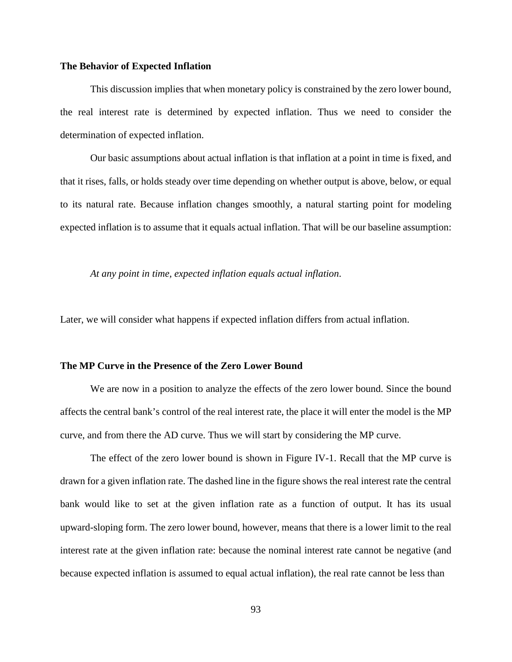## **The Behavior of Expected Inflation**

This discussion implies that when monetary policy is constrained by the zero lower bound, the real interest rate is determined by expected inflation. Thus we need to consider the determination of expected inflation.

Our basic assumptions about actual inflation is that inflation at a point in time is fixed, and that it rises, falls, or holds steady over time depending on whether output is above, below, or equal to its natural rate. Because inflation changes smoothly, a natural starting point for modeling expected inflation is to assume that it equals actual inflation. That will be our baseline assumption:

*At any point in time, expected inflation equals actual inflation*.

Later, we will consider what happens if expected inflation differs from actual inflation.

### **The MP Curve in the Presence of the Zero Lower Bound**

We are now in a position to analyze the effects of the zero lower bound. Since the bound affects the central bank's control of the real interest rate, the place it will enter the model is the MP curve, and from there the AD curve. Thus we will start by considering the MP curve.

The effect of the zero lower bound is shown in Figure IV-1. Recall that the MP curve is drawn for a given inflation rate. The dashed line in the figure shows the real interest rate the central bank would like to set at the given inflation rate as a function of output. It has its usual upward-sloping form. The zero lower bound, however, means that there is a lower limit to the real interest rate at the given inflation rate: because the nominal interest rate cannot be negative (and because expected inflation is assumed to equal actual inflation), the real rate cannot be less than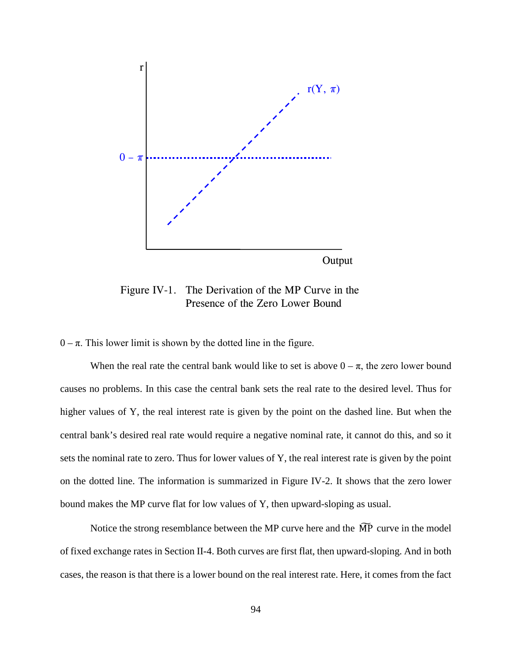

Figure IV-1. The Derivation of the MP Curve in the Presence of the Zero Lower Bound

 $0 - \pi$ . This lower limit is shown by the dotted line in the figure.

When the real rate the central bank would like to set is above  $0 - \pi$ , the zero lower bound causes no problems. In this case the central bank sets the real rate to the desired level. Thus for higher values of Y, the real interest rate is given by the point on the dashed line. But when the central bank's desired real rate would require a negative nominal rate, it cannot do this, and so it sets the nominal rate to zero. Thus for lower values of Y, the real interest rate is given by the point on the dotted line. The information is summarized in Figure IV-2. It shows that the zero lower bound makes the MP curve flat for low values of Y, then upward-sloping as usual.

Notice the strong resemblance between the MP curve here and the  $\widetilde{MP}$  curve in the model of fixed exchange rates in Section II-4. Both curves are first flat, then upward-sloping. And in both cases, the reason is that there is a lower bound on the real interest rate. Here, it comes from the fact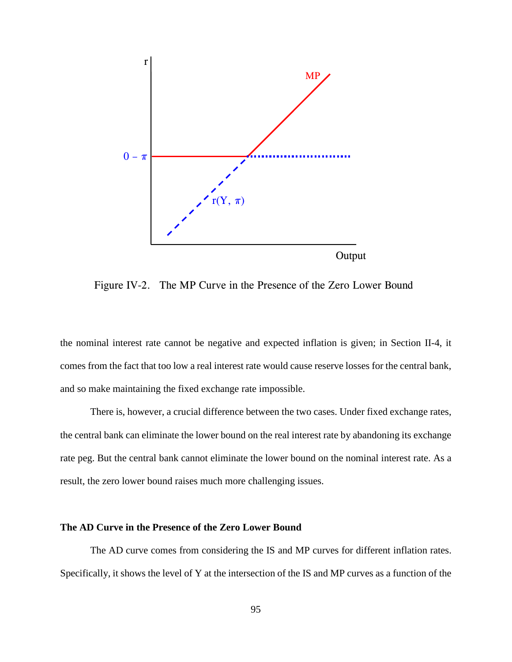

Figure IV-2. The MP Curve in the Presence of the Zero Lower Bound

the nominal interest rate cannot be negative and expected inflation is given; in Section II-4, it comes from the fact that too low a real interest rate would cause reserve losses for the central bank, and so make maintaining the fixed exchange rate impossible.

There is, however, a crucial difference between the two cases. Under fixed exchange rates, the central bank can eliminate the lower bound on the real interest rate by abandoning its exchange rate peg. But the central bank cannot eliminate the lower bound on the nominal interest rate. As a result, the zero lower bound raises much more challenging issues.

#### **The AD Curve in the Presence of the Zero Lower Bound**

The AD curve comes from considering the IS and MP curves for different inflation rates. Specifically, it shows the level of Y at the intersection of the IS and MP curves as a function of the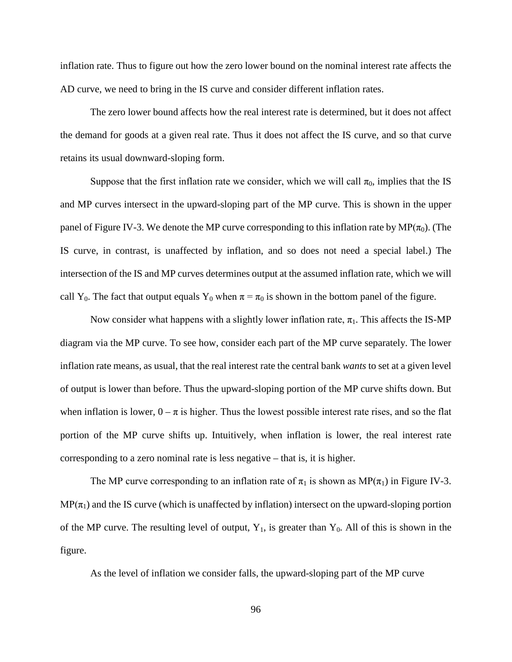inflation rate. Thus to figure out how the zero lower bound on the nominal interest rate affects the AD curve, we need to bring in the IS curve and consider different inflation rates.

The zero lower bound affects how the real interest rate is determined, but it does not affect the demand for goods at a given real rate. Thus it does not affect the IS curve, and so that curve retains its usual downward-sloping form.

Suppose that the first inflation rate we consider, which we will call  $\pi_0$ , implies that the IS and MP curves intersect in the upward-sloping part of the MP curve. This is shown in the upper panel of Figure IV-3. We denote the MP curve corresponding to this inflation rate by MP( $\pi_0$ ). (The IS curve, in contrast, is unaffected by inflation, and so does not need a special label.) The intersection of the IS and MP curves determines output at the assumed inflation rate, which we will call Y<sub>0</sub>. The fact that output equals Y<sub>0</sub> when  $\pi = \pi_0$  is shown in the bottom panel of the figure.

Now consider what happens with a slightly lower inflation rate,  $\pi_1$ . This affects the IS-MP diagram via the MP curve. To see how, consider each part of the MP curve separately. The lower inflation rate means, as usual, that the real interest rate the central bank *wants* to set at a given level of output is lower than before. Thus the upward-sloping portion of the MP curve shifts down. But when inflation is lower,  $0 - \pi$  is higher. Thus the lowest possible interest rate rises, and so the flat portion of the MP curve shifts up. Intuitively, when inflation is lower, the real interest rate corresponding to a zero nominal rate is less negative – that is, it is higher.

The MP curve corresponding to an inflation rate of  $\pi_1$  is shown as MP( $\pi_1$ ) in Figure IV-3.  $MP(\pi_1)$  and the IS curve (which is unaffected by inflation) intersect on the upward-sloping portion of the MP curve. The resulting level of output,  $Y_1$ , is greater than  $Y_0$ . All of this is shown in the figure.

As the level of inflation we consider falls, the upward-sloping part of the MP curve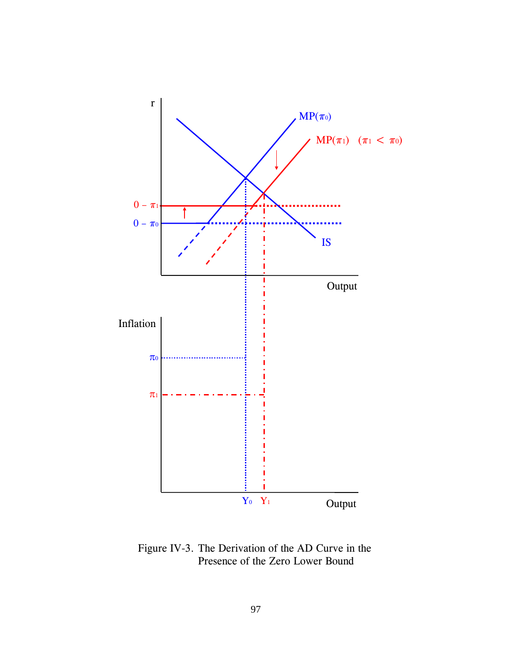

Figure IV-3. The Derivation of the AD Curve in the Presence of the Zero Lower Bound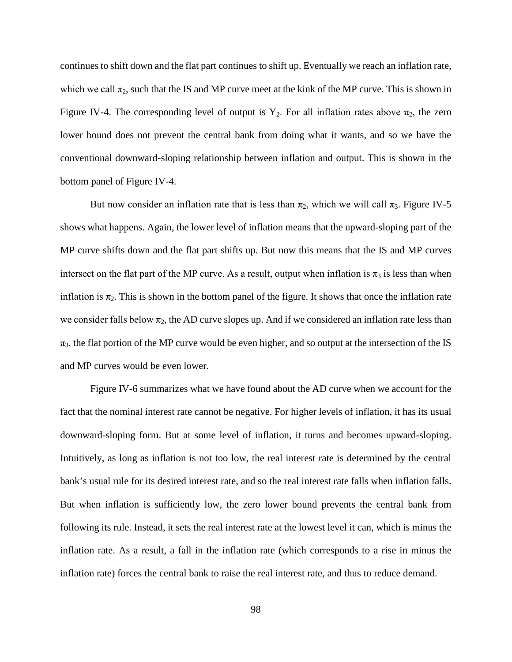continues to shift down and the flat part continues to shift up. Eventually we reach an inflation rate, which we call  $\pi_2$ , such that the IS and MP curve meet at the kink of the MP curve. This is shown in Figure IV-4. The corresponding level of output is  $Y_2$ . For all inflation rates above  $\pi_2$ , the zero lower bound does not prevent the central bank from doing what it wants, and so we have the conventional downward-sloping relationship between inflation and output. This is shown in the bottom panel of Figure IV-4.

But now consider an inflation rate that is less than  $\pi_2$ , which we will call  $\pi_3$ . Figure IV-5 shows what happens. Again, the lower level of inflation means that the upward-sloping part of the MP curve shifts down and the flat part shifts up. But now this means that the IS and MP curves intersect on the flat part of the MP curve. As a result, output when inflation is  $\pi_3$  is less than when inflation is  $\pi_2$ . This is shown in the bottom panel of the figure. It shows that once the inflation rate we consider falls below  $\pi_2$ , the AD curve slopes up. And if we considered an inflation rate less than  $\pi_3$ , the flat portion of the MP curve would be even higher, and so output at the intersection of the IS and MP curves would be even lower.

Figure IV-6 summarizes what we have found about the AD curve when we account for the fact that the nominal interest rate cannot be negative. For higher levels of inflation, it has its usual downward-sloping form. But at some level of inflation, it turns and becomes upward-sloping. Intuitively, as long as inflation is not too low, the real interest rate is determined by the central bank's usual rule for its desired interest rate, and so the real interest rate falls when inflation falls. But when inflation is sufficiently low, the zero lower bound prevents the central bank from following its rule. Instead, it sets the real interest rate at the lowest level it can, which is minus the inflation rate. As a result, a fall in the inflation rate (which corresponds to a rise in minus the inflation rate) forces the central bank to raise the real interest rate, and thus to reduce demand.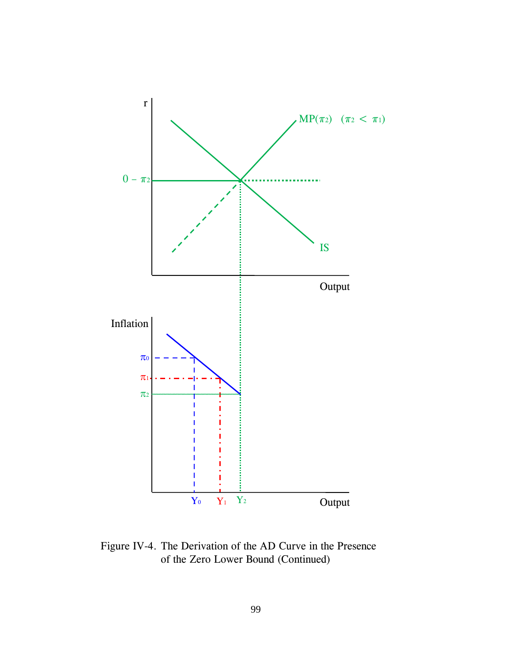

Figure IV-4. The Derivation of the AD Curve in the Presence of the Zero Lower Bound (Continued)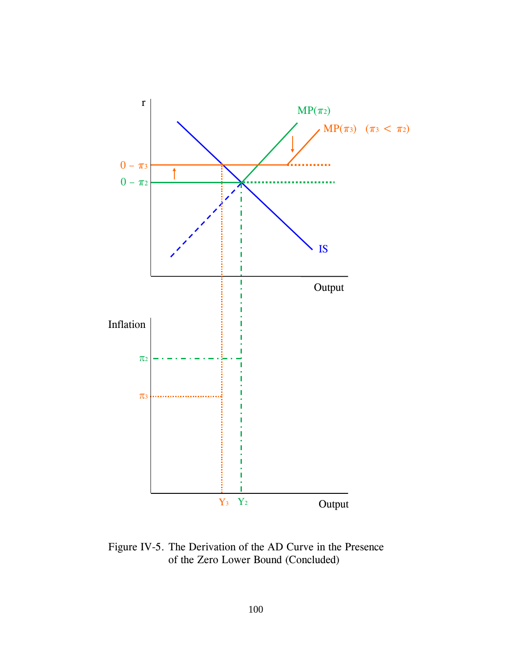

Figure IV-5. The Derivation of the AD Curve in the Presence of the Zero Lower Bound (Concluded)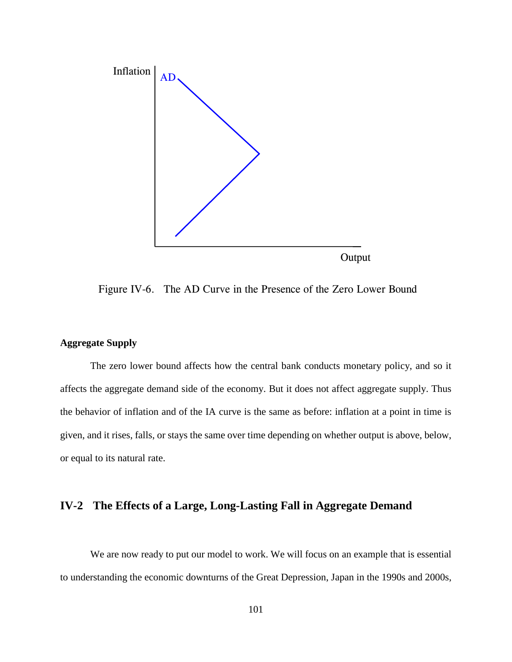

Figure IV-6. The AD Curve in the Presence of the Zero Lower Bound

## **Aggregate Supply**

The zero lower bound affects how the central bank conducts monetary policy, and so it affects the aggregate demand side of the economy. But it does not affect aggregate supply. Thus the behavior of inflation and of the IA curve is the same as before: inflation at a point in time is given, and it rises, falls, or stays the same over time depending on whether output is above, below, or equal to its natural rate.

# **IV-2 The Effects of a Large, Long-Lasting Fall in Aggregate Demand**

We are now ready to put our model to work. We will focus on an example that is essential to understanding the economic downturns of the Great Depression, Japan in the 1990s and 2000s,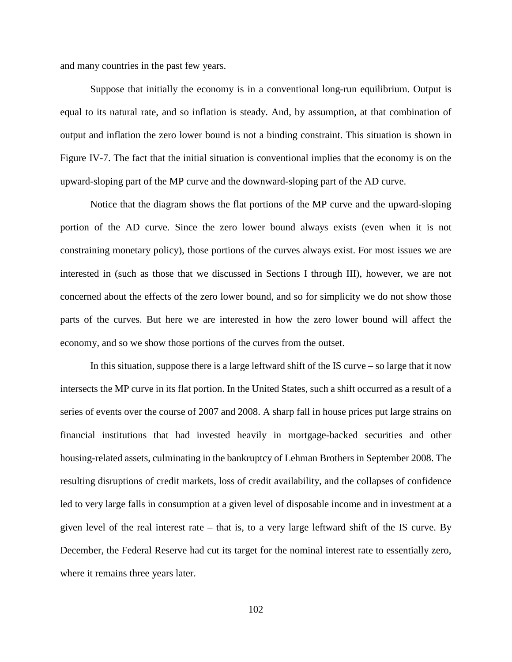and many countries in the past few years.

Suppose that initially the economy is in a conventional long-run equilibrium. Output is equal to its natural rate, and so inflation is steady. And, by assumption, at that combination of output and inflation the zero lower bound is not a binding constraint. This situation is shown in Figure IV-7. The fact that the initial situation is conventional implies that the economy is on the upward-sloping part of the MP curve and the downward-sloping part of the AD curve.

Notice that the diagram shows the flat portions of the MP curve and the upward-sloping portion of the AD curve. Since the zero lower bound always exists (even when it is not constraining monetary policy), those portions of the curves always exist. For most issues we are interested in (such as those that we discussed in Sections I through III), however, we are not concerned about the effects of the zero lower bound, and so for simplicity we do not show those parts of the curves. But here we are interested in how the zero lower bound will affect the economy, and so we show those portions of the curves from the outset.

In this situation, suppose there is a large leftward shift of the IS curve – so large that it now intersects the MP curve in its flat portion. In the United States, such a shift occurred as a result of a series of events over the course of 2007 and 2008. A sharp fall in house prices put large strains on financial institutions that had invested heavily in mortgage-backed securities and other housing-related assets, culminating in the bankruptcy of Lehman Brothers in September 2008. The resulting disruptions of credit markets, loss of credit availability, and the collapses of confidence led to very large falls in consumption at a given level of disposable income and in investment at a given level of the real interest rate – that is, to a very large leftward shift of the IS curve. By December, the Federal Reserve had cut its target for the nominal interest rate to essentially zero, where it remains three years later.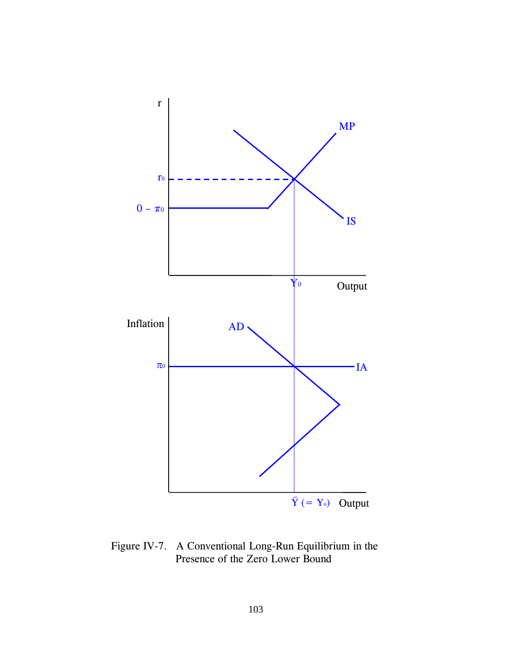

Figure IV-7. A Conventional Long-Run Equilibrium in the Presence of the Zero Lower Bound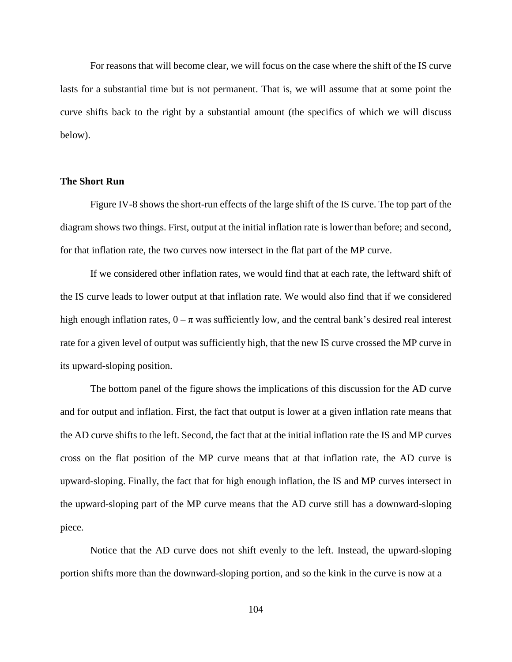For reasons that will become clear, we will focus on the case where the shift of the IS curve lasts for a substantial time but is not permanent. That is, we will assume that at some point the curve shifts back to the right by a substantial amount (the specifics of which we will discuss below).

#### **The Short Run**

Figure IV-8 shows the short-run effects of the large shift of the IS curve. The top part of the diagram shows two things. First, output at the initial inflation rate is lower than before; and second, for that inflation rate, the two curves now intersect in the flat part of the MP curve.

If we considered other inflation rates, we would find that at each rate, the leftward shift of the IS curve leads to lower output at that inflation rate. We would also find that if we considered high enough inflation rates,  $0 - \pi$  was sufficiently low, and the central bank's desired real interest rate for a given level of output was sufficiently high, that the new IS curve crossed the MP curve in its upward-sloping position.

The bottom panel of the figure shows the implications of this discussion for the AD curve and for output and inflation. First, the fact that output is lower at a given inflation rate means that the AD curve shifts to the left. Second, the fact that at the initial inflation rate the IS and MP curves cross on the flat position of the MP curve means that at that inflation rate, the AD curve is upward-sloping. Finally, the fact that for high enough inflation, the IS and MP curves intersect in the upward-sloping part of the MP curve means that the AD curve still has a downward-sloping piece.

Notice that the AD curve does not shift evenly to the left. Instead, the upward-sloping portion shifts more than the downward-sloping portion, and so the kink in the curve is now at a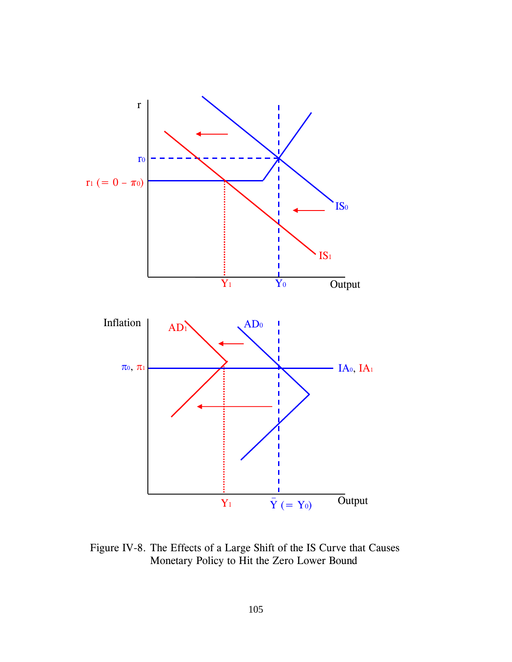

Figure IV-8. The Effects of a Large Shift of the IS Curve that Causes Monetary Policy to Hit the Zero Lower Bound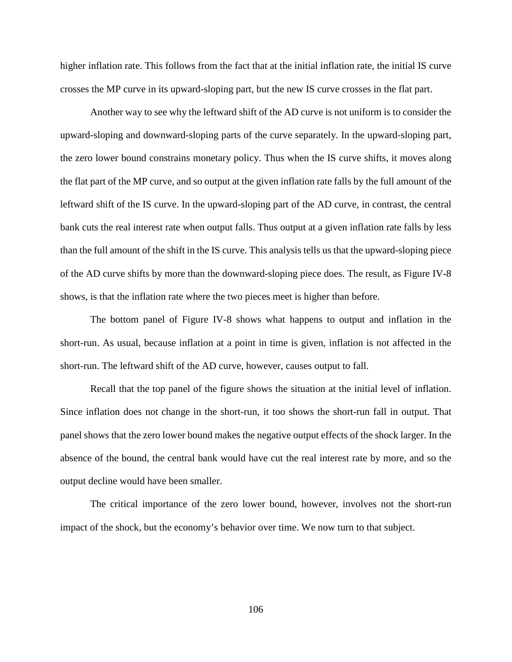higher inflation rate. This follows from the fact that at the initial inflation rate, the initial IS curve crosses the MP curve in its upward-sloping part, but the new IS curve crosses in the flat part.

Another way to see why the leftward shift of the AD curve is not uniform is to consider the upward-sloping and downward-sloping parts of the curve separately. In the upward-sloping part, the zero lower bound constrains monetary policy. Thus when the IS curve shifts, it moves along the flat part of the MP curve, and so output at the given inflation rate falls by the full amount of the leftward shift of the IS curve. In the upward-sloping part of the AD curve, in contrast, the central bank cuts the real interest rate when output falls. Thus output at a given inflation rate falls by less than the full amount of the shift in the IS curve. This analysis tells us that the upward-sloping piece of the AD curve shifts by more than the downward-sloping piece does. The result, as Figure IV-8 shows, is that the inflation rate where the two pieces meet is higher than before.

The bottom panel of Figure IV-8 shows what happens to output and inflation in the short-run. As usual, because inflation at a point in time is given, inflation is not affected in the short-run. The leftward shift of the AD curve, however, causes output to fall.

Recall that the top panel of the figure shows the situation at the initial level of inflation. Since inflation does not change in the short-run, it too shows the short-run fall in output. That panel shows that the zero lower bound makes the negative output effects of the shock larger. In the absence of the bound, the central bank would have cut the real interest rate by more, and so the output decline would have been smaller.

The critical importance of the zero lower bound, however, involves not the short-run impact of the shock, but the economy's behavior over time. We now turn to that subject.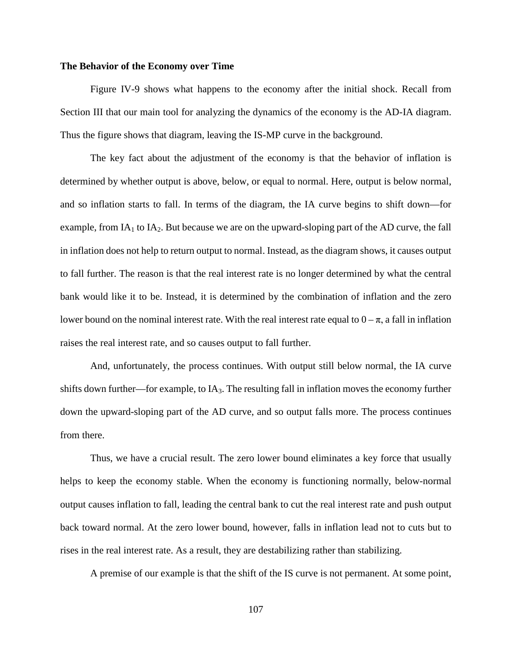#### **The Behavior of the Economy over Time**

Figure IV-9 shows what happens to the economy after the initial shock. Recall from Section III that our main tool for analyzing the dynamics of the economy is the AD-IA diagram. Thus the figure shows that diagram, leaving the IS-MP curve in the background.

The key fact about the adjustment of the economy is that the behavior of inflation is determined by whether output is above, below, or equal to normal. Here, output is below normal, and so inflation starts to fall. In terms of the diagram, the IA curve begins to shift down—for example, from  $IA<sub>1</sub>$  to  $IA<sub>2</sub>$ . But because we are on the upward-sloping part of the AD curve, the fall in inflation does not help to return output to normal. Instead, as the diagram shows, it causes output to fall further. The reason is that the real interest rate is no longer determined by what the central bank would like it to be. Instead, it is determined by the combination of inflation and the zero lower bound on the nominal interest rate. With the real interest rate equal to  $0 - \pi$ , a fall in inflation raises the real interest rate, and so causes output to fall further.

And, unfortunately, the process continues. With output still below normal, the IA curve shifts down further—for example, to  $IA<sub>3</sub>$ . The resulting fall in inflation moves the economy further down the upward-sloping part of the AD curve, and so output falls more. The process continues from there.

Thus, we have a crucial result. The zero lower bound eliminates a key force that usually helps to keep the economy stable. When the economy is functioning normally, below-normal output causes inflation to fall, leading the central bank to cut the real interest rate and push output back toward normal. At the zero lower bound, however, falls in inflation lead not to cuts but to rises in the real interest rate. As a result, they are destabilizing rather than stabilizing.

A premise of our example is that the shift of the IS curve is not permanent. At some point,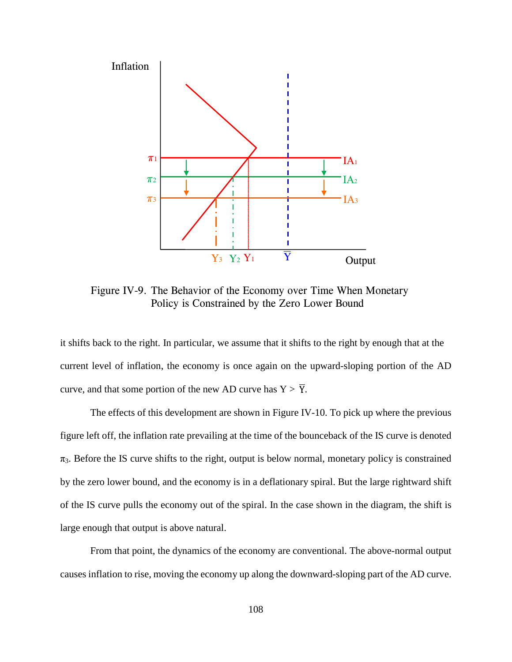

Figure IV-9. The Behavior of the Economy over Time When Monetary Policy is Constrained by the Zero Lower Bound

it shifts back to the right. In particular, we assume that it shifts to the right by enough that at the current level of inflation, the economy is once again on the upward-sloping portion of the AD curve, and that some portion of the new AD curve has  $Y > \overline{Y}$ .

The effects of this development are shown in Figure IV-10. To pick up where the previous figure left off, the inflation rate prevailing at the time of the bounceback of the IS curve is denoted  $\pi_3$ . Before the IS curve shifts to the right, output is below normal, monetary policy is constrained by the zero lower bound, and the economy is in a deflationary spiral. But the large rightward shift of the IS curve pulls the economy out of the spiral. In the case shown in the diagram, the shift is large enough that output is above natural.

From that point, the dynamics of the economy are conventional. The above-normal output causes inflation to rise, moving the economy up along the downward-sloping part of the AD curve.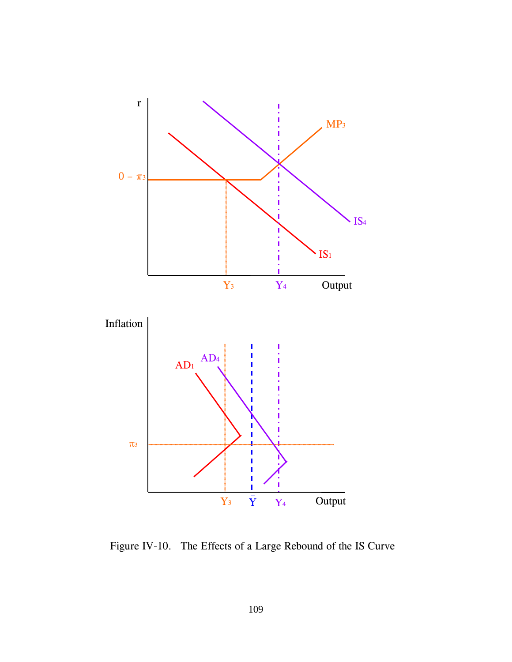

Figure IV-10. The Effects of a Large Rebound of the IS Curve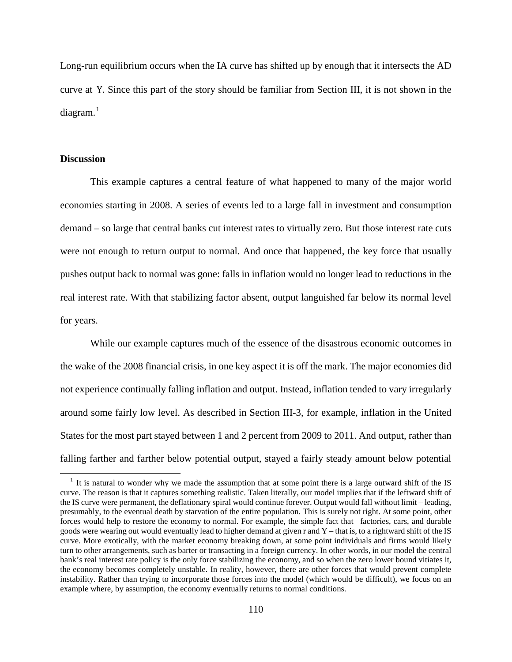Long-run equilibrium occurs when the IA curve has shifted up by enough that it intersects the AD curve at  $\overline{Y}$ . Since this part of the story should be familiar from Section III, it is not shown in the diagram.<sup>[1](#page-117-0)</sup>

#### **Discussion**

This example captures a central feature of what happened to many of the major world economies starting in 2008. A series of events led to a large fall in investment and consumption demand – so large that central banks cut interest rates to virtually zero. But those interest rate cuts were not enough to return output to normal. And once that happened, the key force that usually pushes output back to normal was gone: falls in inflation would no longer lead to reductions in the real interest rate. With that stabilizing factor absent, output languished far below its normal level for years.

While our example captures much of the essence of the disastrous economic outcomes in the wake of the 2008 financial crisis, in one key aspect it is off the mark. The major economies did not experience continually falling inflation and output. Instead, inflation tended to vary irregularly around some fairly low level. As described in Section III-3, for example, inflation in the United States for the most part stayed between 1 and 2 percent from 2009 to 2011. And output, rather than falling farther and farther below potential output, stayed a fairly steady amount below potential

<span id="page-117-0"></span><sup>&</sup>lt;sup>1</sup> It is natural to wonder why we made the assumption that at some point there is a large outward shift of the IS curve. The reason is that it captures something realistic. Taken literally, our model implies that if the leftward shift of the IS curve were permanent, the deflationary spiral would continue forever. Output would fall without limit – leading, presumably, to the eventual death by starvation of the entire population. This is surely not right. At some point, other forces would help to restore the economy to normal. For example, the simple fact that factories, cars, and durable goods were wearing out would eventually lead to higher demand at given  $r$  and  $Y$  – that is, to a rightward shift of the IS curve. More exotically, with the market economy breaking down, at some point individuals and firms would likely turn to other arrangements, such as barter or transacting in a foreign currency. In other words, in our model the central bank's real interest rate policy is the only force stabilizing the economy, and so when the zero lower bound vitiates it, the economy becomes completely unstable. In reality, however, there are other forces that would prevent complete instability. Rather than trying to incorporate those forces into the model (which would be difficult), we focus on an example where, by assumption, the economy eventually returns to normal conditions.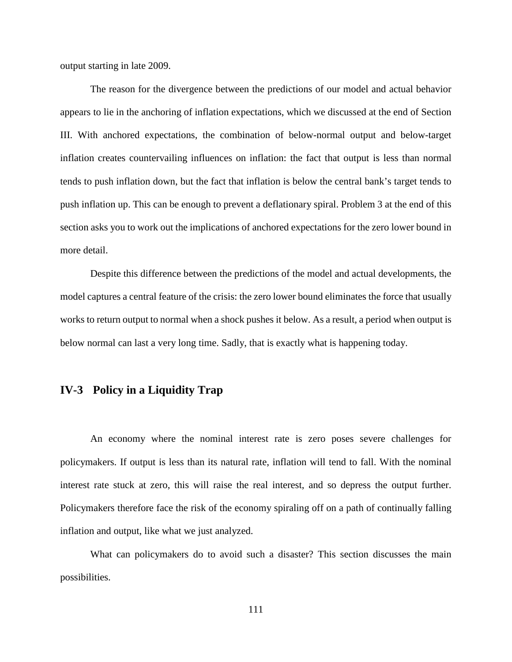output starting in late 2009.

The reason for the divergence between the predictions of our model and actual behavior appears to lie in the anchoring of inflation expectations, which we discussed at the end of Section III. With anchored expectations, the combination of below-normal output and below-target inflation creates countervailing influences on inflation: the fact that output is less than normal tends to push inflation down, but the fact that inflation is below the central bank's target tends to push inflation up. This can be enough to prevent a deflationary spiral. Problem 3 at the end of this section asks you to work out the implications of anchored expectations for the zero lower bound in more detail.

Despite this difference between the predictions of the model and actual developments, the model captures a central feature of the crisis: the zero lower bound eliminates the force that usually works to return output to normal when a shock pushes it below. As a result, a period when output is below normal can last a very long time. Sadly, that is exactly what is happening today.

# **IV-3 Policy in a Liquidity Trap**

An economy where the nominal interest rate is zero poses severe challenges for policymakers. If output is less than its natural rate, inflation will tend to fall. With the nominal interest rate stuck at zero, this will raise the real interest, and so depress the output further. Policymakers therefore face the risk of the economy spiraling off on a path of continually falling inflation and output, like what we just analyzed.

What can policymakers do to avoid such a disaster? This section discusses the main possibilities.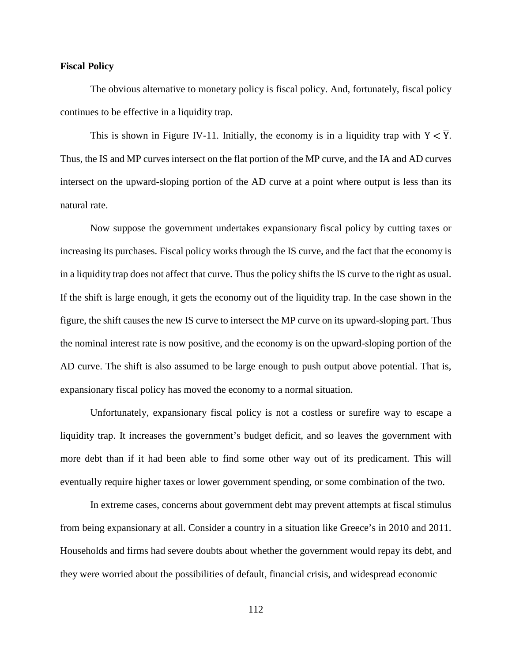#### **Fiscal Policy**

The obvious alternative to monetary policy is fiscal policy. And, fortunately, fiscal policy continues to be effective in a liquidity trap.

This is shown in Figure IV-11. Initially, the economy is in a liquidity trap with  $Y < \overline{Y}$ . Thus, the IS and MP curves intersect on the flat portion of the MP curve, and the IA and AD curves intersect on the upward-sloping portion of the AD curve at a point where output is less than its natural rate.

Now suppose the government undertakes expansionary fiscal policy by cutting taxes or increasing its purchases. Fiscal policy works through the IS curve, and the fact that the economy is in a liquidity trap does not affect that curve. Thus the policy shifts the IS curve to the right as usual. If the shift is large enough, it gets the economy out of the liquidity trap. In the case shown in the figure, the shift causes the new IS curve to intersect the MP curve on its upward-sloping part. Thus the nominal interest rate is now positive, and the economy is on the upward-sloping portion of the AD curve. The shift is also assumed to be large enough to push output above potential. That is, expansionary fiscal policy has moved the economy to a normal situation.

Unfortunately, expansionary fiscal policy is not a costless or surefire way to escape a liquidity trap. It increases the government's budget deficit, and so leaves the government with more debt than if it had been able to find some other way out of its predicament. This will eventually require higher taxes or lower government spending, or some combination of the two.

In extreme cases, concerns about government debt may prevent attempts at fiscal stimulus from being expansionary at all. Consider a country in a situation like Greece's in 2010 and 2011. Households and firms had severe doubts about whether the government would repay its debt, and they were worried about the possibilities of default, financial crisis, and widespread economic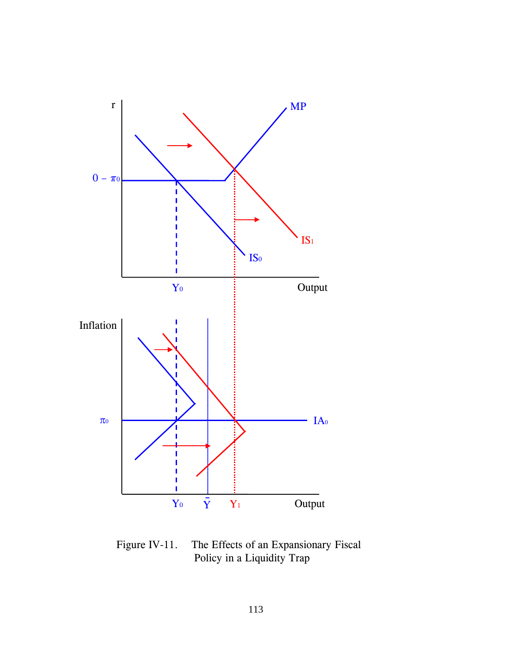

Figure IV-11. The Effects of an Expansionary Fiscal Policy in a Liquidity Trap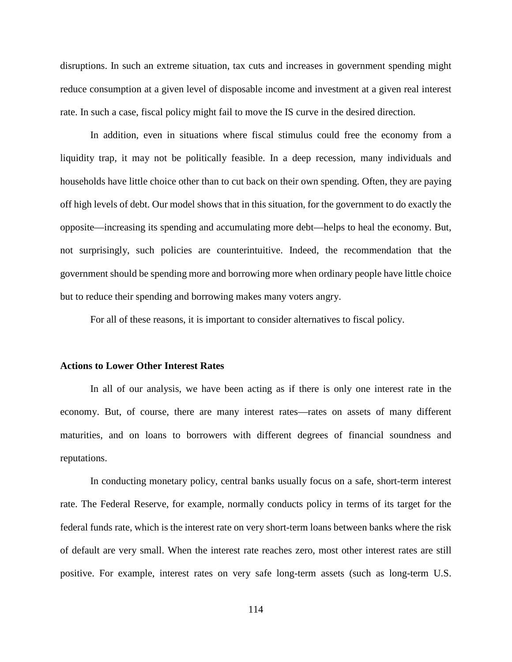disruptions. In such an extreme situation, tax cuts and increases in government spending might reduce consumption at a given level of disposable income and investment at a given real interest rate. In such a case, fiscal policy might fail to move the IS curve in the desired direction.

In addition, even in situations where fiscal stimulus could free the economy from a liquidity trap, it may not be politically feasible. In a deep recession, many individuals and households have little choice other than to cut back on their own spending. Often, they are paying off high levels of debt. Our model shows that in this situation, for the government to do exactly the opposite—increasing its spending and accumulating more debt—helps to heal the economy. But, not surprisingly, such policies are counterintuitive. Indeed, the recommendation that the government should be spending more and borrowing more when ordinary people have little choice but to reduce their spending and borrowing makes many voters angry.

For all of these reasons, it is important to consider alternatives to fiscal policy.

#### **Actions to Lower Other Interest Rates**

In all of our analysis, we have been acting as if there is only one interest rate in the economy. But, of course, there are many interest rates—rates on assets of many different maturities, and on loans to borrowers with different degrees of financial soundness and reputations.

In conducting monetary policy, central banks usually focus on a safe, short-term interest rate. The Federal Reserve, for example, normally conducts policy in terms of its target for the federal funds rate, which is the interest rate on very short-term loans between banks where the risk of default are very small. When the interest rate reaches zero, most other interest rates are still positive. For example, interest rates on very safe long-term assets (such as long-term U.S.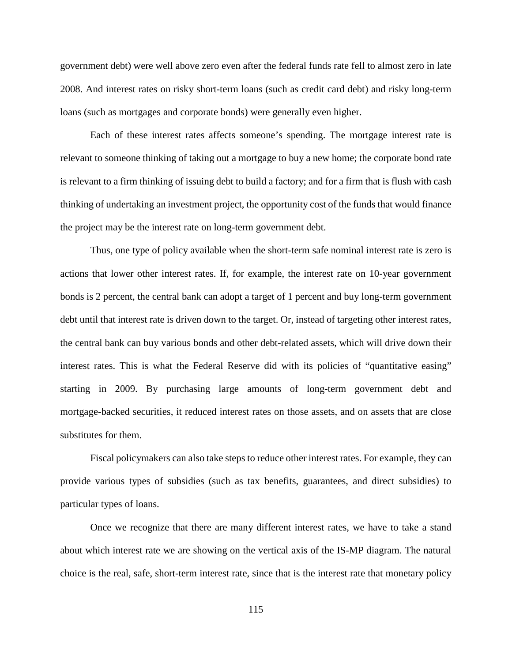government debt) were well above zero even after the federal funds rate fell to almost zero in late 2008. And interest rates on risky short-term loans (such as credit card debt) and risky long-term loans (such as mortgages and corporate bonds) were generally even higher.

Each of these interest rates affects someone's spending. The mortgage interest rate is relevant to someone thinking of taking out a mortgage to buy a new home; the corporate bond rate is relevant to a firm thinking of issuing debt to build a factory; and for a firm that is flush with cash thinking of undertaking an investment project, the opportunity cost of the funds that would finance the project may be the interest rate on long-term government debt.

Thus, one type of policy available when the short-term safe nominal interest rate is zero is actions that lower other interest rates. If, for example, the interest rate on 10-year government bonds is 2 percent, the central bank can adopt a target of 1 percent and buy long-term government debt until that interest rate is driven down to the target. Or, instead of targeting other interest rates, the central bank can buy various bonds and other debt-related assets, which will drive down their interest rates. This is what the Federal Reserve did with its policies of "quantitative easing" starting in 2009. By purchasing large amounts of long-term government debt and mortgage-backed securities, it reduced interest rates on those assets, and on assets that are close substitutes for them.

Fiscal policymakers can also take steps to reduce other interest rates. For example, they can provide various types of subsidies (such as tax benefits, guarantees, and direct subsidies) to particular types of loans.

Once we recognize that there are many different interest rates, we have to take a stand about which interest rate we are showing on the vertical axis of the IS-MP diagram. The natural choice is the real, safe, short-term interest rate, since that is the interest rate that monetary policy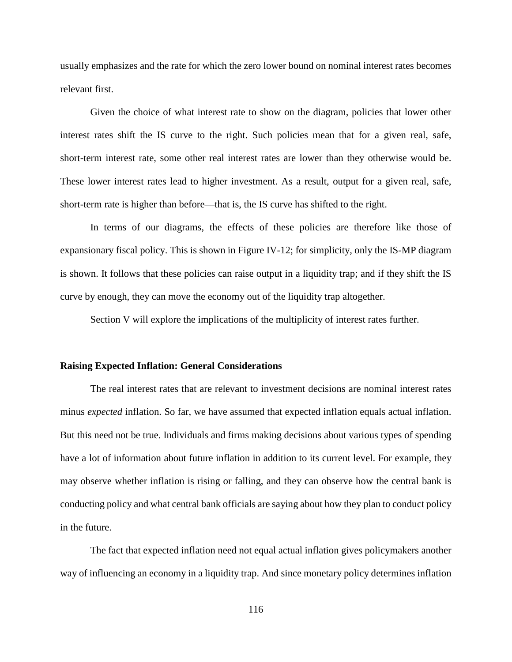usually emphasizes and the rate for which the zero lower bound on nominal interest rates becomes relevant first.

Given the choice of what interest rate to show on the diagram, policies that lower other interest rates shift the IS curve to the right. Such policies mean that for a given real, safe, short-term interest rate, some other real interest rates are lower than they otherwise would be. These lower interest rates lead to higher investment. As a result, output for a given real, safe, short-term rate is higher than before—that is, the IS curve has shifted to the right.

In terms of our diagrams, the effects of these policies are therefore like those of expansionary fiscal policy. This is shown in Figure IV-12; for simplicity, only the IS-MP diagram is shown. It follows that these policies can raise output in a liquidity trap; and if they shift the IS curve by enough, they can move the economy out of the liquidity trap altogether.

Section V will explore the implications of the multiplicity of interest rates further.

#### **Raising Expected Inflation: General Considerations**

The real interest rates that are relevant to investment decisions are nominal interest rates minus *expected* inflation. So far, we have assumed that expected inflation equals actual inflation. But this need not be true. Individuals and firms making decisions about various types of spending have a lot of information about future inflation in addition to its current level. For example, they may observe whether inflation is rising or falling, and they can observe how the central bank is conducting policy and what central bank officials are saying about how they plan to conduct policy in the future.

The fact that expected inflation need not equal actual inflation gives policymakers another way of influencing an economy in a liquidity trap. And since monetary policy determines inflation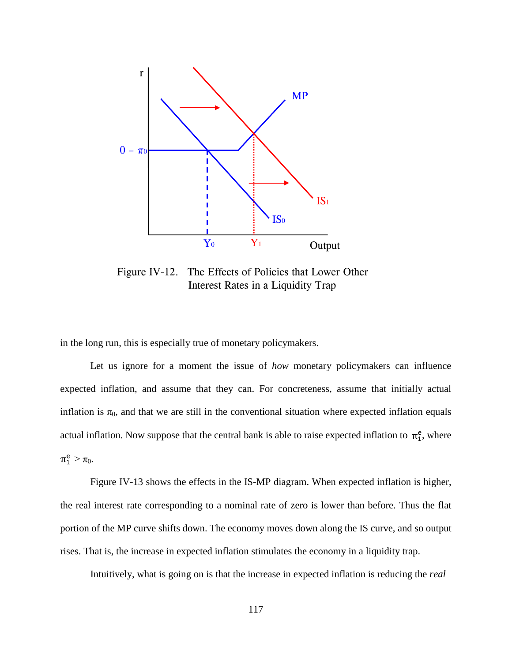

Figure IV-12. The Effects of Policies that Lower Other Interest Rates in a Liquidity Trap

in the long run, this is especially true of monetary policymakers.

Let us ignore for a moment the issue of *how* monetary policymakers can influence expected inflation, and assume that they can. For concreteness, assume that initially actual inflation is  $\pi_0$ , and that we are still in the conventional situation where expected inflation equals actual inflation. Now suppose that the central bank is able to raise expected inflation to  $\pi_1^e$ , where  $\pi_1^e > \pi_0$ .

Figure IV-13 shows the effects in the IS-MP diagram. When expected inflation is higher, the real interest rate corresponding to a nominal rate of zero is lower than before. Thus the flat portion of the MP curve shifts down. The economy moves down along the IS curve, and so output rises. That is, the increase in expected inflation stimulates the economy in a liquidity trap.

Intuitively, what is going on is that the increase in expected inflation is reducing the *real*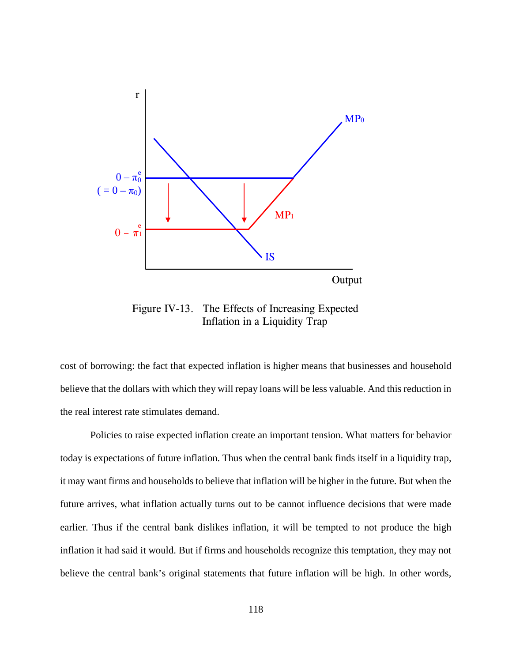

Figure IV-13. The Effects of Increasing Expected Inflation in a Liquidity Trap

cost of borrowing: the fact that expected inflation is higher means that businesses and household believe that the dollars with which they will repay loans will be less valuable. And this reduction in the real interest rate stimulates demand.

Policies to raise expected inflation create an important tension. What matters for behavior today is expectations of future inflation. Thus when the central bank finds itself in a liquidity trap, it may want firms and households to believe that inflation will be higher in the future. But when the future arrives, what inflation actually turns out to be cannot influence decisions that were made earlier. Thus if the central bank dislikes inflation, it will be tempted to not produce the high inflation it had said it would. But if firms and households recognize this temptation, they may not believe the central bank's original statements that future inflation will be high. In other words,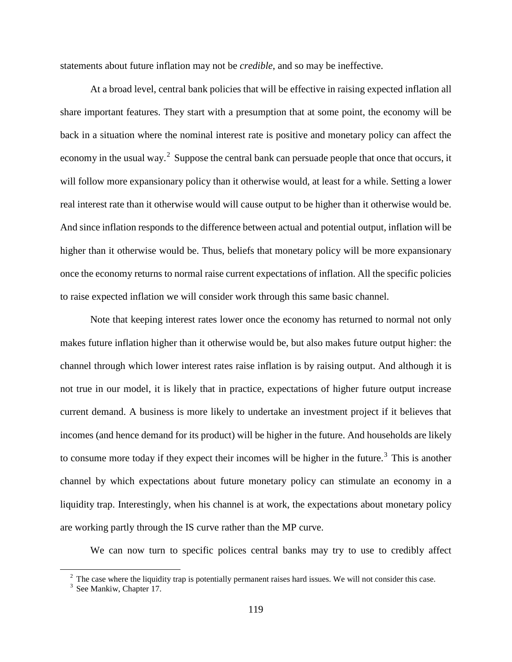statements about future inflation may not be *credible*, and so may be ineffective.

At a broad level, central bank policies that will be effective in raising expected inflation all share important features. They start with a presumption that at some point, the economy will be back in a situation where the nominal interest rate is positive and monetary policy can affect the economy in the usual way.<sup>[2](#page-126-0)</sup> Suppose the central bank can persuade people that once that occurs, it will follow more expansionary policy than it otherwise would, at least for a while. Setting a lower real interest rate than it otherwise would will cause output to be higher than it otherwise would be. And since inflation responds to the difference between actual and potential output, inflation will be higher than it otherwise would be. Thus, beliefs that monetary policy will be more expansionary once the economy returns to normal raise current expectations of inflation. All the specific policies to raise expected inflation we will consider work through this same basic channel.

Note that keeping interest rates lower once the economy has returned to normal not only makes future inflation higher than it otherwise would be, but also makes future output higher: the channel through which lower interest rates raise inflation is by raising output. And although it is not true in our model, it is likely that in practice, expectations of higher future output increase current demand. A business is more likely to undertake an investment project if it believes that incomes (and hence demand for its product) will be higher in the future. And households are likely to consume more today if they expect their incomes will be higher in the future.<sup>[3](#page-126-1)</sup> This is another channel by which expectations about future monetary policy can stimulate an economy in a liquidity trap. Interestingly, when his channel is at work, the expectations about monetary policy are working partly through the IS curve rather than the MP curve.

We can now turn to specific polices central banks may try to use to credibly affect

<span id="page-126-0"></span><sup>&</sup>lt;sup>2</sup> The case where the liquidity trap is potentially permanent raises hard issues. We will not consider this case.

<span id="page-126-1"></span><sup>&</sup>lt;sup>3</sup> See Mankiw, Chapter 17.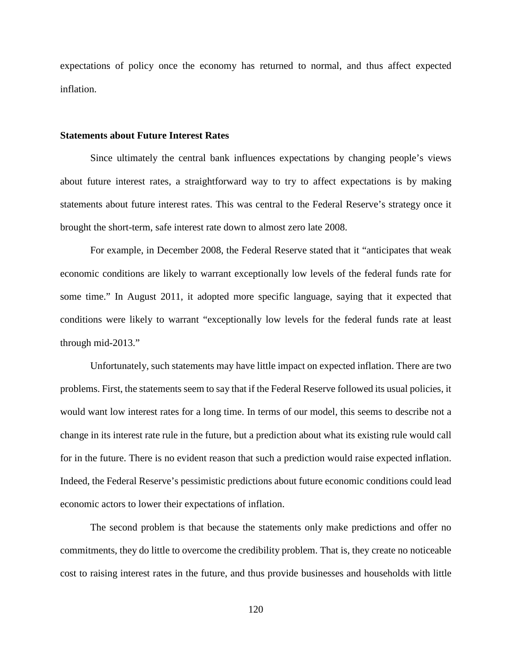expectations of policy once the economy has returned to normal, and thus affect expected inflation.

#### **Statements about Future Interest Rates**

Since ultimately the central bank influences expectations by changing people's views about future interest rates, a straightforward way to try to affect expectations is by making statements about future interest rates. This was central to the Federal Reserve's strategy once it brought the short-term, safe interest rate down to almost zero late 2008.

For example, in December 2008, the Federal Reserve stated that it "anticipates that weak economic conditions are likely to warrant exceptionally low levels of the federal funds rate for some time." In August 2011, it adopted more specific language, saying that it expected that conditions were likely to warrant "exceptionally low levels for the federal funds rate at least through mid-2013."

Unfortunately, such statements may have little impact on expected inflation. There are two problems. First, the statements seem to say that if the Federal Reserve followed its usual policies, it would want low interest rates for a long time. In terms of our model, this seems to describe not a change in its interest rate rule in the future, but a prediction about what its existing rule would call for in the future. There is no evident reason that such a prediction would raise expected inflation. Indeed, the Federal Reserve's pessimistic predictions about future economic conditions could lead economic actors to lower their expectations of inflation.

The second problem is that because the statements only make predictions and offer no commitments, they do little to overcome the credibility problem. That is, they create no noticeable cost to raising interest rates in the future, and thus provide businesses and households with little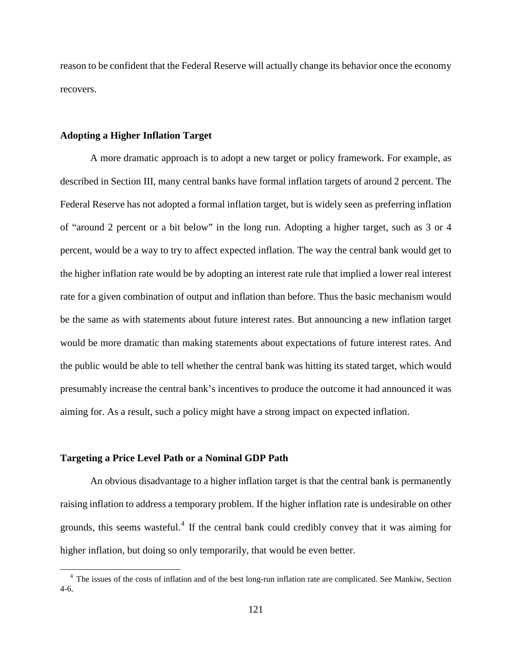reason to be confident that the Federal Reserve will actually change its behavior once the economy recovers.

#### **Adopting a Higher Inflation Target**

A more dramatic approach is to adopt a new target or policy framework. For example, as described in Section III, many central banks have formal inflation targets of around 2 percent. The Federal Reserve has not adopted a formal inflation target, but is widely seen as preferring inflation of "around 2 percent or a bit below" in the long run. Adopting a higher target, such as 3 or 4 percent, would be a way to try to affect expected inflation. The way the central bank would get to the higher inflation rate would be by adopting an interest rate rule that implied a lower real interest rate for a given combination of output and inflation than before. Thus the basic mechanism would be the same as with statements about future interest rates. But announcing a new inflation target would be more dramatic than making statements about expectations of future interest rates. And the public would be able to tell whether the central bank was hitting its stated target, which would presumably increase the central bank's incentives to produce the outcome it had announced it was aiming for. As a result, such a policy might have a strong impact on expected inflation.

#### **Targeting a Price Level Path or a Nominal GDP Path**

An obvious disadvantage to a higher inflation target is that the central bank is permanently raising inflation to address a temporary problem. If the higher inflation rate is undesirable on other grounds, this seems wasteful.<sup>[4](#page-128-0)</sup> If the central bank could credibly convey that it was aiming for higher inflation, but doing so only temporarily, that would be even better.

<span id="page-128-0"></span><sup>&</sup>lt;sup>4</sup> The issues of the costs of inflation and of the best long-run inflation rate are complicated. See Mankiw, Section 4-6.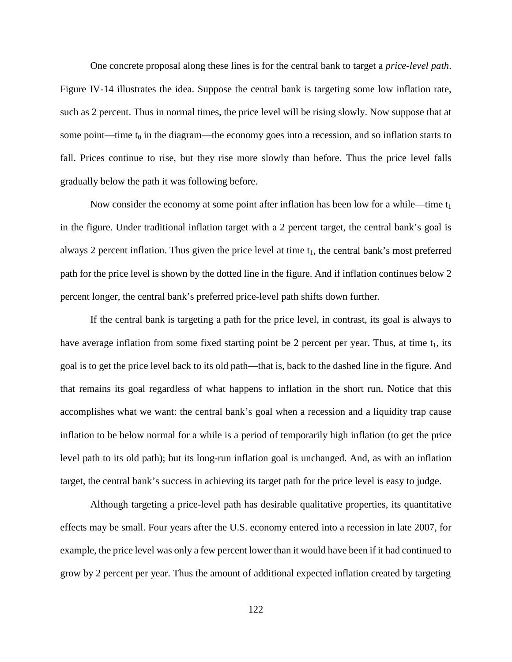One concrete proposal along these lines is for the central bank to target a *price-level path*. Figure IV-14 illustrates the idea. Suppose the central bank is targeting some low inflation rate, such as 2 percent. Thus in normal times, the price level will be rising slowly. Now suppose that at some point—time  $t_0$  in the diagram—the economy goes into a recession, and so inflation starts to fall. Prices continue to rise, but they rise more slowly than before. Thus the price level falls gradually below the path it was following before.

Now consider the economy at some point after inflation has been low for a while—time  $t_1$ in the figure. Under traditional inflation target with a 2 percent target, the central bank's goal is always 2 percent inflation. Thus given the price level at time  $t_1$ , the central bank's most preferred path for the price level is shown by the dotted line in the figure. And if inflation continues below 2 percent longer, the central bank's preferred price-level path shifts down further.

If the central bank is targeting a path for the price level, in contrast, its goal is always to have average inflation from some fixed starting point be 2 percent per year. Thus, at time  $t_1$ , its goal is to get the price level back to its old path—that is, back to the dashed line in the figure. And that remains its goal regardless of what happens to inflation in the short run. Notice that this accomplishes what we want: the central bank's goal when a recession and a liquidity trap cause inflation to be below normal for a while is a period of temporarily high inflation (to get the price level path to its old path); but its long-run inflation goal is unchanged. And, as with an inflation target, the central bank's success in achieving its target path for the price level is easy to judge.

Although targeting a price-level path has desirable qualitative properties, its quantitative effects may be small. Four years after the U.S. economy entered into a recession in late 2007, for example, the price level was only a few percent lower than it would have been if it had continued to grow by 2 percent per year. Thus the amount of additional expected inflation created by targeting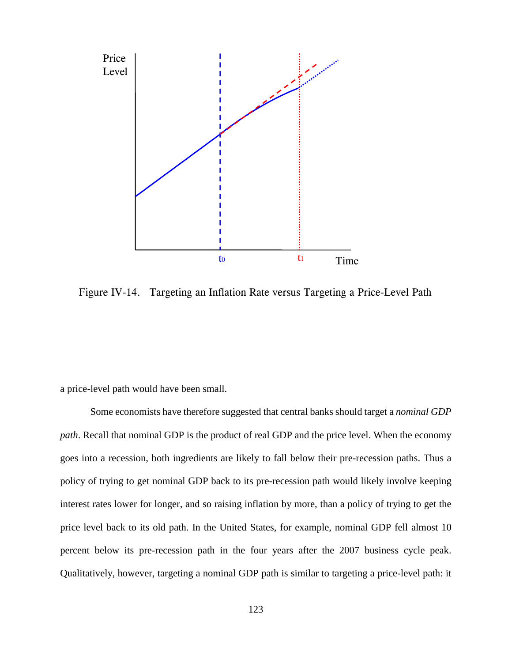

Figure IV-14. Targeting an Inflation Rate versus Targeting a Price-Level Path

a price-level path would have been small.

Some economists have therefore suggested that central banks should target a *nominal GDP path*. Recall that nominal GDP is the product of real GDP and the price level. When the economy goes into a recession, both ingredients are likely to fall below their pre-recession paths. Thus a policy of trying to get nominal GDP back to its pre-recession path would likely involve keeping interest rates lower for longer, and so raising inflation by more, than a policy of trying to get the price level back to its old path. In the United States, for example, nominal GDP fell almost 10 percent below its pre-recession path in the four years after the 2007 business cycle peak. Qualitatively, however, targeting a nominal GDP path is similar to targeting a price-level path: it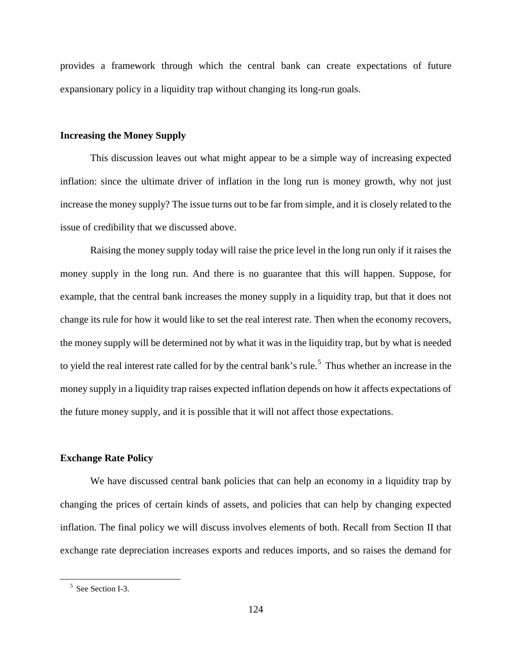provides a framework through which the central bank can create expectations of future expansionary policy in a liquidity trap without changing its long-run goals.

#### **Increasing the Money Supply**

This discussion leaves out what might appear to be a simple way of increasing expected inflation: since the ultimate driver of inflation in the long run is money growth, why not just increase the money supply? The issue turns out to be far from simple, and it is closely related to the issue of credibility that we discussed above.

Raising the money supply today will raise the price level in the long run only if it raises the money supply in the long run. And there is no guarantee that this will happen. Suppose, for example, that the central bank increases the money supply in a liquidity trap, but that it does not change its rule for how it would like to set the real interest rate. Then when the economy recovers, the money supply will be determined not by what it was in the liquidity trap, but by what is needed to yield the real interest rate called for by the central bank's rule.<sup>[5](#page-131-0)</sup> Thus whether an increase in the money supply in a liquidity trap raises expected inflation depends on how it affects expectations of the future money supply, and it is possible that it will not affect those expectations.

## **Exchange Rate Policy**

We have discussed central bank policies that can help an economy in a liquidity trap by changing the prices of certain kinds of assets, and policies that can help by changing expected inflation. The final policy we will discuss involves elements of both. Recall from Section II that exchange rate depreciation increases exports and reduces imports, and so raises the demand for

<span id="page-131-0"></span><sup>&</sup>lt;sup>5</sup> See Section I-3.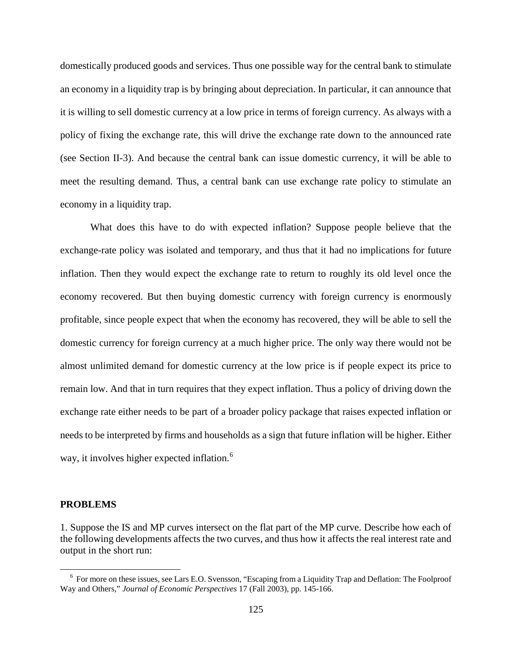domestically produced goods and services. Thus one possible way for the central bank to stimulate an economy in a liquidity trap is by bringing about depreciation. In particular, it can announce that it is willing to sell domestic currency at a low price in terms of foreign currency. As always with a policy of fixing the exchange rate, this will drive the exchange rate down to the announced rate (see Section II-3). And because the central bank can issue domestic currency, it will be able to meet the resulting demand. Thus, a central bank can use exchange rate policy to stimulate an economy in a liquidity trap.

What does this have to do with expected inflation? Suppose people believe that the exchange-rate policy was isolated and temporary, and thus that it had no implications for future inflation. Then they would expect the exchange rate to return to roughly its old level once the economy recovered. But then buying domestic currency with foreign currency is enormously profitable, since people expect that when the economy has recovered, they will be able to sell the domestic currency for foreign currency at a much higher price. The only way there would not be almost unlimited demand for domestic currency at the low price is if people expect its price to remain low. And that in turn requires that they expect inflation. Thus a policy of driving down the exchange rate either needs to be part of a broader policy package that raises expected inflation or needs to be interpreted by firms and households as a sign that future inflation will be higher. Either way, it involves higher expected inflation.<sup>[6](#page-132-0)</sup>

#### **PROBLEMS**

1. Suppose the IS and MP curves intersect on the flat part of the MP curve. Describe how each of the following developments affects the two curves, and thus how it affects the real interest rate and output in the short run:

<span id="page-132-0"></span><sup>&</sup>lt;sup>6</sup> For more on these issues, see Lars E.O. Svensson, "Escaping from a Liquidity Trap and Deflation: The Foolproof Way and Others," *Journal of Economic Perspectives* 17 (Fall 2003), pp. 145-166.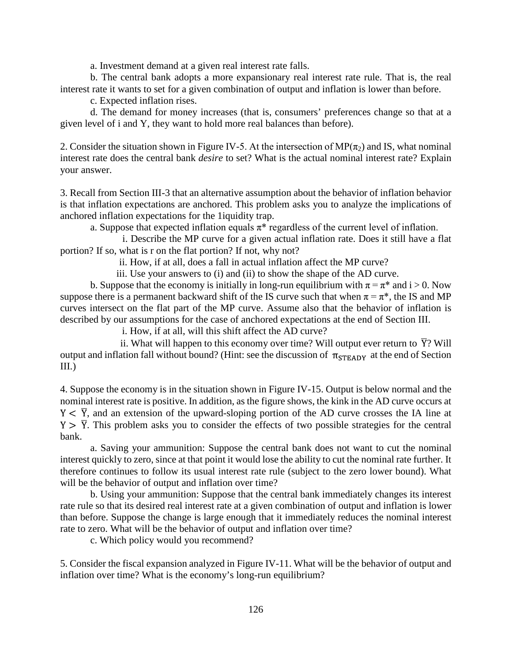a. Investment demand at a given real interest rate falls.

b. The central bank adopts a more expansionary real interest rate rule. That is, the real interest rate it wants to set for a given combination of output and inflation is lower than before.

c. Expected inflation rises.

d. The demand for money increases (that is, consumers' preferences change so that at a given level of i and Y, they want to hold more real balances than before).

2. Consider the situation shown in Figure IV-5. At the intersection of  $MP(\pi_2)$  and IS, what nominal interest rate does the central bank *desire* to set? What is the actual nominal interest rate? Explain your answer.

3. Recall from Section III-3 that an alternative assumption about the behavior of inflation behavior is that inflation expectations are anchored. This problem asks you to analyze the implications of anchored inflation expectations for the 1iquidity trap.

a. Suppose that expected inflation equals  $\pi^*$  regardless of the current level of inflation.

 i. Describe the MP curve for a given actual inflation rate. Does it still have a flat portion? If so, what is r on the flat portion? If not, why not?

ii. How, if at all, does a fall in actual inflation affect the MP curve?

iii. Use your answers to (i) and (ii) to show the shape of the AD curve.

b. Suppose that the economy is initially in long-run equilibrium with  $\pi = \pi^*$  and  $i > 0$ . Now suppose there is a permanent backward shift of the IS curve such that when  $\pi = \pi^*$ , the IS and MP curves intersect on the flat part of the MP curve. Assume also that the behavior of inflation is described by our assumptions for the case of anchored expectations at the end of Section III.

i. How, if at all, will this shift affect the AD curve?

ii. What will happen to this economy over time? Will output ever return to  $\overline{Y}$ ? Will output and inflation fall without bound? (Hint: see the discussion of  $\pi_{\text{STEADV}}$  at the end of Section III.)

4. Suppose the economy is in the situation shown in Figure IV-15. Output is below normal and the nominal interest rate is positive. In addition, as the figure shows, the kink in the AD curve occurs at  $Y < \overline{Y}$ , and an extension of the upward-sloping portion of the AD curve crosses the IA line at  $Y > \overline{Y}$ . This problem asks you to consider the effects of two possible strategies for the central bank.

a. Saving your ammunition: Suppose the central bank does not want to cut the nominal interest quickly to zero, since at that point it would lose the ability to cut the nominal rate further. It therefore continues to follow its usual interest rate rule (subject to the zero lower bound). What will be the behavior of output and inflation over time?

b. Using your ammunition: Suppose that the central bank immediately changes its interest rate rule so that its desired real interest rate at a given combination of output and inflation is lower than before. Suppose the change is large enough that it immediately reduces the nominal interest rate to zero. What will be the behavior of output and inflation over time?

c. Which policy would you recommend?

5. Consider the fiscal expansion analyzed in Figure IV-11. What will be the behavior of output and inflation over time? What is the economy's long-run equilibrium?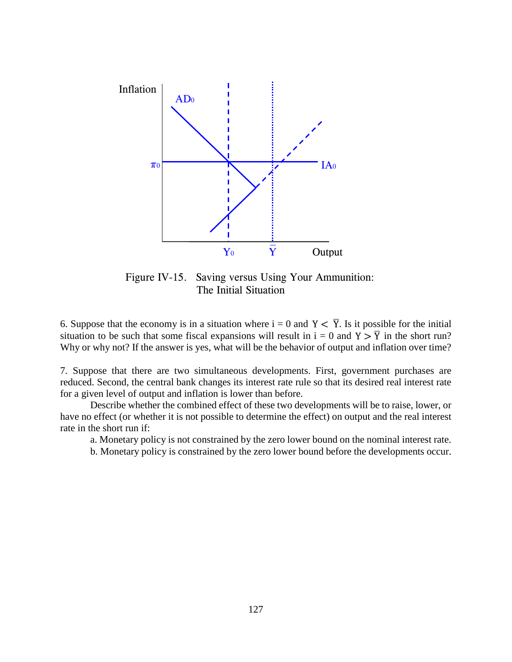

Figure IV-15. Saving versus Using Your Ammunition: The Initial Situation

6. Suppose that the economy is in a situation where  $i = 0$  and  $Y < \overline{Y}$ . Is it possible for the initial situation to be such that some fiscal expansions will result in  $i = 0$  and  $Y > \overline{Y}$  in the short run? Why or why not? If the answer is yes, what will be the behavior of output and inflation over time?

7. Suppose that there are two simultaneous developments. First, government purchases are reduced. Second, the central bank changes its interest rate rule so that its desired real interest rate for a given level of output and inflation is lower than before.

Describe whether the combined effect of these two developments will be to raise, lower, or have no effect (or whether it is not possible to determine the effect) on output and the real interest rate in the short run if:

a. Monetary policy is not constrained by the zero lower bound on the nominal interest rate.

b. Monetary policy is constrained by the zero lower bound before the developments occur.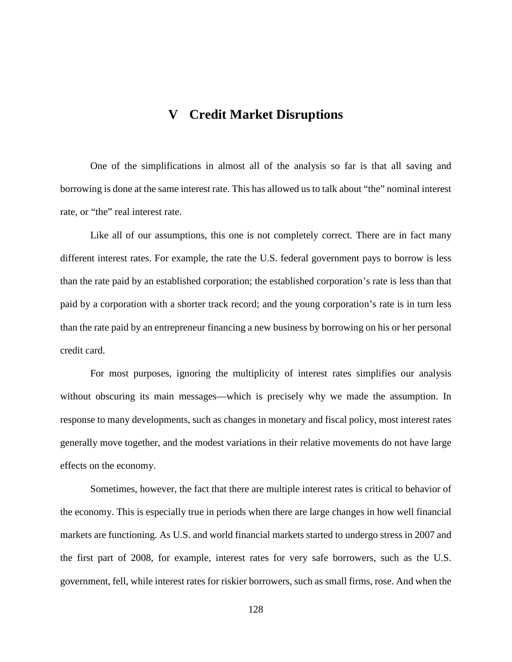# **V Credit Market Disruptions**

One of the simplifications in almost all of the analysis so far is that all saving and borrowing is done at the same interest rate. This has allowed us to talk about "the" nominal interest rate, or "the" real interest rate.

Like all of our assumptions, this one is not completely correct. There are in fact many different interest rates. For example, the rate the U.S. federal government pays to borrow is less than the rate paid by an established corporation; the established corporation's rate is less than that paid by a corporation with a shorter track record; and the young corporation's rate is in turn less than the rate paid by an entrepreneur financing a new business by borrowing on his or her personal credit card.

For most purposes, ignoring the multiplicity of interest rates simplifies our analysis without obscuring its main messages—which is precisely why we made the assumption. In response to many developments, such as changes in monetary and fiscal policy, most interest rates generally move together, and the modest variations in their relative movements do not have large effects on the economy.

Sometimes, however, the fact that there are multiple interest rates is critical to behavior of the economy. This is especially true in periods when there are large changes in how well financial markets are functioning. As U.S. and world financial markets started to undergo stress in 2007 and the first part of 2008, for example, interest rates for very safe borrowers, such as the U.S. government, fell, while interest rates for riskier borrowers, such as small firms, rose. And when the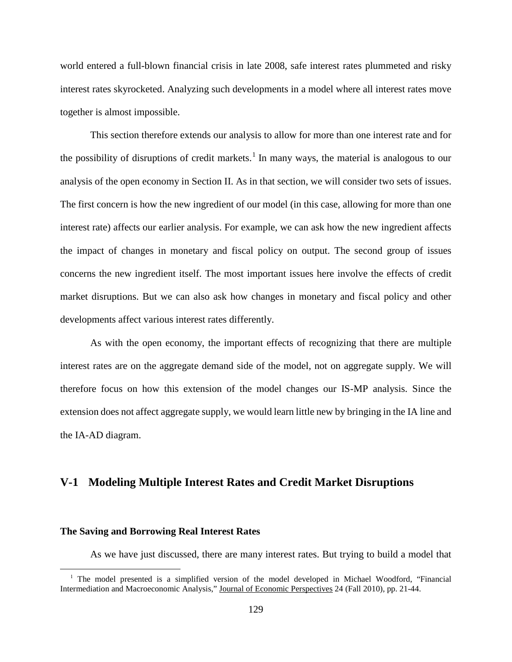world entered a full-blown financial crisis in late 2008, safe interest rates plummeted and risky interest rates skyrocketed. Analyzing such developments in a model where all interest rates move together is almost impossible.

This section therefore extends our analysis to allow for more than one interest rate and for the possibility of disruptions of credit markets.<sup>[1](#page-136-0)</sup> In many ways, the material is analogous to our analysis of the open economy in Section II. As in that section, we will consider two sets of issues. The first concern is how the new ingredient of our model (in this case, allowing for more than one interest rate) affects our earlier analysis. For example, we can ask how the new ingredient affects the impact of changes in monetary and fiscal policy on output. The second group of issues concerns the new ingredient itself. The most important issues here involve the effects of credit market disruptions. But we can also ask how changes in monetary and fiscal policy and other developments affect various interest rates differently.

As with the open economy, the important effects of recognizing that there are multiple interest rates are on the aggregate demand side of the model, not on aggregate supply. We will therefore focus on how this extension of the model changes our IS-MP analysis. Since the extension does not affect aggregate supply, we would learn little new by bringing in the IA line and the IA-AD diagram.

# **V-1 Modeling Multiple Interest Rates and Credit Market Disruptions**

#### **The Saving and Borrowing Real Interest Rates**

l

As we have just discussed, there are many interest rates. But trying to build a model that

<span id="page-136-0"></span><sup>&</sup>lt;sup>1</sup> The model presented is a simplified version of the model developed in Michael Woodford, "Financial Intermediation and Macroeconomic Analysis," Journal of Economic Perspectives 24 (Fall 2010), pp. 21-44.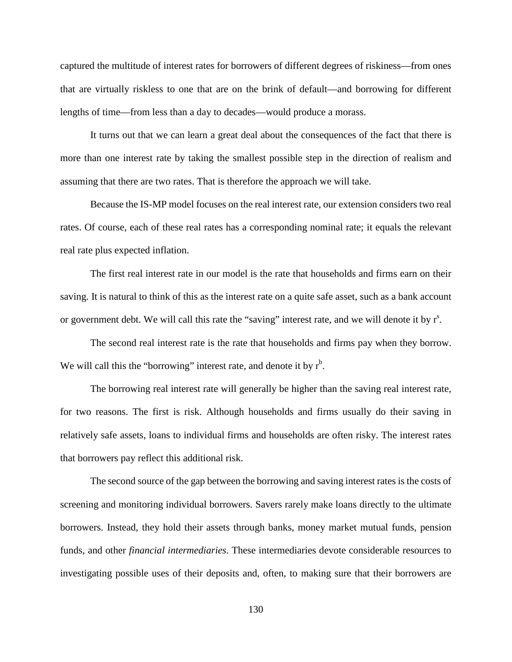captured the multitude of interest rates for borrowers of different degrees of riskiness—from ones that are virtually riskless to one that are on the brink of default—and borrowing for different lengths of time—from less than a day to decades—would produce a morass.

It turns out that we can learn a great deal about the consequences of the fact that there is more than one interest rate by taking the smallest possible step in the direction of realism and assuming that there are two rates. That is therefore the approach we will take.

Because the IS-MP model focuses on the real interest rate, our extension considers two real rates. Of course, each of these real rates has a corresponding nominal rate; it equals the relevant real rate plus expected inflation.

The first real interest rate in our model is the rate that households and firms earn on their saving. It is natural to think of this as the interest rate on a quite safe asset, such as a bank account or government debt. We will call this rate the "saving" interest rate, and we will denote it by  $r<sup>s</sup>$ .

The second real interest rate is the rate that households and firms pay when they borrow. We will call this the "borrowing" interest rate, and denote it by  $r<sup>b</sup>$ .

The borrowing real interest rate will generally be higher than the saving real interest rate, for two reasons. The first is risk. Although households and firms usually do their saving in relatively safe assets, loans to individual firms and households are often risky. The interest rates that borrowers pay reflect this additional risk.

The second source of the gap between the borrowing and saving interest rates is the costs of screening and monitoring individual borrowers. Savers rarely make loans directly to the ultimate borrowers. Instead, they hold their assets through banks, money market mutual funds, pension funds, and other *financial intermediaries*. These intermediaries devote considerable resources to investigating possible uses of their deposits and, often, to making sure that their borrowers are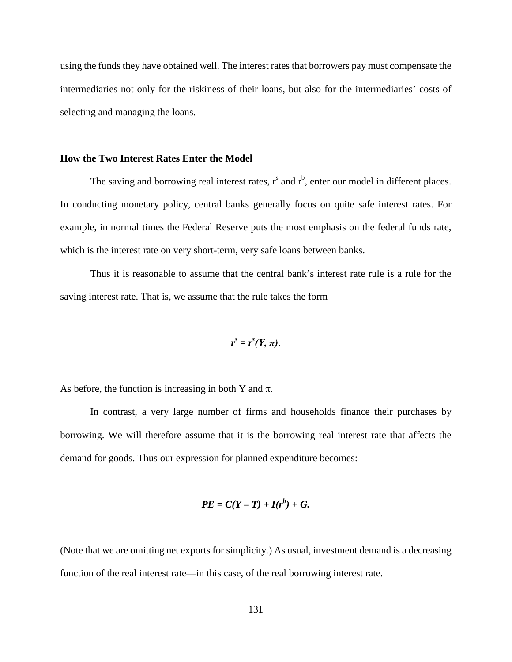using the funds they have obtained well. The interest rates that borrowers pay must compensate the intermediaries not only for the riskiness of their loans, but also for the intermediaries' costs of selecting and managing the loans.

## **How the Two Interest Rates Enter the Model**

The saving and borrowing real interest rates,  $r^s$  and  $r^b$ , enter our model in different places. In conducting monetary policy, central banks generally focus on quite safe interest rates. For example, in normal times the Federal Reserve puts the most emphasis on the federal funds rate, which is the interest rate on very short-term, very safe loans between banks.

Thus it is reasonable to assume that the central bank's interest rate rule is a rule for the saving interest rate. That is, we assume that the rule takes the form

$$
r^s=r^s(Y,\pi).
$$

As before, the function is increasing in both Y and  $\pi$ .

In contrast, a very large number of firms and households finance their purchases by borrowing. We will therefore assume that it is the borrowing real interest rate that affects the demand for goods. Thus our expression for planned expenditure becomes:

$$
PE = C(Y - T) + I(r^b) + G.
$$

(Note that we are omitting net exports for simplicity.) As usual, investment demand is a decreasing function of the real interest rate—in this case, of the real borrowing interest rate.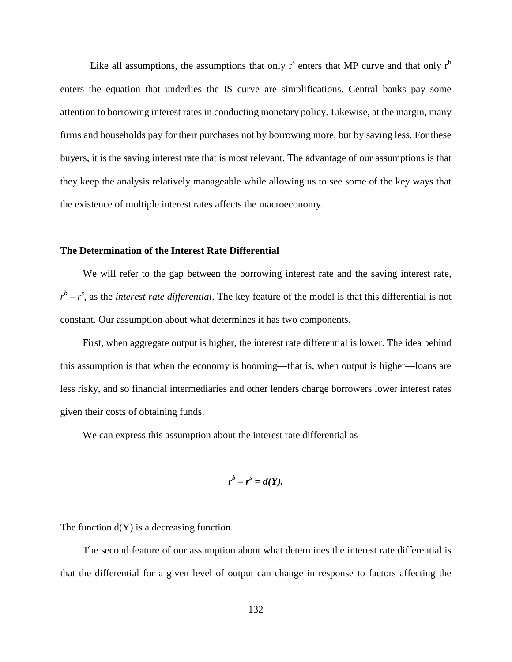Like all assumptions, the assumptions that only  $r<sup>s</sup>$  enters that MP curve and that only  $r<sup>b</sup>$ enters the equation that underlies the IS curve are simplifications. Central banks pay some attention to borrowing interest rates in conducting monetary policy. Likewise, at the margin, many firms and households pay for their purchases not by borrowing more, but by saving less. For these buyers, it is the saving interest rate that is most relevant. The advantage of our assumptions is that they keep the analysis relatively manageable while allowing us to see some of the key ways that the existence of multiple interest rates affects the macroeconomy.

## **The Determination of the Interest Rate Differential**

We will refer to the gap between the borrowing interest rate and the saving interest rate,  $r^b - r^s$ , as the *interest rate differential*. The key feature of the model is that this differential is not constant. Our assumption about what determines it has two components.

First, when aggregate output is higher, the interest rate differential is lower. The idea behind this assumption is that when the economy is booming—that is, when output is higher—loans are less risky, and so financial intermediaries and other lenders charge borrowers lower interest rates given their costs of obtaining funds.

We can express this assumption about the interest rate differential as

$$
r^b-r^s=d(Y).
$$

The function  $d(Y)$  is a decreasing function.

The second feature of our assumption about what determines the interest rate differential is that the differential for a given level of output can change in response to factors affecting the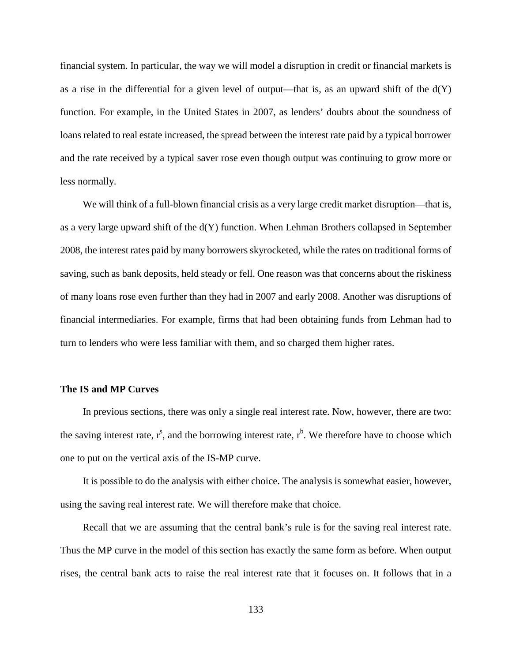financial system. In particular, the way we will model a disruption in credit or financial markets is as a rise in the differential for a given level of output—that is, as an upward shift of the  $d(Y)$ function. For example, in the United States in 2007, as lenders' doubts about the soundness of loans related to real estate increased, the spread between the interest rate paid by a typical borrower and the rate received by a typical saver rose even though output was continuing to grow more or less normally.

We will think of a full-blown financial crisis as a very large credit market disruption—that is, as a very large upward shift of the d(Y) function. When Lehman Brothers collapsed in September 2008, the interest rates paid by many borrowers skyrocketed, while the rates on traditional forms of saving, such as bank deposits, held steady or fell. One reason was that concerns about the riskiness of many loans rose even further than they had in 2007 and early 2008. Another was disruptions of financial intermediaries. For example, firms that had been obtaining funds from Lehman had to turn to lenders who were less familiar with them, and so charged them higher rates.

#### **The IS and MP Curves**

In previous sections, there was only a single real interest rate. Now, however, there are two: the saving interest rate,  $r^s$ , and the borrowing interest rate,  $r^b$ . We therefore have to choose which one to put on the vertical axis of the IS-MP curve.

It is possible to do the analysis with either choice. The analysis is somewhat easier, however, using the saving real interest rate. We will therefore make that choice.

Recall that we are assuming that the central bank's rule is for the saving real interest rate. Thus the MP curve in the model of this section has exactly the same form as before. When output rises, the central bank acts to raise the real interest rate that it focuses on. It follows that in a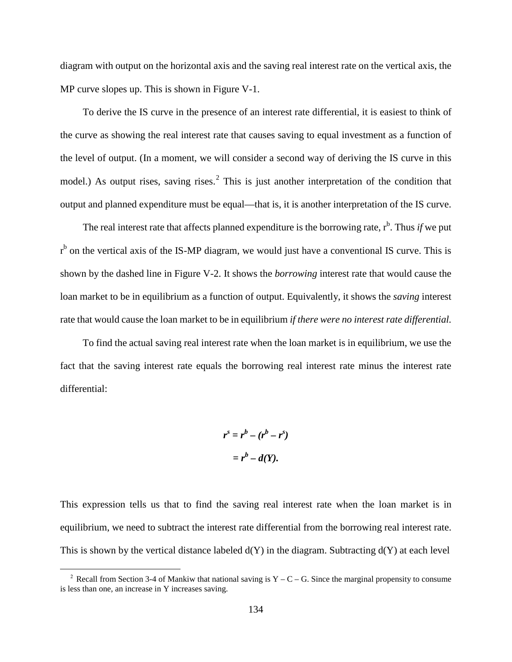diagram with output on the horizontal axis and the saving real interest rate on the vertical axis, the MP curve slopes up. This is shown in Figure V-1.

To derive the IS curve in the presence of an interest rate differential, it is easiest to think of the curve as showing the real interest rate that causes saving to equal investment as a function of the level of output. (In a moment, we will consider a second way of deriving the IS curve in this model.) As output rises, saving rises.<sup>[2](#page-141-0)</sup> This is just another interpretation of the condition that output and planned expenditure must be equal—that is, it is another interpretation of the IS curve.

The real interest rate that affects planned expenditure is the borrowing rate,  $r<sup>b</sup>$ . Thus *if* we put <sup>b</sup> on the vertical axis of the IS-MP diagram, we would just have a conventional IS curve. This is shown by the dashed line in Figure V-2. It shows the *borrowing* interest rate that would cause the loan market to be in equilibrium as a function of output. Equivalently, it shows the *saving* interest rate that would cause the loan market to be in equilibrium *if there were no interest rate differential.* 

To find the actual saving real interest rate when the loan market is in equilibrium, we use the fact that the saving interest rate equals the borrowing real interest rate minus the interest rate differential:

$$
rs = rb - (rb - rs)
$$

$$
= rb - d(Y).
$$

This expression tells us that to find the saving real interest rate when the loan market is in equilibrium, we need to subtract the interest rate differential from the borrowing real interest rate. This is shown by the vertical distance labeled  $d(Y)$  in the diagram. Subtracting  $d(Y)$  at each level

l

<span id="page-141-0"></span><sup>&</sup>lt;sup>2</sup> Recall from Section 3-4 of Mankiw that national saving is  $Y - C - G$ . Since the marginal propensity to consume is less than one, an increase in Y increases saving.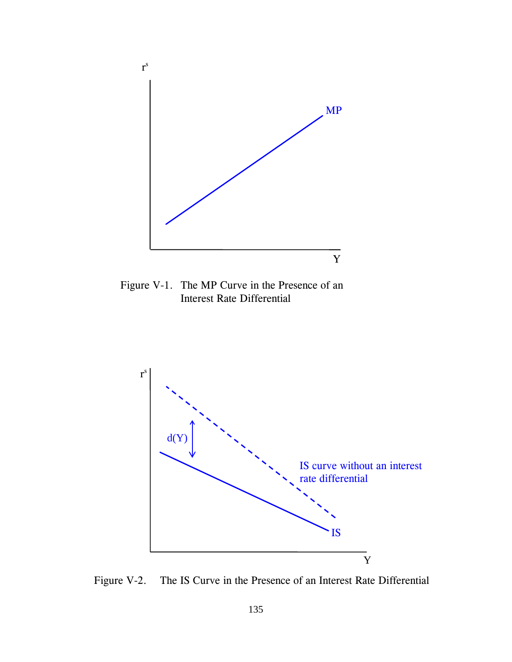

Figure V-1. The MP Curve in the Presence of an Interest Rate Differential



Figure V-2. The IS Curve in the Presence of an Interest Rate Differential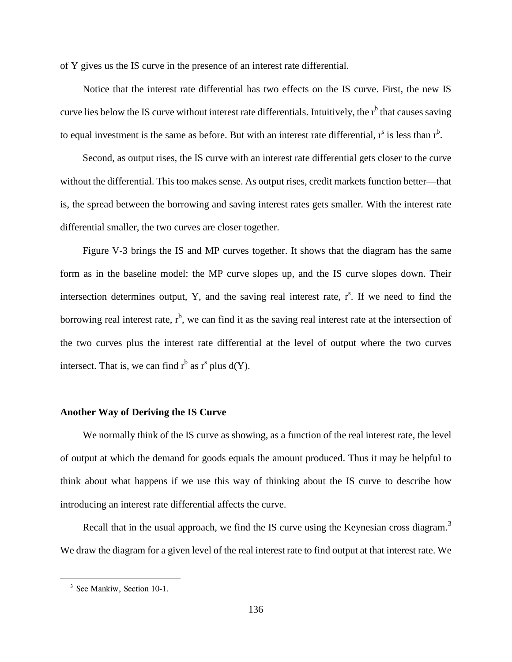of Y gives us the IS curve in the presence of an interest rate differential.

Notice that the interest rate differential has two effects on the IS curve. First, the new IS curve lies below the IS curve without interest rate differentials. Intuitively, the  $r<sup>b</sup>$  that causes saving to equal investment is the same as before. But with an interest rate differential,  $r^s$  is less than  $r^b$ .

Second, as output rises, the IS curve with an interest rate differential gets closer to the curve without the differential. This too makes sense. As output rises, credit markets function better—that is, the spread between the borrowing and saving interest rates gets smaller. With the interest rate differential smaller, the two curves are closer together.

Figure V-3 brings the IS and MP curves together. It shows that the diagram has the same form as in the baseline model: the MP curve slopes up, and the IS curve slopes down. Their intersection determines output, Y, and the saving real interest rate,  $r^s$ . If we need to find the borrowing real interest rate,  $r<sup>b</sup>$ , we can find it as the saving real interest rate at the intersection of the two curves plus the interest rate differential at the level of output where the two curves intersect. That is, we can find  $r^b$  as  $r^s$  plus  $d(Y)$ .

#### **Another Way of Deriving the IS Curve**

We normally think of the IS curve as showing, as a function of the real interest rate, the level of output at which the demand for goods equals the amount produced. Thus it may be helpful to think about what happens if we use this way of thinking about the IS curve to describe how introducing an interest rate differential affects the curve.

Recall that in the usual approach, we find the IS curve using the Keynesian cross diagram.<sup>[3](#page-143-0)</sup> We draw the diagram for a given level of the real interest rate to find output at that interest rate. We

<span id="page-143-0"></span> $\overline{a}$ 

<sup>&</sup>lt;sup>3</sup> See Mankiw, Section 10-1.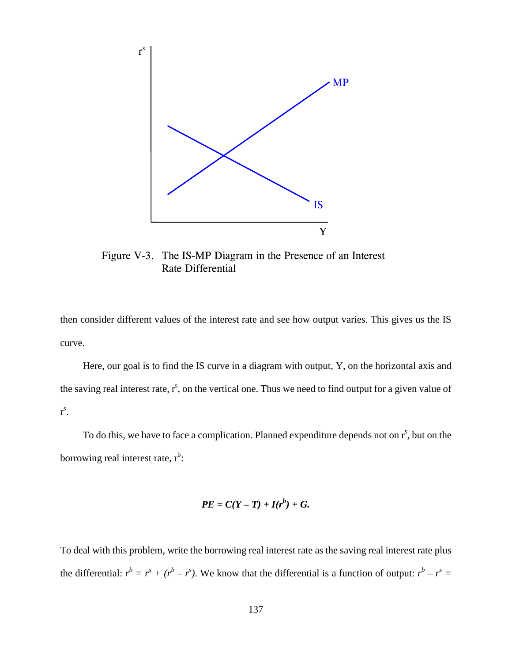

Figure V-3. The IS-MP Diagram in the Presence of an Interest Rate Differential

then consider different values of the interest rate and see how output varies. This gives us the IS curve.

Here, our goal is to find the IS curve in a diagram with output, Y, on the horizontal axis and the saving real interest rate,  $r^s$ , on the vertical one. Thus we need to find output for a given value of  $r^{s}$ .

To do this, we have to face a complication. Planned expenditure depends not on  $r^s$ , but on the borrowing real interest rate,  $r<sup>b</sup>$ :

$$
PE = C(Y - T) + I(r^b) + G.
$$

To deal with this problem, write the borrowing real interest rate as the saving real interest rate plus the differential:  $r^b = r^s + (r^b - r^s)$ . We know that the differential is a function of output:  $r^b - r^s =$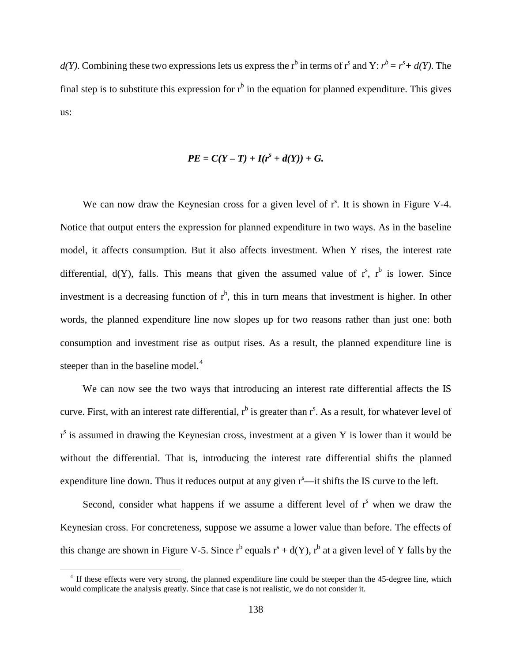$d(Y)$ . Combining these two expressions lets us express the r<sup>b</sup> in terms of r<sup>s</sup> and Y:  $r^b = r^s + d(Y)$ . The final step is to substitute this expression for  $r<sup>b</sup>$  in the equation for planned expenditure. This gives us:

$$
PE = C(Y - T) + I(rs + d(Y)) + G.
$$

We can now draw the Keynesian cross for a given level of  $r<sup>s</sup>$ . It is shown in Figure V-4. Notice that output enters the expression for planned expenditure in two ways. As in the baseline model, it affects consumption. But it also affects investment. When Y rises, the interest rate differential,  $d(Y)$ , falls. This means that given the assumed value of  $r^s$ ,  $r^b$  is lower. Since investment is a decreasing function of  $r<sup>b</sup>$ , this in turn means that investment is higher. In other words, the planned expenditure line now slopes up for two reasons rather than just one: both consumption and investment rise as output rises. As a result, the planned expenditure line is steeper than in the baseline model.<sup>[4](#page-145-0)</sup>

We can now see the two ways that introducing an interest rate differential affects the IS curve. First, with an interest rate differential,  $r^b$  is greater than  $r^s$ . As a result, for whatever level of r<sup>s</sup> is assumed in drawing the Keynesian cross, investment at a given Y is lower than it would be without the differential. That is, introducing the interest rate differential shifts the planned expenditure line down. Thus it reduces output at any given  $r<sup>s</sup>$ —it shifts the IS curve to the left.

Second, consider what happens if we assume a different level of  $r<sup>s</sup>$  when we draw the Keynesian cross. For concreteness, suppose we assume a lower value than before. The effects of this change are shown in Figure V-5. Since  $r^b$  equals  $r^s + d(Y)$ ,  $r^b$  at a given level of Y falls by the

l

<span id="page-145-0"></span><sup>&</sup>lt;sup>4</sup> If these effects were very strong, the planned expenditure line could be steeper than the 45-degree line, which would complicate the analysis greatly. Since that case is not realistic, we do not consider it.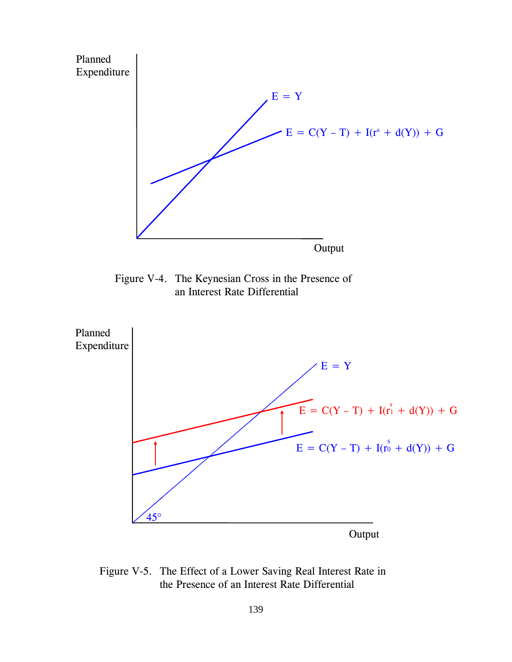

Figure V-4. The Keynesian Cross in the Presence of an Interest Rate Differential



Figure V-5. The Effect of a Lower Saving Real Interest Rate in the Presence of an Interest Rate Differential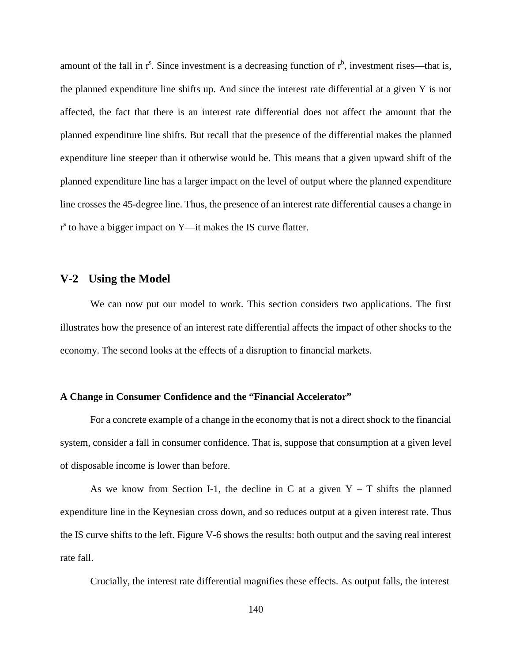amount of the fall in  $r^s$ . Since investment is a decreasing function of  $r^b$ , investment rises—that is, the planned expenditure line shifts up. And since the interest rate differential at a given Y is not affected, the fact that there is an interest rate differential does not affect the amount that the planned expenditure line shifts. But recall that the presence of the differential makes the planned expenditure line steeper than it otherwise would be. This means that a given upward shift of the planned expenditure line has a larger impact on the level of output where the planned expenditure line crosses the 45-degree line. Thus, the presence of an interest rate differential causes a change in  $r<sup>s</sup>$  to have a bigger impact on Y—it makes the IS curve flatter.

## **V-2 Using the Model**

We can now put our model to work. This section considers two applications. The first illustrates how the presence of an interest rate differential affects the impact of other shocks to the economy. The second looks at the effects of a disruption to financial markets.

## **A Change in Consumer Confidence and the "Financial Accelerator"**

For a concrete example of a change in the economy that is not a direct shock to the financial system, consider a fall in consumer confidence. That is, suppose that consumption at a given level of disposable income is lower than before.

As we know from Section I-1, the decline in C at a given  $Y - T$  shifts the planned expenditure line in the Keynesian cross down, and so reduces output at a given interest rate. Thus the IS curve shifts to the left. Figure V-6 shows the results: both output and the saving real interest rate fall.

Crucially, the interest rate differential magnifies these effects. As output falls, the interest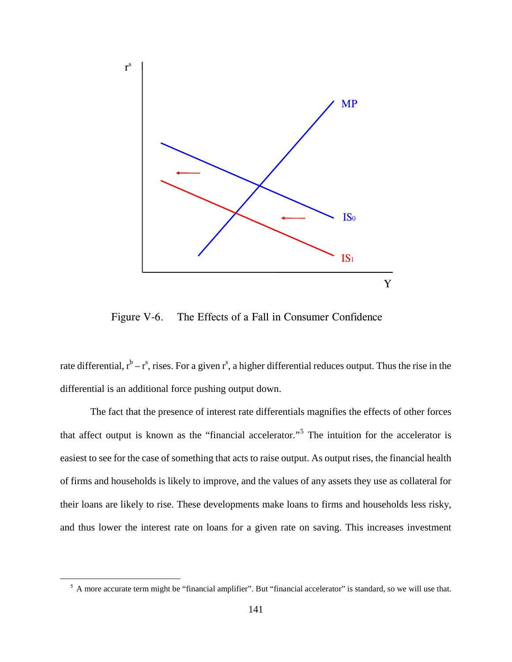

Figure V-6. The Effects of a Fall in Consumer Confidence

rate differential,  $r^b - r^s$ , rises. For a given  $r^s$ , a higher differential reduces output. Thus the rise in the differential is an additional force pushing output down.

The fact that the presence of interest rate differentials magnifies the effects of other forces that affect output is known as the "financial accelerator."[5](#page-148-0) The intuition for the accelerator is easiest to see for the case of something that acts to raise output. As output rises, the financial health of firms and households is likely to improve, and the values of any assets they use as collateral for their loans are likely to rise. These developments make loans to firms and households less risky, and thus lower the interest rate on loans for a given rate on saving. This increases investment

<span id="page-148-0"></span> $\overline{a}$ 

<sup>&</sup>lt;sup>5</sup> A more accurate term might be "financial amplifier". But "financial accelerator" is standard, so we will use that.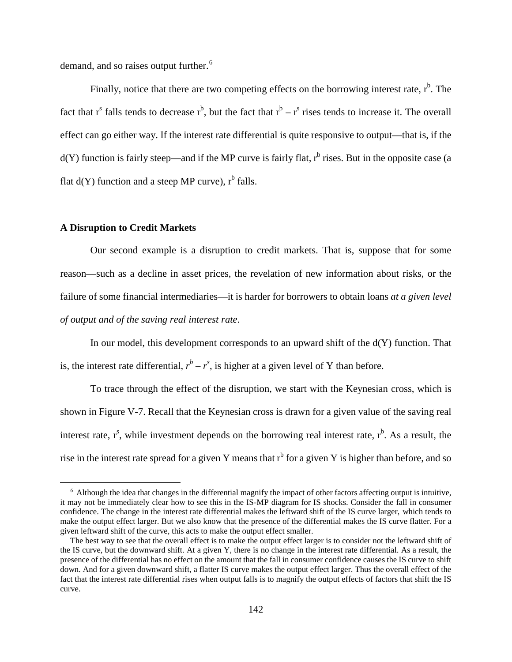demand, and so raises output further.<sup>[6](#page-149-0)</sup>

Finally, notice that there are two competing effects on the borrowing interest rate,  $r<sup>b</sup>$ . The fact that  $r^s$  falls tends to decrease  $r^b$ , but the fact that  $r^b - r^s$  rises tends to increase it. The overall effect can go either way. If the interest rate differential is quite responsive to output—that is, if the  $d(Y)$  function is fairly steep—and if the MP curve is fairly flat,  $r<sup>b</sup>$  rises. But in the opposite case (a flat  $d(Y)$  function and a steep MP curve),  $r^b$  falls.

## **A Disruption to Credit Markets**

 $\overline{a}$ 

Our second example is a disruption to credit markets. That is, suppose that for some reason—such as a decline in asset prices, the revelation of new information about risks, or the failure of some financial intermediaries—it is harder for borrowers to obtain loans *at a given level of output and of the saving real interest rate*.

In our model, this development corresponds to an upward shift of the  $d(Y)$  function. That is, the interest rate differential,  $r^b - r^s$ , is higher at a given level of Y than before.

To trace through the effect of the disruption, we start with the Keynesian cross, which is shown in Figure V-7. Recall that the Keynesian cross is drawn for a given value of the saving real interest rate,  $r^s$ , while investment depends on the borrowing real interest rate,  $r^b$ . As a result, the rise in the interest rate spread for a given Y means that  $r<sup>b</sup>$  for a given Y is higher than before, and so

<span id="page-149-0"></span> <sup>6</sup> Although the idea that changes in the differential magnify the impact of other factors affecting output is intuitive, it may not be immediately clear how to see this in the IS-MP diagram for IS shocks. Consider the fall in consumer confidence. The change in the interest rate differential makes the leftward shift of the IS curve larger, which tends to make the output effect larger. But we also know that the presence of the differential makes the IS curve flatter. For a given leftward shift of the curve, this acts to make the output effect smaller.

The best way to see that the overall effect is to make the output effect larger is to consider not the leftward shift of the IS curve, but the downward shift. At a given Y, there is no change in the interest rate differential. As a result, the presence of the differential has no effect on the amount that the fall in consumer confidence causes the IS curve to shift down. And for a given downward shift, a flatter IS curve makes the output effect larger. Thus the overall effect of the fact that the interest rate differential rises when output falls is to magnify the output effects of factors that shift the IS curve.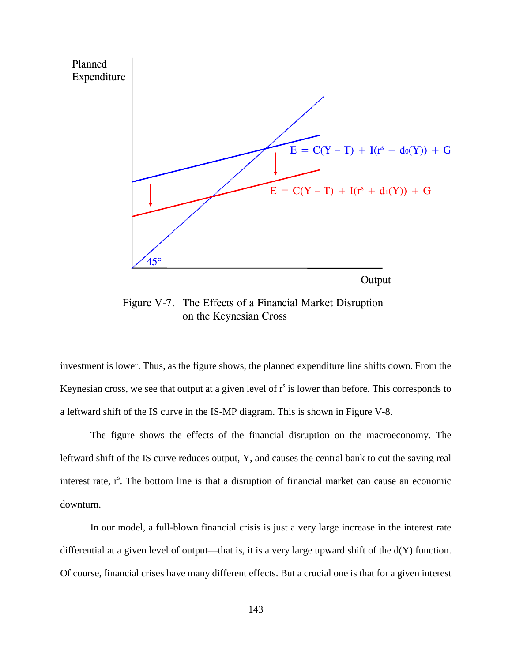

Figure V-7. The Effects of a Financial Market Disruption on the Keynesian Cross

investment is lower. Thus, as the figure shows, the planned expenditure line shifts down. From the Keynesian cross, we see that output at a given level of  $r<sup>s</sup>$  is lower than before. This corresponds to a leftward shift of the IS curve in the IS-MP diagram. This is shown in Figure V-8.

The figure shows the effects of the financial disruption on the macroeconomy. The leftward shift of the IS curve reduces output, Y, and causes the central bank to cut the saving real interest rate,  $r^s$ . The bottom line is that a disruption of financial market can cause an economic downturn.

In our model, a full-blown financial crisis is just a very large increase in the interest rate differential at a given level of output—that is, it is a very large upward shift of the  $d(Y)$  function. Of course, financial crises have many different effects. But a crucial one is that for a given interest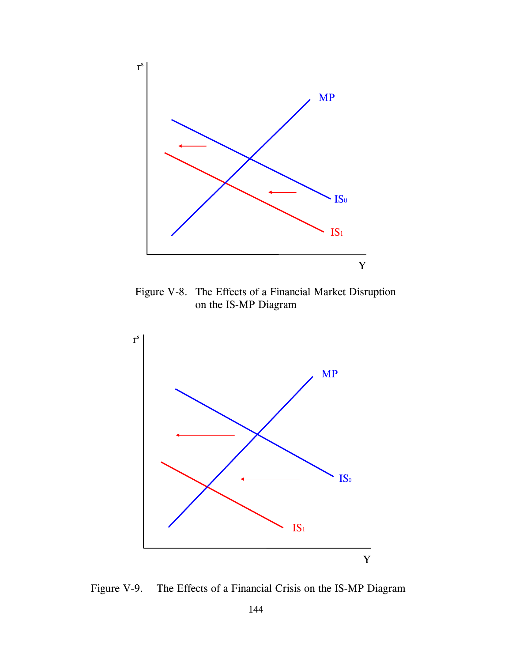

Figure V-8. The Effects of a Financial Market Disruption on the IS-MP Diagram



Figure V-9. The Effects of a Financial Crisis on the IS-MP Diagram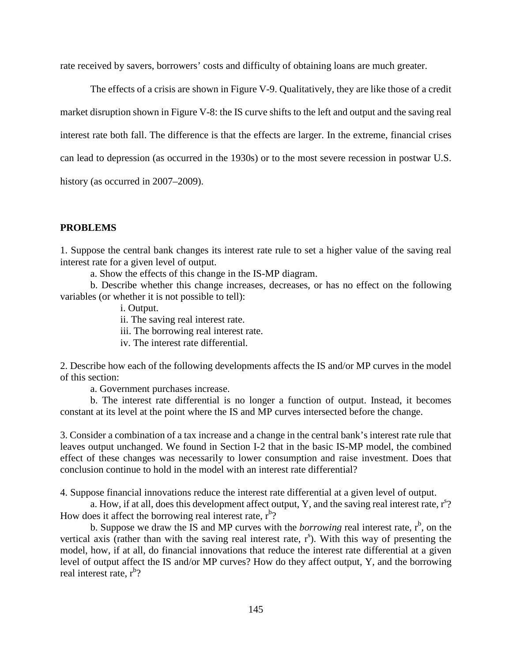rate received by savers, borrowers' costs and difficulty of obtaining loans are much greater.

The effects of a crisis are shown in Figure V-9. Qualitatively, they are like those of a credit market disruption shown in Figure V-8: the IS curve shifts to the left and output and the saving real interest rate both fall. The difference is that the effects are larger. In the extreme, financial crises can lead to depression (as occurred in the 1930s) or to the most severe recession in postwar U.S. history (as occurred in 2007–2009).

## **PROBLEMS**

1. Suppose the central bank changes its interest rate rule to set a higher value of the saving real interest rate for a given level of output.

a. Show the effects of this change in the IS-MP diagram.

b. Describe whether this change increases, decreases, or has no effect on the following variables (or whether it is not possible to tell):

i. Output.

ii. The saving real interest rate.

iii. The borrowing real interest rate.

iv. The interest rate differential.

2. Describe how each of the following developments affects the IS and/or MP curves in the model of this section:

a. Government purchases increase.

b. The interest rate differential is no longer a function of output. Instead, it becomes constant at its level at the point where the IS and MP curves intersected before the change.

3. Consider a combination of a tax increase and a change in the central bank's interest rate rule that leaves output unchanged. We found in Section I-2 that in the basic IS-MP model, the combined effect of these changes was necessarily to lower consumption and raise investment. Does that conclusion continue to hold in the model with an interest rate differential?

4. Suppose financial innovations reduce the interest rate differential at a given level of output.

a. How, if at all, does this development affect output, Y, and the saving real interest rate,  $r^{s}$ ? How does it affect the borrowing real interest rate,  $r<sup>b</sup>$ ?

b. Suppose we draw the IS and MP curves with the *borrowing* real interest rate,  $r<sup>b</sup>$ , on the vertical axis (rather than with the saving real interest rate,  $r^s$ ). With this way of presenting the model, how, if at all, do financial innovations that reduce the interest rate differential at a given level of output affect the IS and/or MP curves? How do they affect output, Y, and the borrowing real interest rate, r<sup>b</sup>?